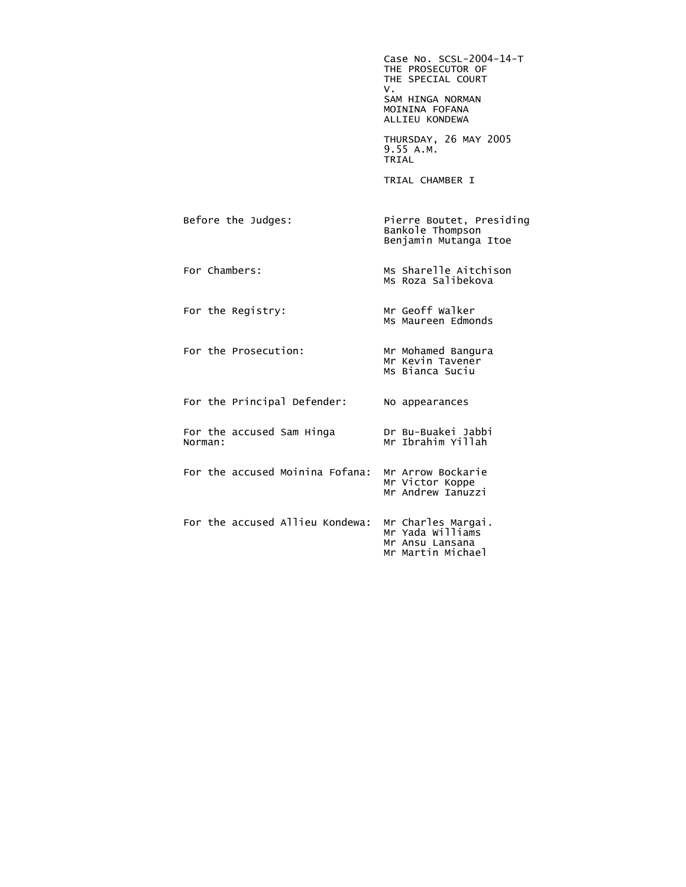Case No. SCSL-2004-14-T THE PROSECUTOR OF THE SPECIAL COURT<br>V. V. SAM HINGA NORMAN MOININA FOFANA ALLIEU KONDEWA THURSDAY, 26 MAY 2005 9.55 A.M. **TRIAL**  TRIAL CHAMBER I Before the Judges: Pierre Boutet, Presiding Bankole Thompson Benjamin Mutanga Itoe For Chambers: Ms Sharelle Aitchison Ms Roza Salibekova For the Registry: Mr Geoff Walker Ms Maureen Edmonds For the Prosecution: Mr Mohamed Bangura Mr Kevin Tavener Ms Bianca Suciu For the Principal Defender: No appearances For the accused Sam Hinga<br>Norman: Dr Bu-Buakei Jabbi<br>Mr Ibrahim Yillah For the accused Moinina Fofana: Mr Arrow Bockarie Mr Victor Koppe Mr Andrew Ianuzzi For the accused Allieu Kondewa: Mr Charles Margai. Mr Yada Williams Mr Ansu Lansana Mr Martin Michael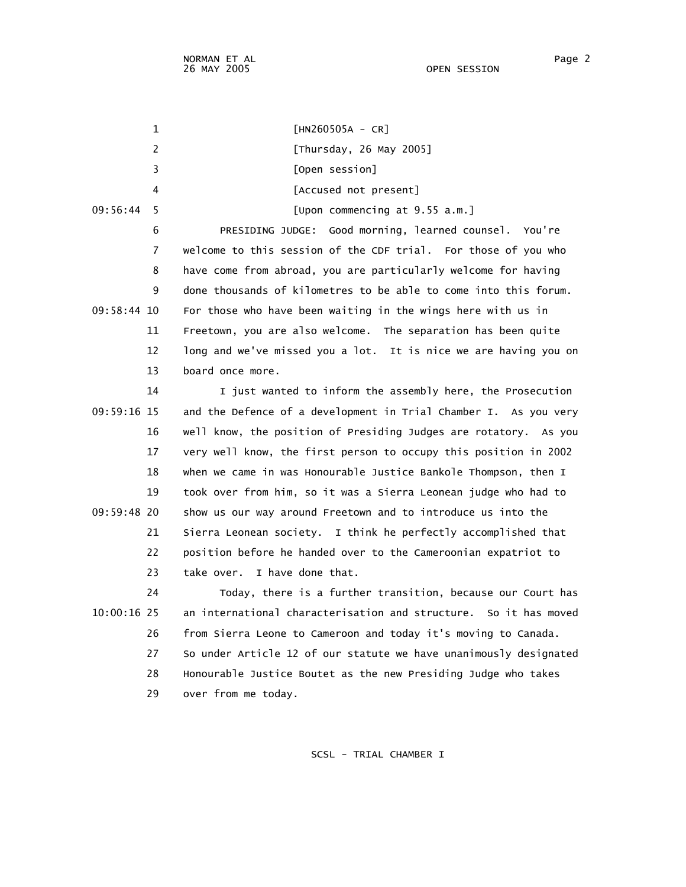1 [HN260505A - CR] 2 [Thursday, 26 May 2005] 3 [Open session] 4 [Accused not present] 09:56:44 5 [Upon commencing at 9.55 a.m.] 6 PRESIDING JUDGE: Good morning, learned counsel. You're 7 welcome to this session of the CDF trial. For those of you who 8 have come from abroad, you are particularly welcome for having 9 done thousands of kilometres to be able to come into this forum. 09:58:44 10 For those who have been waiting in the wings here with us in 11 Freetown, you are also welcome. The separation has been quite 12 long and we've missed you a lot. It is nice we are having you on 13 board once more. 14 I just wanted to inform the assembly here, the Prosecution 09:59:16 15 and the Defence of a development in Trial Chamber I. As you very 16 well know, the position of Presiding Judges are rotatory. As you 17 very well know, the first person to occupy this position in 2002 18 when we came in was Honourable Justice Bankole Thompson, then I 19 took over from him, so it was a Sierra Leonean judge who had to 09:59:48 20 show us our way around Freetown and to introduce us into the 21 Sierra Leonean society. I think he perfectly accomplished that 22 position before he handed over to the Cameroonian expatriot to 23 take over. I have done that. 24 Today, there is a further transition, because our Court has 10:00:16 25 an international characterisation and structure. So it has moved 26 from Sierra Leone to Cameroon and today it's moving to Canada. 27 So under Article 12 of our statute we have unanimously designated 28 Honourable Justice Boutet as the new Presiding Judge who takes 29 over from me today.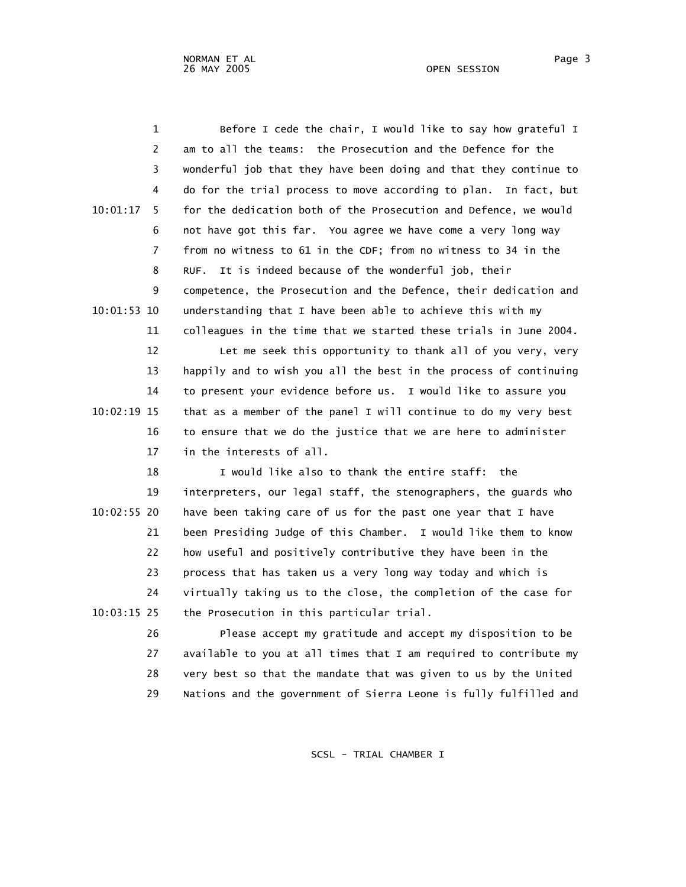1 Before I cede the chair, I would like to say how grateful I 2 am to all the teams: the Prosecution and the Defence for the 3 wonderful job that they have been doing and that they continue to 4 do for the trial process to move according to plan. In fact, but 10:01:17 5 for the dedication both of the Prosecution and Defence, we would 6 not have got this far. You agree we have come a very long way 7 from no witness to 61 in the CDF; from no witness to 34 in the 8 RUF. It is indeed because of the wonderful job, their 9 competence, the Prosecution and the Defence, their dedication and 10:01:53 10 understanding that I have been able to achieve this with my 11 colleagues in the time that we started these trials in June 2004.

 12 Let me seek this opportunity to thank all of you very, very 13 happily and to wish you all the best in the process of continuing 14 to present your evidence before us. I would like to assure you 10:02:19 15 that as a member of the panel I will continue to do my very best 16 to ensure that we do the justice that we are here to administer 17 in the interests of all.

 18 I would like also to thank the entire staff: the 19 interpreters, our legal staff, the stenographers, the guards who 10:02:55 20 have been taking care of us for the past one year that I have 21 been Presiding Judge of this Chamber. I would like them to know 22 how useful and positively contributive they have been in the 23 process that has taken us a very long way today and which is 24 virtually taking us to the close, the completion of the case for 10:03:15 25 the Prosecution in this particular trial.

> 26 Please accept my gratitude and accept my disposition to be 27 available to you at all times that I am required to contribute my 28 very best so that the mandate that was given to us by the United 29 Nations and the government of Sierra Leone is fully fulfilled and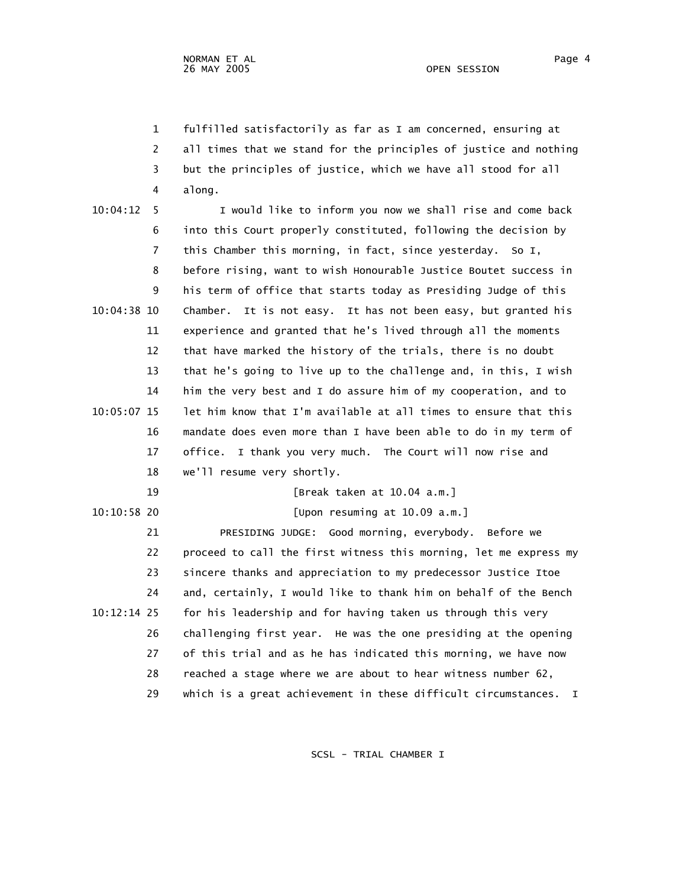1 fulfilled satisfactorily as far as I am concerned, ensuring at 2 all times that we stand for the principles of justice and nothing 3 but the principles of justice, which we have all stood for all 4 along.

| 10:04:12<br>5  | I would like to inform you now we shall rise and come back           |
|----------------|----------------------------------------------------------------------|
| 6              | into this Court properly constituted, following the decision by      |
| $\overline{7}$ | this Chamber this morning, in fact, since yesterday. So I,           |
| 8              | before rising, want to wish Honourable Justice Boutet success in     |
| 9              | his term of office that starts today as Presiding Judge of this      |
| 10:04:38 10    | Chamber. It is not easy. It has not been easy, but granted his       |
| 11             | experience and granted that he's lived through all the moments       |
| 12             | that have marked the history of the trials, there is no doubt        |
| 13             | that he's going to live up to the challenge and, in this, I wish     |
| 14             | him the very best and I do assure him of my cooperation, and to      |
| 10:05:07 15    | let him know that I'm available at all times to ensure that this     |
| 16             | mandate does even more than I have been able to do in my term of     |
| 17             | I thank you very much. The Court will now rise and<br>office.        |
| 18             | we'll resume very shortly.                                           |
| 19             | [Break taken at 10.04 a.m.]                                          |
| $10:10:58$ 20  | [Upon resuming at 10.09 a.m.]                                        |
| 21             | PRESIDING JUDGE: Good morning, everybody. Before we                  |
| 22             | proceed to call the first witness this morning, let me express my    |
| 23             | sincere thanks and appreciation to my predecessor Justice Itoe       |
| 24             | and, certainly, I would like to thank him on behalf of the Bench     |
| $10:12:14$ 25  | for his leadership and for having taken us through this very         |
| 26             | challenging first year. He was the one presiding at the opening      |
| 27             | of this trial and as he has indicated this morning, we have now      |
| 28             | reached a stage where we are about to hear witness number 62,        |
| 29             | which is a great achievement in these difficult circumstances.<br>I. |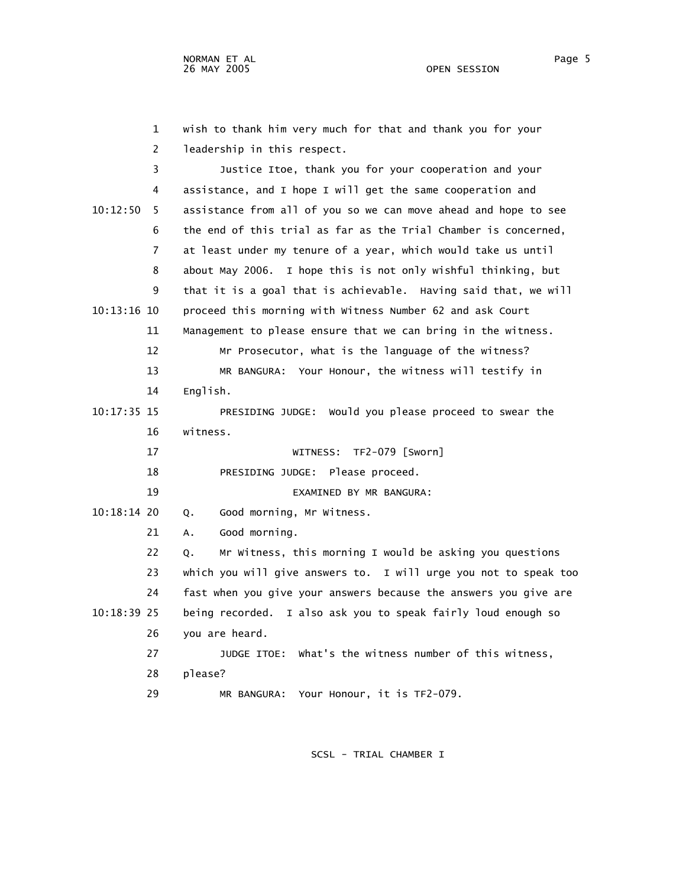|               | $\mathbf 1$    | wish to thank him very much for that and thank you for your      |
|---------------|----------------|------------------------------------------------------------------|
|               | $\overline{2}$ | leadership in this respect.                                      |
|               | 3              | Justice Itoe, thank you for your cooperation and your            |
|               | 4              | assistance, and I hope I will get the same cooperation and       |
| 10:12:50      | 5.             | assistance from all of you so we can move ahead and hope to see  |
|               | 6              | the end of this trial as far as the Trial Chamber is concerned,  |
|               | 7              | at least under my tenure of a year, which would take us until    |
|               | 8              | about May 2006. I hope this is not only wishful thinking, but    |
|               | 9              | that it is a goal that is achievable. Having said that, we will  |
| $10:13:16$ 10 |                | proceed this morning with Witness Number 62 and ask Court        |
|               | 11             | Management to please ensure that we can bring in the witness.    |
|               | 12             | Mr Prosecutor, what is the language of the witness?              |
|               | 13             | MR BANGURA: Your Honour, the witness will testify in             |
|               | 14             | English.                                                         |
| 10:17:35 15   |                | PRESIDING JUDGE: Would you please proceed to swear the           |
|               | 16             | witness.                                                         |
|               | 17             | TF2-079 [Sworn]<br>WITNESS:                                      |
|               | 18             | PRESIDING JUDGE: Please proceed.                                 |
|               | 19             | EXAMINED BY MR BANGURA:                                          |
| 10:18:14 20   |                | Good morning, Mr Witness.<br>Q.                                  |
|               | 21             | Good morning.<br>А.                                              |
|               | 22             | Mr Witness, this morning I would be asking you questions<br>Q.   |
|               | 23             | which you will give answers to. I will urge you not to speak too |
|               | 24             | fast when you give your answers because the answers you give are |
| $10:18:39$ 25 |                | being recorded. I also ask you to speak fairly loud enough so    |
|               | 26             | you are heard.                                                   |
|               | 27             | JUDGE ITOE: What's the witness number of this witness,           |
|               | 28             | please?                                                          |
|               |                |                                                                  |

29 MR BANGURA: Your Honour, it is TF2-079.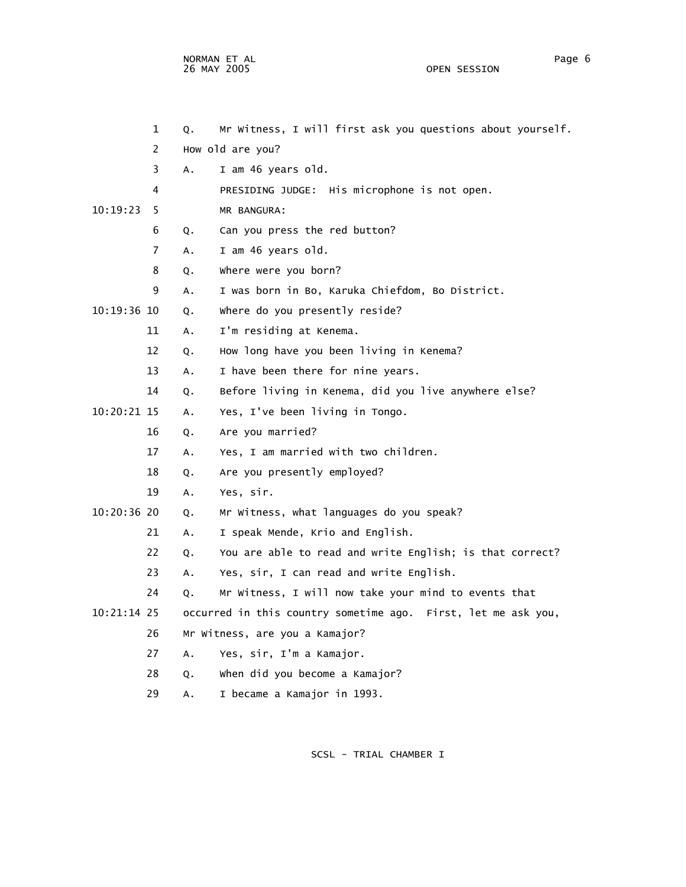NORMAN ET AL Page 6 26 MAY 2005 OPEN SESSION

|               | 2              |    | How old are you?                                              |
|---------------|----------------|----|---------------------------------------------------------------|
|               | 3              | Α. | I am 46 years old.                                            |
|               | 4              |    | PRESIDING JUDGE: His microphone is not open.                  |
| 10:19:23      | 5.             |    | MR BANGURA:                                                   |
|               | 6              | Q. | Can you press the red button?                                 |
|               | $\overline{7}$ | А. | I am 46 years old.                                            |
|               | 8              | Q. | where were you born?                                          |
|               | 9              | Α. | I was born in Bo, Karuka Chiefdom, Bo District.               |
| $10:19:36$ 10 |                | Q. | where do you presently reside?                                |
| 11            |                | Α. | I'm residing at Kenema.                                       |
| 12            |                | Q. | How long have you been living in Kenema?                      |
| 13            |                | Α. | I have been there for nine years.                             |
| 14            |                | Q. | Before living in Kenema, did you live anywhere else?          |
| $10:20:21$ 15 |                | Α. | Yes, I've been living in Tongo.                               |
| 16            |                | Q. | Are you married?                                              |
| 17            |                | Α. | Yes, I am married with two children.                          |
| 18            |                | Q. | Are you presently employed?                                   |
| 19            |                | А. | Yes, sir.                                                     |
| 10:20:36 20   |                | Q. | Mr Witness, what languages do you speak?                      |
| 21            |                | Α. | I speak Mende, Krio and English.                              |
| 22            |                | Q. | You are able to read and write English; is that correct?      |
| 23            |                | А. | Yes, sir, I can read and write English.                       |
| 24            |                | Q. | Mr Witness, I will now take your mind to events that          |
| 10:21:14 25   |                |    | occurred in this country sometime ago. First, let me ask you, |
| 26            |                |    | Mr Witness, are you a Kamajor?                                |
| 27            |                | A. | Yes, sir, I'm a Kamajor.                                      |
| 28            |                | Q. | When did you become a Kamajor?                                |
| 29            |                | Α. | I became a Kamajor in 1993.                                   |

1 Q. Mr Witness, I will first ask you questions about yourself.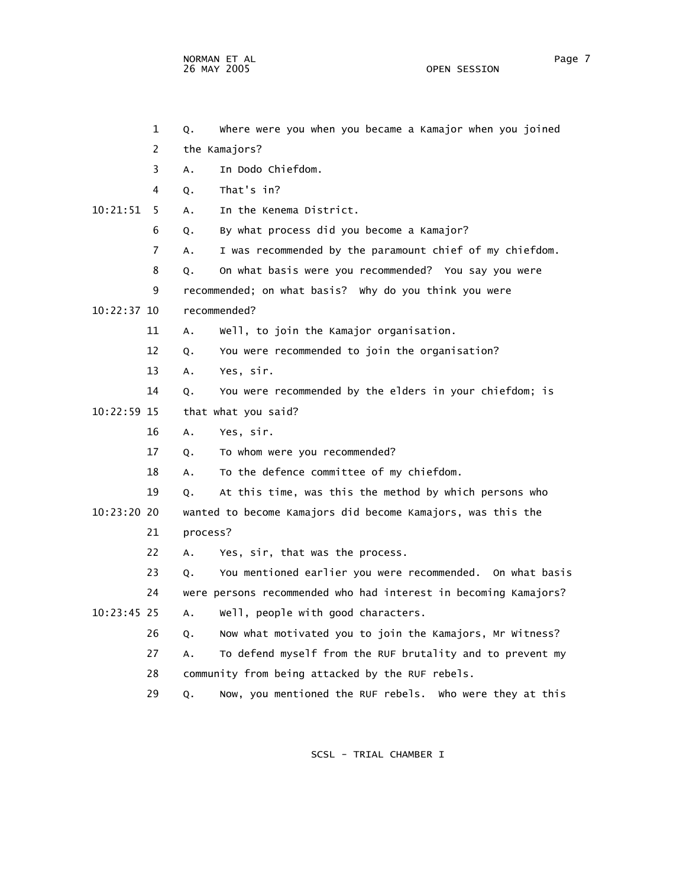NORMAN ET AL Page 7

OPEN SESSION

 2 the Kamajors? 3 A. In Dodo Chiefdom. 4 Q. That's in? 10:21:51 5 A. In the Kenema District. 6 Q. By what process did you become a Kamajor? 7 A. I was recommended by the paramount chief of my chiefdom. 8 Q. On what basis were you recommended? You say you were 9 recommended; on what basis? Why do you think you were 10:22:37 10 recommended? 11 A. Well, to join the Kamajor organisation. 12 Q. You were recommended to join the organisation? 13 A. Yes, sir. 14 Q. You were recommended by the elders in your chiefdom; is 10:22:59 15 that what you said? 16 A. Yes, sir. 17 Q. To whom were you recommended? 18 A. To the defence committee of my chiefdom. 19 Q. At this time, was this the method by which persons who 10:23:20 20 wanted to become Kamajors did become Kamajors, was this the 21 process? 22 A. Yes, sir, that was the process. 23 Q. You mentioned earlier you were recommended. On what basis 24 were persons recommended who had interest in becoming Kamajors? 10:23:45 25 A. Well, people with good characters. 26 Q. Now what motivated you to join the Kamajors, Mr Witness? 27 A. To defend myself from the RUF brutality and to prevent my 28 community from being attacked by the RUF rebels. 29 Q. Now, you mentioned the RUF rebels. Who were they at this

1 Q. Where were you when you became a Kamajor when you joined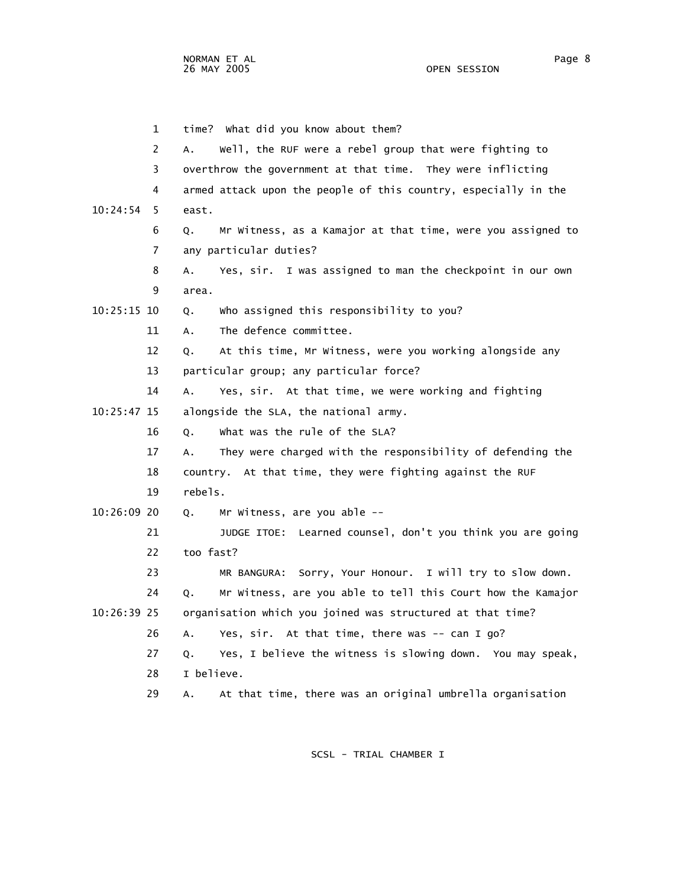1 time? What did you know about them? 2 A. Well, the RUF were a rebel group that were fighting to 3 overthrow the government at that time. They were inflicting 4 armed attack upon the people of this country, especially in the 10:24:54 5 east. 6 Q. Mr Witness, as a Kamajor at that time, were you assigned to 7 any particular duties? 8 A. Yes, sir. I was assigned to man the checkpoint in our own 9 area. 10:25:15 10 Q. Who assigned this responsibility to you? 11 A. The defence committee. 12 Q. At this time, Mr Witness, were you working alongside any 13 particular group; any particular force? 14 A. Yes, sir. At that time, we were working and fighting 10:25:47 15 alongside the SLA, the national army. 16 Q. What was the rule of the SLA? 17 A. They were charged with the responsibility of defending the 18 country. At that time, they were fighting against the RUF 19 rebels. 10:26:09 20 Q. Mr Witness, are you able -- 21 JUDGE ITOE: Learned counsel, don't you think you are going 22 too fast? 23 MR BANGURA: Sorry, Your Honour. I will try to slow down. 24 Q. Mr Witness, are you able to tell this Court how the Kamajor 10:26:39 25 organisation which you joined was structured at that time? 26 A. Yes, sir. At that time, there was -- can I go? 27 Q. Yes, I believe the witness is slowing down. You may speak, 28 I believe. 29 A. At that time, there was an original umbrella organisation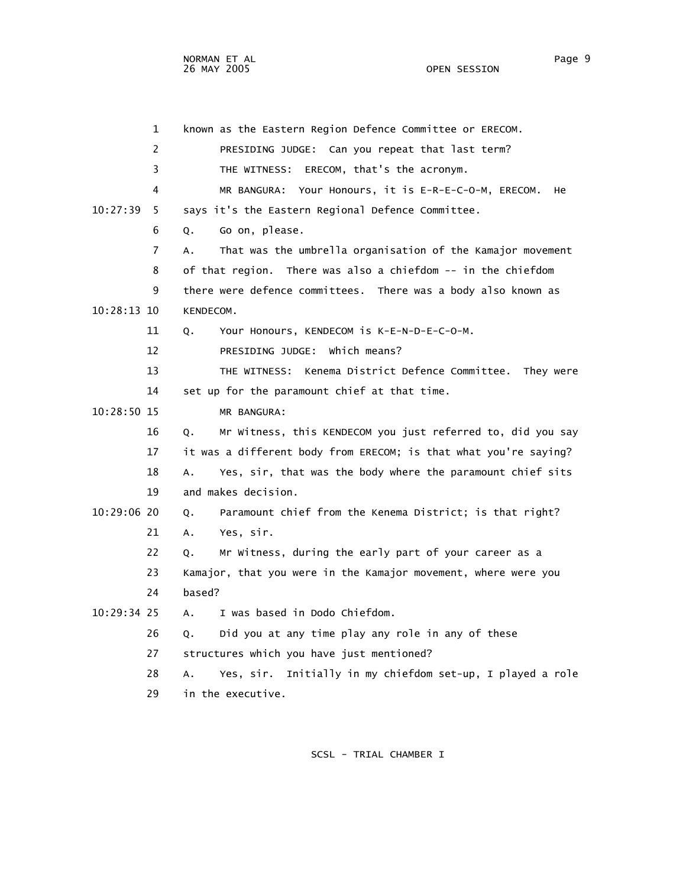1 known as the Eastern Region Defence Committee or ERECOM. 2 PRESIDING JUDGE: Can you repeat that last term? 3 THE WITNESS: ERECOM, that's the acronym. 4 MR BANGURA: Your Honours, it is E-R-E-C-O-M, ERECOM. He 10:27:39 5 says it's the Eastern Regional Defence Committee. 6 Q. Go on, please. 7 A. That was the umbrella organisation of the Kamajor movement 8 of that region. There was also a chiefdom -- in the chiefdom 9 there were defence committees. There was a body also known as 10:28:13 10 KENDECOM. 11 Q. Your Honours, KENDECOM is K-E-N-D-E-C-O-M. 12 PRESIDING JUDGE: Which means? 13 THE WITNESS: Kenema District Defence Committee. They were 14 set up for the paramount chief at that time. 10:28:50 15 MR BANGURA: 16 Q. Mr Witness, this KENDECOM you just referred to, did you say 17 it was a different body from ERECOM; is that what you're saying? 18 A. Yes, sir, that was the body where the paramount chief sits 19 and makes decision. 10:29:06 20 Q. Paramount chief from the Kenema District; is that right? 21 A. Yes, sir. 22 Q. Mr Witness, during the early part of your career as a 23 Kamajor, that you were in the Kamajor movement, where were you 24 based? 10:29:34 25 A. I was based in Dodo Chiefdom. 26 Q. Did you at any time play any role in any of these 27 structures which you have just mentioned? 28 A. Yes, sir. Initially in my chiefdom set-up, I played a role 29 in the executive.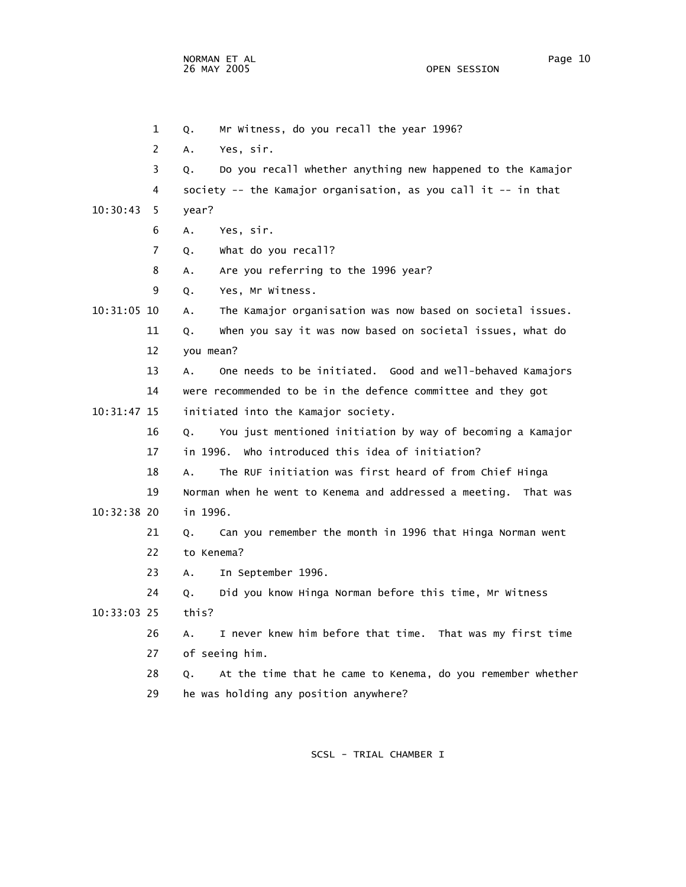NORMAN ET AL Page 10

 1 Q. Mr Witness, do you recall the year 1996? 2 A. Yes, sir. 3 Q. Do you recall whether anything new happened to the Kamajor 4 society -- the Kamajor organisation, as you call it -- in that 10:30:43 5 year? 6 A. Yes, sir. 7 Q. What do you recall? 8 A. Are you referring to the 1996 year? 9 Q. Yes, Mr Witness. 10:31:05 10 A. The Kamajor organisation was now based on societal issues. 11 Q. When you say it was now based on societal issues, what do 12 you mean? 13 A. One needs to be initiated. Good and well-behaved Kamajors 14 were recommended to be in the defence committee and they got 10:31:47 15 initiated into the Kamajor society. 16 Q. You just mentioned initiation by way of becoming a Kamajor 17 in 1996. Who introduced this idea of initiation? 18 A. The RUF initiation was first heard of from Chief Hinga 19 Norman when he went to Kenema and addressed a meeting. That was 10:32:38 20 in 1996. 21 Q. Can you remember the month in 1996 that Hinga Norman went 22 to Kenema? 23 A. In September 1996. 24 Q. Did you know Hinga Norman before this time, Mr Witness 10:33:03 25 this? 26 A. I never knew him before that time. That was my first time 27 of seeing him. 28 Q. At the time that he came to Kenema, do you remember whether 29 he was holding any position anywhere?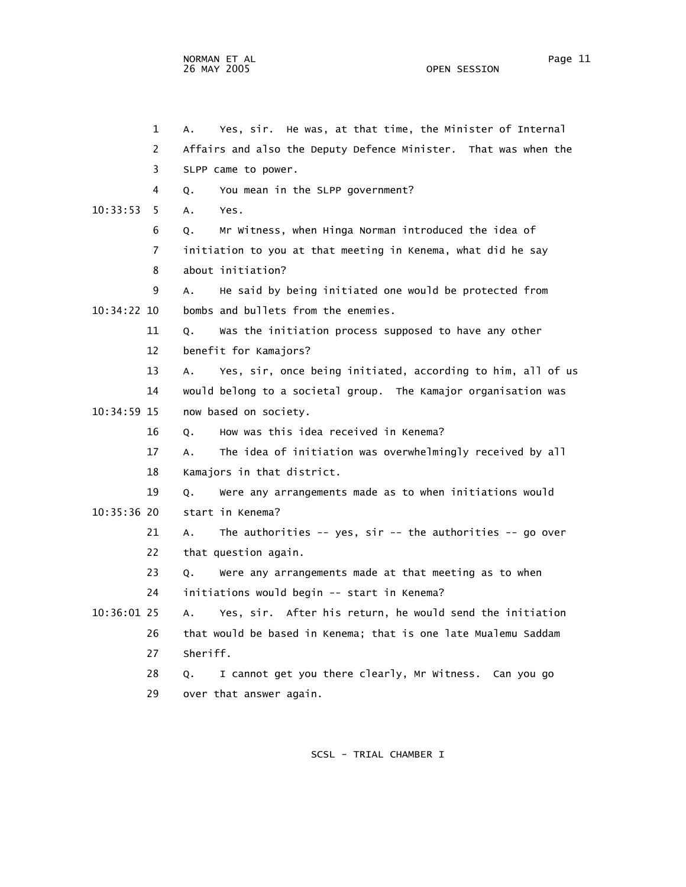1 A. Yes, sir. He was, at that time, the Minister of Internal 2 Affairs and also the Deputy Defence Minister. That was when the 3 SLPP came to power. 4 Q. You mean in the SLPP government? 10:33:53 5 A. Yes. 6 Q. Mr Witness, when Hinga Norman introduced the idea of 7 initiation to you at that meeting in Kenema, what did he say 8 about initiation? 9 A. He said by being initiated one would be protected from 10:34:22 10 bombs and bullets from the enemies. 11 Q. Was the initiation process supposed to have any other 12 benefit for Kamajors? 13 A. Yes, sir, once being initiated, according to him, all of us 14 would belong to a societal group. The Kamajor organisation was 10:34:59 15 now based on society. 16 Q. How was this idea received in Kenema? 17 A. The idea of initiation was overwhelmingly received by all 18 Kamajors in that district. 19 Q. Were any arrangements made as to when initiations would 10:35:36 20 start in Kenema? 21 A. The authorities -- yes, sir -- the authorities -- go over 22 that question again. 23 Q. Were any arrangements made at that meeting as to when 24 initiations would begin -- start in Kenema? 10:36:01 25 A. Yes, sir. After his return, he would send the initiation 26 that would be based in Kenema; that is one late Mualemu Saddam 27 Sheriff. 28 Q. I cannot get you there clearly, Mr Witness. Can you go 29 over that answer again.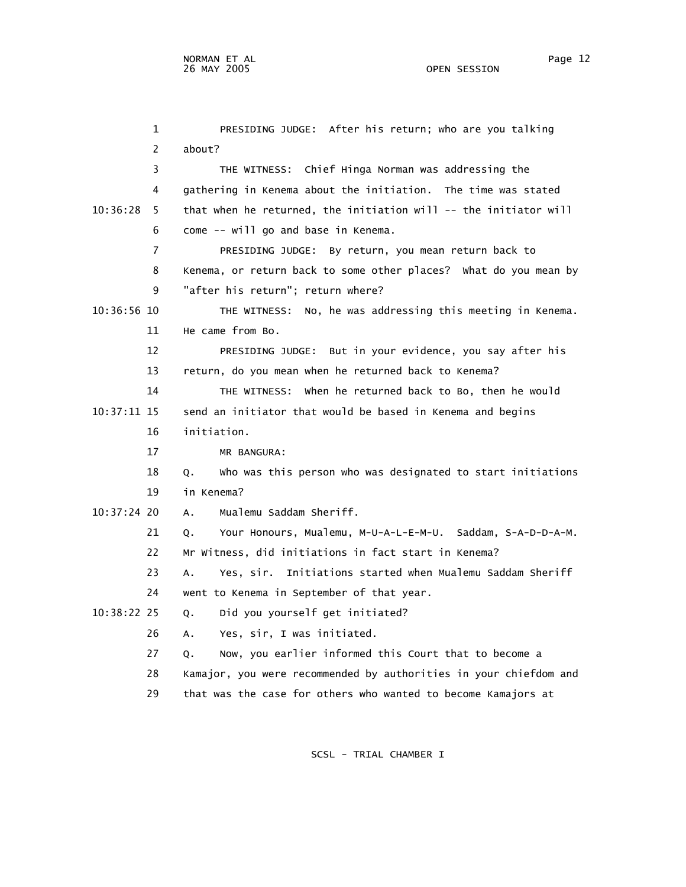1 PRESIDING JUDGE: After his return; who are you talking 2 about? 3 THE WITNESS: Chief Hinga Norman was addressing the 4 gathering in Kenema about the initiation. The time was stated 10:36:28 5 that when he returned, the initiation will -- the initiator will 6 come -- will go and base in Kenema. 7 PRESIDING JUDGE: By return, you mean return back to 8 Kenema, or return back to some other places? What do you mean by 9 "after his return"; return where? 10:36:56 10 THE WITNESS: No, he was addressing this meeting in Kenema. 11 He came from Bo. 12 PRESIDING JUDGE: But in your evidence, you say after his 13 return, do you mean when he returned back to Kenema? 14 THE WITNESS: When he returned back to Bo, then he would 10:37:11 15 send an initiator that would be based in Kenema and begins 16 initiation. 17 MR BANGURA: 18 Q. Who was this person who was designated to start initiations 19 in Kenema? 10:37:24 20 A. Mualemu Saddam Sheriff. 21 Q. Your Honours, Mualemu, M-U-A-L-E-M-U. Saddam, S-A-D-D-A-M. 22 Mr Witness, did initiations in fact start in Kenema? 23 A. Yes, sir. Initiations started when Mualemu Saddam Sheriff 24 went to Kenema in September of that year. 10:38:22 25 Q. Did you yourself get initiated? 26 A. Yes, sir, I was initiated. 27 Q. Now, you earlier informed this Court that to become a 28 Kamajor, you were recommended by authorities in your chiefdom and 29 that was the case for others who wanted to become Kamajors at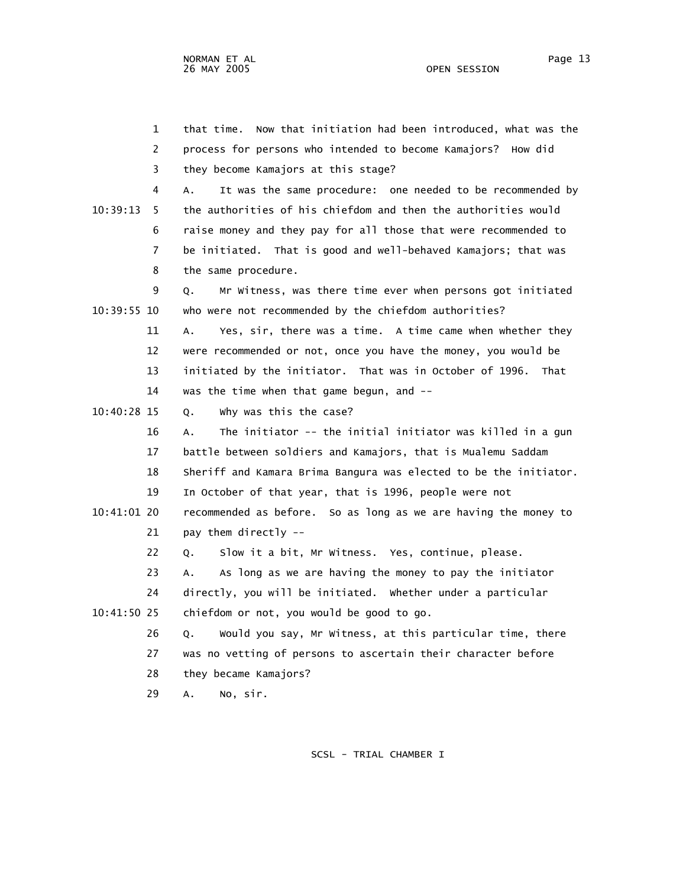|               | 2              | process for persons who intended to become Kamajors? How did      |
|---------------|----------------|-------------------------------------------------------------------|
|               | 3              | they become Kamajors at this stage?                               |
|               | 4              | It was the same procedure: one needed to be recommended by<br>A.  |
| 10:39:13      | 5.             | the authorities of his chiefdom and then the authorities would    |
|               | 6              | raise money and they pay for all those that were recommended to   |
|               | $\overline{7}$ | be initiated. That is good and well-behaved Kamajors; that was    |
|               | 8              | the same procedure.                                               |
|               | 9              | Mr Witness, was there time ever when persons got initiated<br>Q.  |
| 10:39:55 10   |                | who were not recommended by the chiefdom authorities?             |
|               | 11             | Yes, sir, there was a time. A time came when whether they<br>А.   |
|               | 12             | were recommended or not, once you have the money, you would be    |
|               | 13             | initiated by the initiator. That was in October of 1996. That     |
|               | 14             | was the time when that game begun, and --                         |
| 10:40:28 15   |                | why was this the case?<br>Q.                                      |
|               | 16             | The initiator -- the initial initiator was killed in a gun<br>А.  |
|               | 17             | battle between soldiers and Kamajors, that is Mualemu Saddam      |
|               | 18             | Sheriff and Kamara Brima Bangura was elected to be the initiator. |
|               | 19             | In October of that year, that is 1996, people were not            |
| $10:41:01$ 20 |                | recommended as before. So as long as we are having the money to   |
|               | 21             | pay them directly --                                              |
|               | 22             | Slow it a bit, Mr Witness. Yes, continue, please.<br>Q.           |
|               | 23             | As long as we are having the money to pay the initiator<br>А.     |
|               | 24             | directly, you will be initiated. Whether under a particular       |
| 10:41:50 25   |                | chiefdom or not, you would be good to go.                         |
|               | 26             | Would you say, Mr Witness, at this particular time, there<br>Q.   |
|               | 27             | was no vetting of persons to ascertain their character before     |
|               | 28             | they became Kamajors?                                             |
|               | 29             | No, sir.<br>А.                                                    |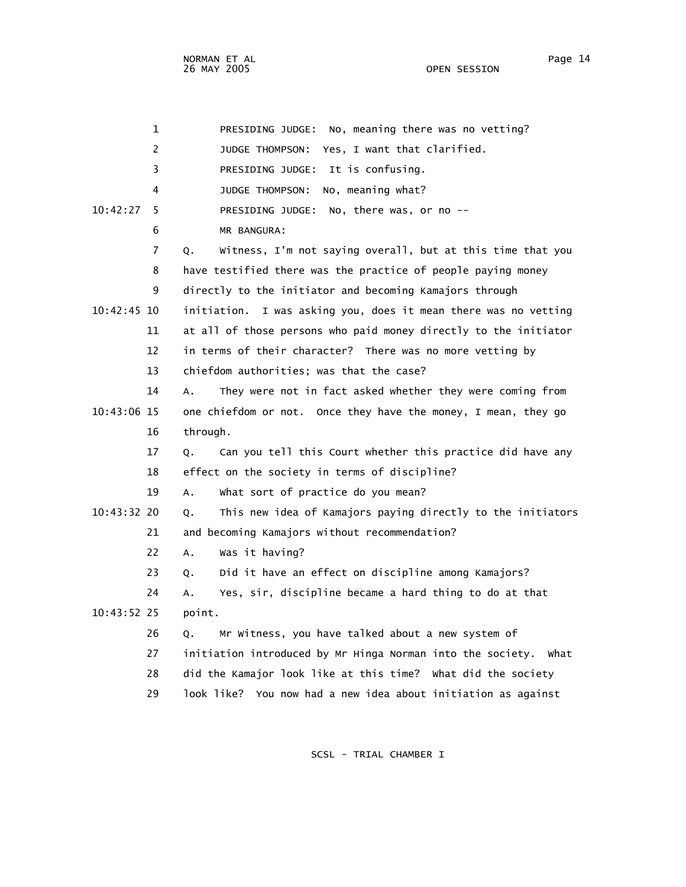| 1             | No, meaning there was no vetting?<br>PRESIDING JUDGE:              |
|---------------|--------------------------------------------------------------------|
| 2             | Yes, I want that clarified.<br>JUDGE THOMPSON:                     |
| 3             | It is confusing.<br>PRESIDING JUDGE:                               |
| 4             | No, meaning what?<br><b>JUDGE THOMPSON:</b>                        |
| 10:42:27<br>5 | No, there was, or no --<br>PRESIDING JUDGE:                        |
| 6             | MR BANGURA:                                                        |
| 7             | Witness, I'm not saying overall, but at this time that you<br>Q.   |
| 8             | have testified there was the practice of people paying money       |
| 9             | directly to the initiator and becoming Kamajors through            |
| 10:42:45 10   | initiation. I was asking you, does it mean there was no vetting    |
| 11            | at all of those persons who paid money directly to the initiator   |
| 12            | in terms of their character? There was no more vetting by          |
| 13            | chiefdom authorities; was that the case?                           |
| 14            | They were not in fact asked whether they were coming from<br>A.    |
| 10:43:06 15   | one chiefdom or not. Once they have the money, I mean, they go     |
| 16            | through.                                                           |
| 17            | Can you tell this Court whether this practice did have any<br>Q.   |
| 18            | effect on the society in terms of discipline?                      |
| 19            | What sort of practice do you mean?<br>A.                           |
| 10:43:32 20   | This new idea of Kamajors paying directly to the initiators<br>Q.  |
| 21            | and becoming Kamajors without recommendation?                      |
| 22            | Was it having?<br>Α.                                               |
| 23            | Did it have an effect on discipline among Kamajors?<br>Q.          |
| 24            | Yes, sir, discipline became a hard thing to do at that<br>А.       |
| 10:43:52 25   | point.                                                             |
| 26            | Mr Witness, you have talked about a new system of<br>Q.            |
| 27            | initiation introduced by Mr Hinga Norman into the society.<br>What |
| 28            | did the Kamajor look like at this time? What did the society       |
| 29            | look like? You now had a new idea about initiation as against      |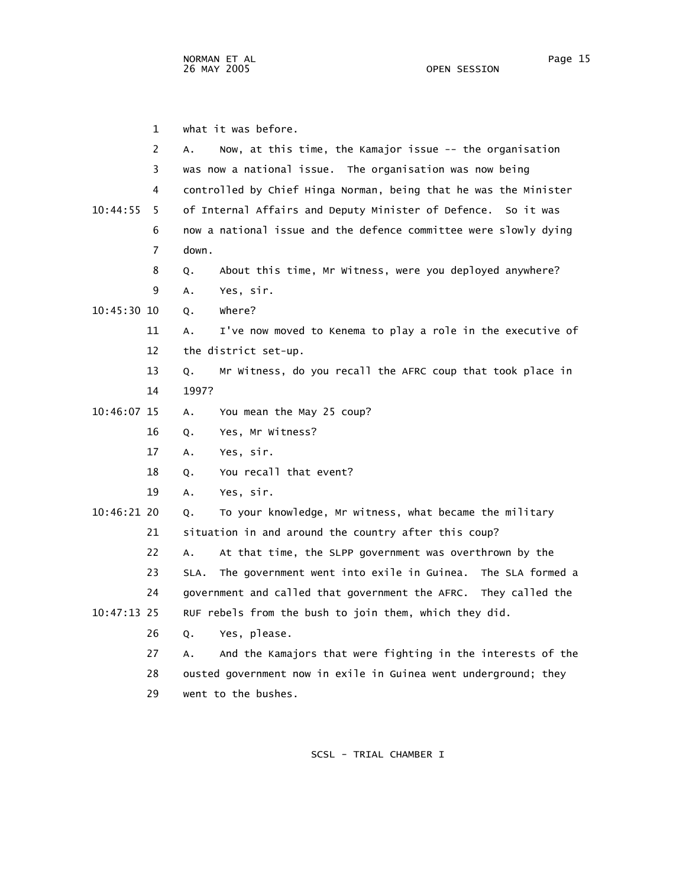1 what it was before. 2 A. Now, at this time, the Kamajor issue -- the organisation 3 was now a national issue. The organisation was now being 4 controlled by Chief Hinga Norman, being that he was the Minister 10:44:55 5 of Internal Affairs and Deputy Minister of Defence. So it was 6 now a national issue and the defence committee were slowly dying 7 down. 8 Q. About this time, Mr Witness, were you deployed anywhere? 9 A. Yes, sir. 10:45:30 10 Q. Where? 11 A. I've now moved to Kenema to play a role in the executive of 12 the district set-up. 13 Q. Mr Witness, do you recall the AFRC coup that took place in 14 1997? 10:46:07 15 A. You mean the May 25 coup? 16 Q. Yes, Mr Witness? 17 A. Yes, sir. 18 Q. You recall that event? 19 A. Yes, sir. 10:46:21 20 Q. To your knowledge, Mr witness, what became the military 21 situation in and around the country after this coup? 22 A. At that time, the SLPP government was overthrown by the 23 SLA. The government went into exile in Guinea. The SLA formed a 24 government and called that government the AFRC. They called the 10:47:13 25 RUF rebels from the bush to join them, which they did. 26 Q. Yes, please. 27 A. And the Kamajors that were fighting in the interests of the 28 ousted government now in exile in Guinea went underground; they 29 went to the bushes.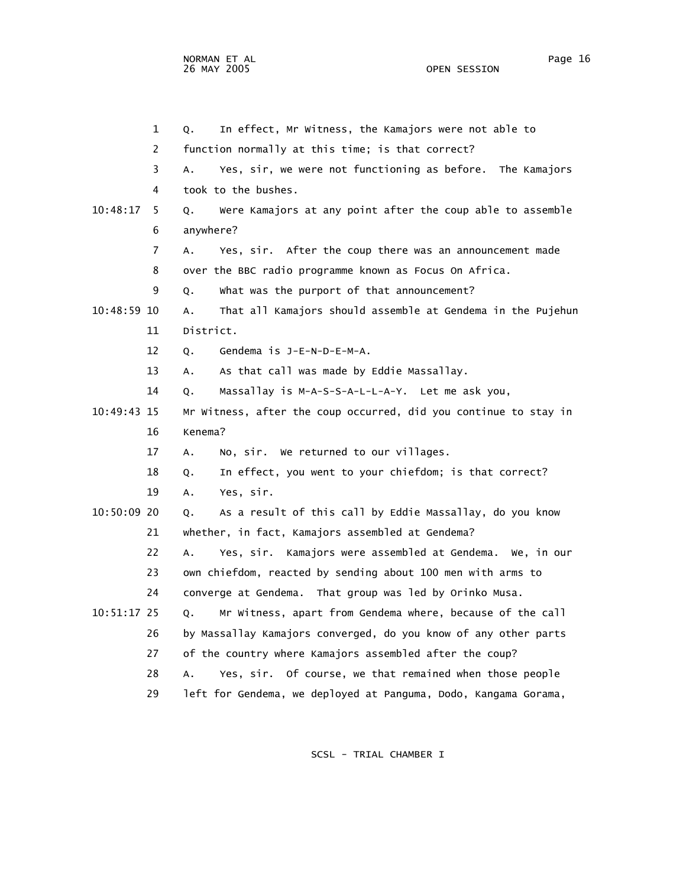1 Q. In effect, Mr Witness, the Kamajors were not able to 2 function normally at this time; is that correct? 3 A. Yes, sir, we were not functioning as before. The Kamajors 4 took to the bushes. 10:48:17 5 Q. Were Kamajors at any point after the coup able to assemble 6 anywhere? 7 A. Yes, sir. After the coup there was an announcement made 8 over the BBC radio programme known as Focus On Africa. 9 Q. What was the purport of that announcement? 10:48:59 10 A. That all Kamajors should assemble at Gendema in the Pujehun 11 District. 12 Q. Gendema is J-E-N-D-E-M-A. 13 A. As that call was made by Eddie Massallay. 14 Q. Massallay is M-A-S-S-A-L-L-A-Y. Let me ask you, 10:49:43 15 Mr Witness, after the coup occurred, did you continue to stay in 16 Kenema? 17 A. No, sir. We returned to our villages. 18 Q. In effect, you went to your chiefdom; is that correct? 19 A. Yes, sir. 10:50:09 20 Q. As a result of this call by Eddie Massallay, do you know 21 whether, in fact, Kamajors assembled at Gendema? 22 A. Yes, sir. Kamajors were assembled at Gendema. We, in our 23 own chiefdom, reacted by sending about 100 men with arms to

- 24 converge at Gendema. That group was led by Orinko Musa.
- 10:51:17 25 Q. Mr Witness, apart from Gendema where, because of the call 26 by Massallay Kamajors converged, do you know of any other parts 27 of the country where Kamajors assembled after the coup?
	- 28 A. Yes, sir. Of course, we that remained when those people
	- 29 left for Gendema, we deployed at Panguma, Dodo, Kangama Gorama,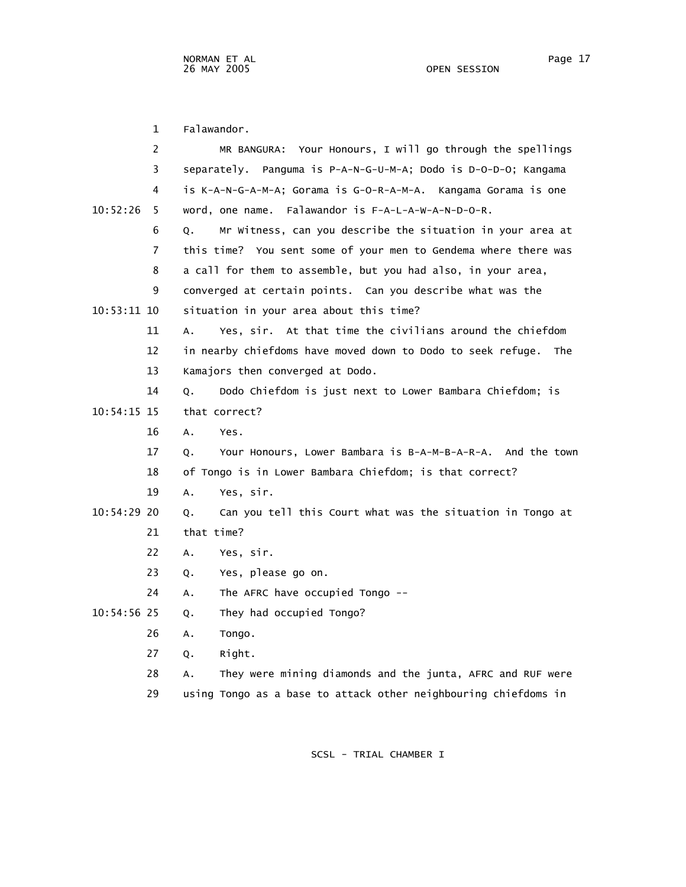1 Falawandor. 2 MR BANGURA: Your Honours, I will go through the spellings 3 separately. Panguma is P-A-N-G-U-M-A; Dodo is D-O-D-O; Kangama 4 is K-A-N-G-A-M-A; Gorama is G-O-R-A-M-A. Kangama Gorama is one 10:52:26 5 word, one name. Falawandor is F-A-L-A-W-A-N-D-O-R. 6 Q. Mr Witness, can you describe the situation in your area at 7 this time? You sent some of your men to Gendema where there was 8 a call for them to assemble, but you had also, in your area, 9 converged at certain points. Can you describe what was the 10:53:11 10 situation in your area about this time? 11 A. Yes, sir. At that time the civilians around the chiefdom 12 in nearby chiefdoms have moved down to Dodo to seek refuge. The 13 Kamajors then converged at Dodo. 14 Q. Dodo Chiefdom is just next to Lower Bambara Chiefdom; is 10:54:15 15 that correct? 16 A. Yes. 17 Q. Your Honours, Lower Bambara is B-A-M-B-A-R-A. And the town 18 of Tongo is in Lower Bambara Chiefdom; is that correct? 19 A. Yes, sir. 10:54:29 20 Q. Can you tell this Court what was the situation in Tongo at 21 that time? 22 A. Yes, sir. 23 Q. Yes, please go on. 24 A. The AFRC have occupied Tongo -- 10:54:56 25 Q. They had occupied Tongo? 26 A. Tongo. 27 Q. Right. 28 A. They were mining diamonds and the junta, AFRC and RUF were

29 using Tongo as a base to attack other neighbouring chiefdoms in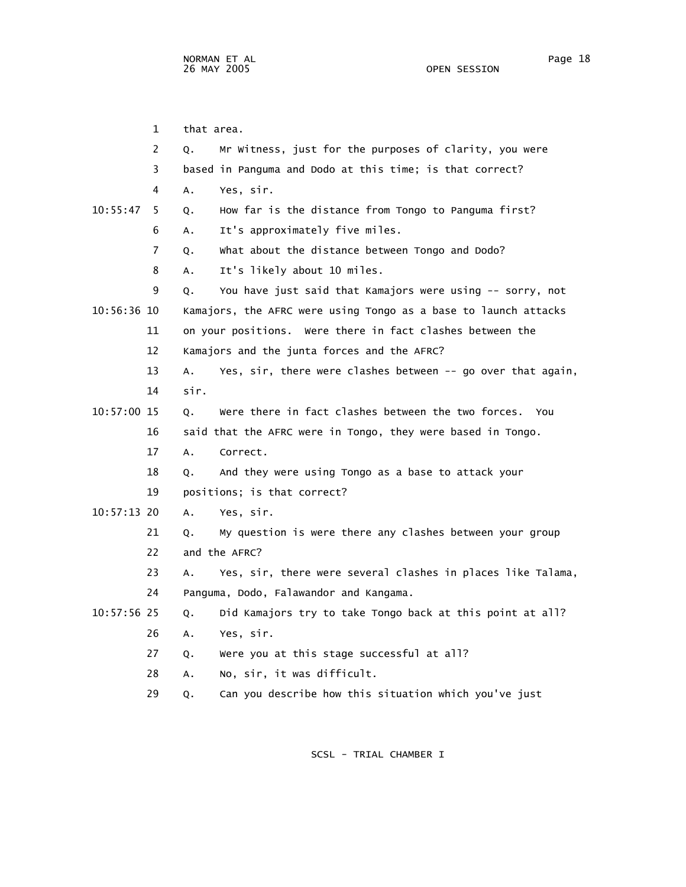1 that area. 2 Q. Mr Witness, just for the purposes of clarity, you were 3 based in Panguma and Dodo at this time; is that correct? 4 A. Yes, sir. 10:55:47 5 Q. How far is the distance from Tongo to Panguma first? 6 A. It's approximately five miles. 7 Q. What about the distance between Tongo and Dodo? 8 A. It's likely about 10 miles. 9 Q. You have just said that Kamajors were using -- sorry, not 10:56:36 10 Kamajors, the AFRC were using Tongo as a base to launch attacks 11 on your positions. Were there in fact clashes between the 12 Kamajors and the junta forces and the AFRC? 13 A. Yes, sir, there were clashes between -- go over that again, 14 sir. 10:57:00 15 Q. Were there in fact clashes between the two forces. You 16 said that the AFRC were in Tongo, they were based in Tongo. 17 A. Correct. 18 Q. And they were using Tongo as a base to attack your 19 positions; is that correct? 10:57:13 20 A. Yes, sir. 21 Q. My question is were there any clashes between your group 22 and the AFRC? 23 A. Yes, sir, there were several clashes in places like Talama, 24 Panguma, Dodo, Falawandor and Kangama. 10:57:56 25 Q. Did Kamajors try to take Tongo back at this point at all? 26 A. Yes, sir. 27 Q. Were you at this stage successful at all? 28 A. No, sir, it was difficult.

29 Q. Can you describe how this situation which you've just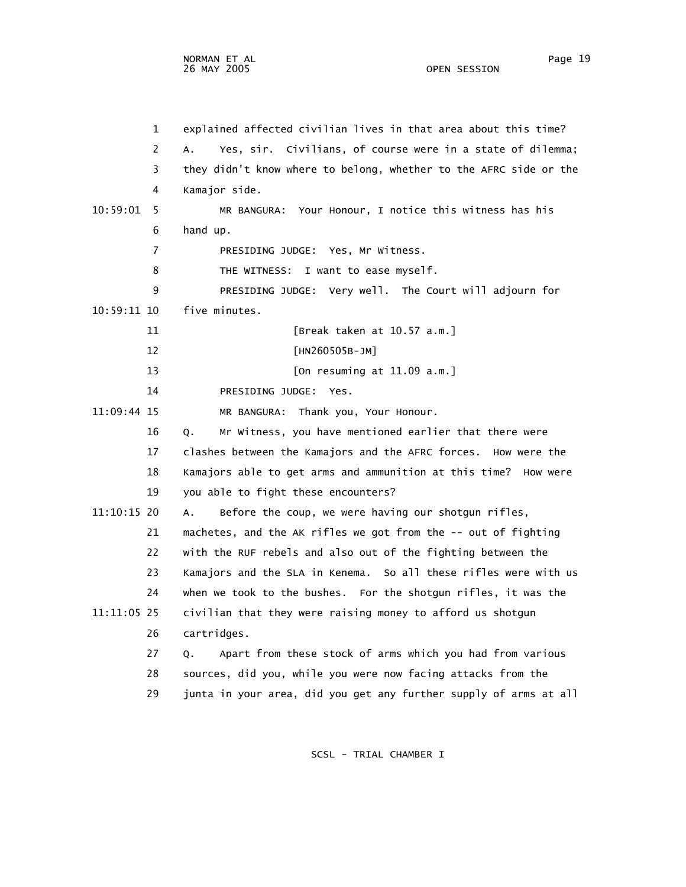|             | $\mathbf 1$    | explained affected civilian lives in that area about this time?      |
|-------------|----------------|----------------------------------------------------------------------|
|             | 2              | Yes, sir. Civilians, of course were in a state of dilemma;<br>А.     |
|             | 3              | they didn't know where to belong, whether to the AFRC side or the    |
|             | 4              | Kamajor side.                                                        |
| 10:59:01    | 5              | MR BANGURA: Your Honour, I notice this witness has his               |
|             | 6              | hand up.                                                             |
|             | $\overline{7}$ | PRESIDING JUDGE: Yes, Mr Witness.                                    |
|             | 8              | I want to ease myself.<br>THE WITNESS:                               |
|             | 9              | PRESIDING JUDGE: Very well. The Court will adjourn for               |
| 10:59:11 10 |                | five minutes.                                                        |
|             | 11             | [Break taken at 10.57 a.m.]                                          |
|             | 12             | [HN260505B-JM]                                                       |
|             | 13             | [On resuming at $11.09$ a.m.]                                        |
|             | 14             | PRESIDING JUDGE: Yes.                                                |
| 11:09:44 15 |                | MR BANGURA: Thank you, Your Honour.                                  |
|             | 16             | Mr Witness, you have mentioned earlier that there were<br>Q.         |
|             | 17             | clashes between the Kamajors and the AFRC forces. How were the       |
|             | 18             | Kamajors able to get arms and ammunition at this time? How were      |
|             | 19             | you able to fight these encounters?                                  |
| 11:10:15 20 |                | Before the coup, we were having our shotgun rifles,<br>$A_{\bullet}$ |
|             | 21             | machetes, and the AK rifles we got from the -- out of fighting       |
|             | 22             | with the RUF rebels and also out of the fighting between the         |
|             | 23             | Kamajors and the SLA in Kenema. So all these rifles were with us     |
|             | 24             | when we took to the bushes. For the shotgun rifles, it was the       |
| 11:11:05 25 |                | civilian that they were raising money to afford us shotgun           |
|             | 26             | cartridges.                                                          |
|             | 27             | Apart from these stock of arms which you had from various<br>Q.      |
|             | 28             | sources, did you, while you were now facing attacks from the         |
|             | 29             | junta in your area, did you get any further supply of arms at all    |
|             |                |                                                                      |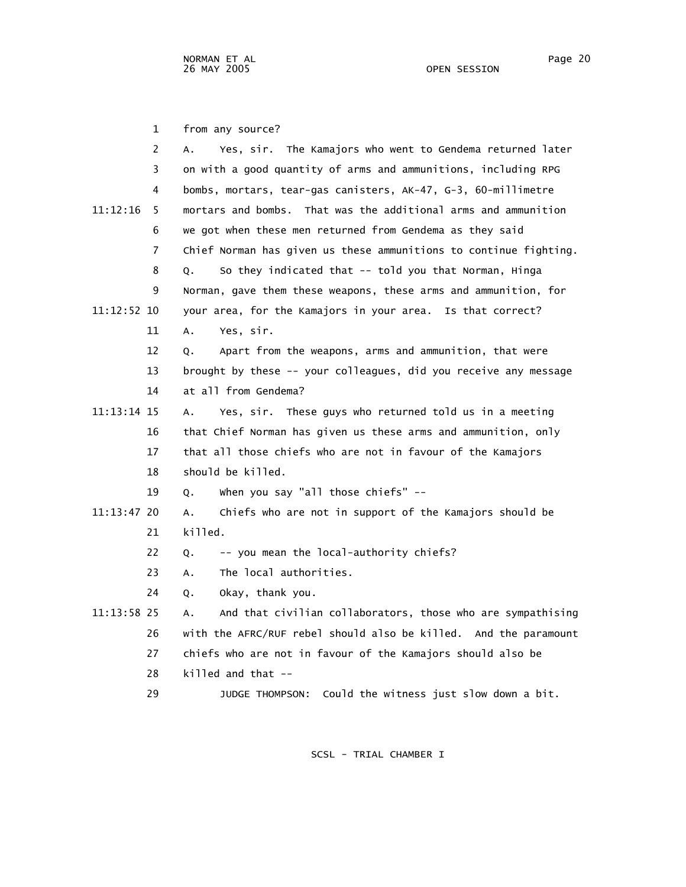1 from any source?

| 2             | Yes, sir. The Kamajors who went to Gendema returned later<br>А.   |
|---------------|-------------------------------------------------------------------|
| 3             | on with a good quantity of arms and ammunitions, including RPG    |
| 4             | bombs, mortars, tear-gas canisters, AK-47, G-3, 60-millimetre     |
| 11:12:16<br>5 | mortars and bombs. That was the additional arms and ammunition    |
| 6             | we got when these men returned from Gendema as they said          |
| 7             | Chief Norman has given us these ammunitions to continue fighting. |
| 8             | So they indicated that -- told you that Norman, Hinga<br>Q.       |
| 9             | Norman, gave them these weapons, these arms and ammunition, for   |
| 11:12:52 10   | your area, for the Kamajors in your area. Is that correct?        |
| 11            | Yes, sir.<br>А.                                                   |
| 12            | Apart from the weapons, arms and ammunition, that were<br>О.      |
| 13            | brought by these -- your colleagues, did you receive any message  |
| 14            | at all from Gendema?                                              |
| 11:13:14 15   | Yes, sir. These guys who returned told us in a meeting<br>Α.      |
| 16            | that Chief Norman has given us these arms and ammunition, only    |
| 17            | that all those chiefs who are not in favour of the Kamajors       |
| 18            | should be killed.                                                 |
| 19            | when you say "all those chiefs" --<br>Q.                          |
| 11:13:47 20   | Chiefs who are not in support of the Kamajors should be<br>А.     |
| 21            | killed.                                                           |
| 22            | -- you mean the local-authority chiefs?<br>Q.                     |
| 23            | The local authorities.<br>А.                                      |
| 24            | Okay, thank you.<br>Q.                                            |
| 11:13:58 25   | And that civilian collaborators, those who are sympathising<br>А. |
| 26            | with the AFRC/RUF rebel should also be killed. And the paramount  |
| 27            | chiefs who are not in favour of the Kamajors should also be       |
| 28            | killed and that --                                                |
| 29            | Could the witness just slow down a bit.<br>JUDGE THOMPSON:        |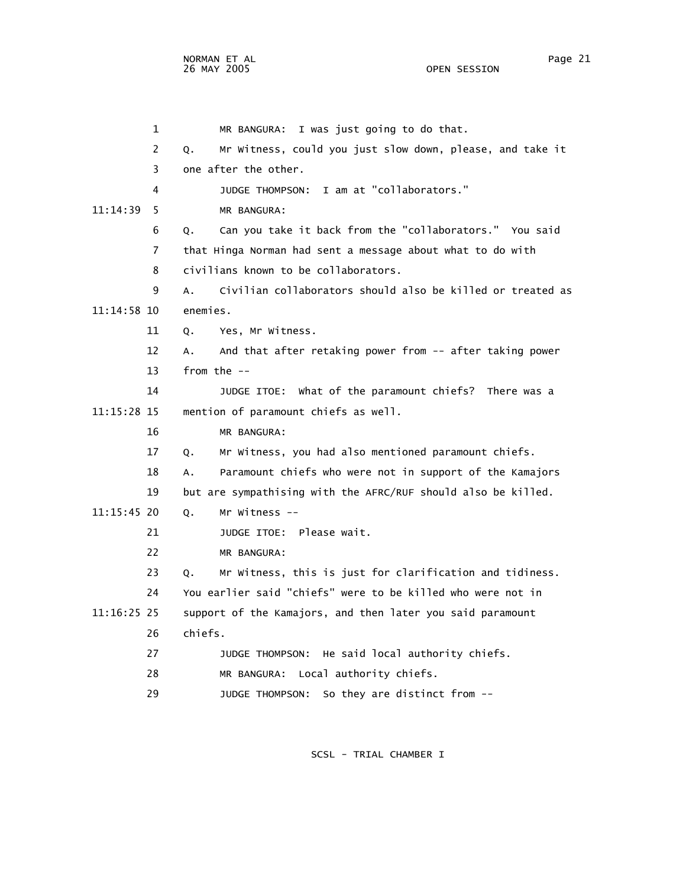1 MR BANGURA: I was just going to do that. 2 Q. Mr Witness, could you just slow down, please, and take it 3 one after the other. 4 JUDGE THOMPSON: I am at "collaborators." 11:14:39 5 MR BANGURA: 6 Q. Can you take it back from the "collaborators." You said 7 that Hinga Norman had sent a message about what to do with 8 civilians known to be collaborators. 9 A. Civilian collaborators should also be killed or treated as 11:14:58 10 enemies. 11 Q. Yes, Mr Witness. 12 A. And that after retaking power from -- after taking power 13 from the -- 14 JUDGE ITOE: What of the paramount chiefs? There was a 11:15:28 15 mention of paramount chiefs as well. 16 MR BANGURA: 17 Q. Mr Witness, you had also mentioned paramount chiefs. 18 A. Paramount chiefs who were not in support of the Kamajors 19 but are sympathising with the AFRC/RUF should also be killed. 11:15:45 20 Q. Mr Witness -- 21 JUDGE ITOE: Please wait. 22 MR BANGURA: 23 Q. Mr Witness, this is just for clarification and tidiness. 24 You earlier said "chiefs" were to be killed who were not in 11:16:25 25 support of the Kamajors, and then later you said paramount 26 chiefs. 27 JUDGE THOMPSON: He said local authority chiefs. 28 MR BANGURA: Local authority chiefs. 29 JUDGE THOMPSON: So they are distinct from --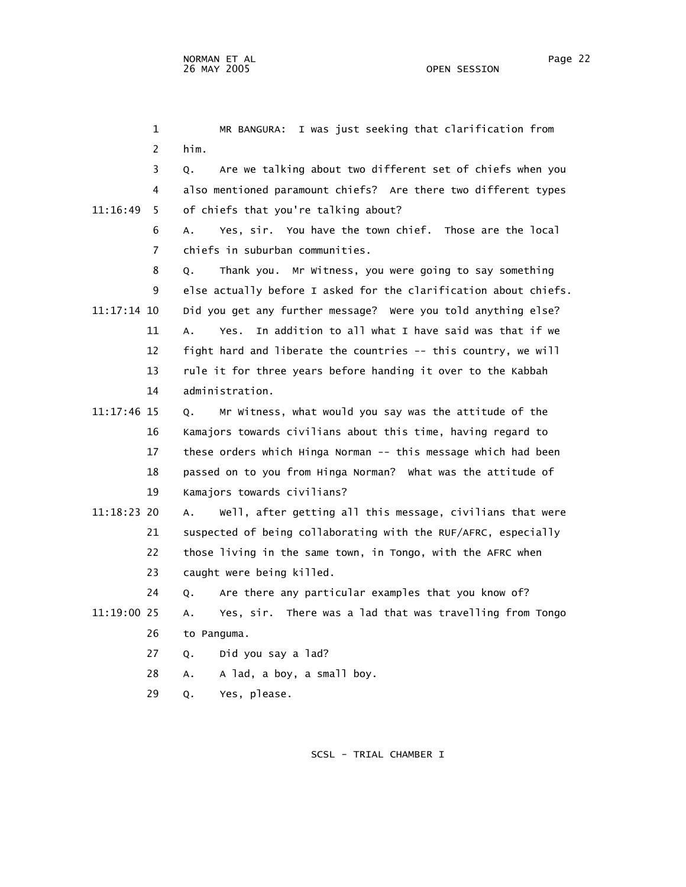1 MR BANGURA: I was just seeking that clarification from 2 him. 3 Q. Are we talking about two different set of chiefs when you 4 also mentioned paramount chiefs? Are there two different types 11:16:49 5 of chiefs that you're talking about? 6 A. Yes, sir. You have the town chief. Those are the local 7 chiefs in suburban communities. 8 Q. Thank you. Mr Witness, you were going to say something 9 else actually before I asked for the clarification about chiefs. 11:17:14 10 Did you get any further message? Were you told anything else? 11 A. Yes. In addition to all what I have said was that if we 12 fight hard and liberate the countries -- this country, we will 13 rule it for three years before handing it over to the Kabbah 14 administration. 11:17:46 15 Q. Mr Witness, what would you say was the attitude of the 16 Kamajors towards civilians about this time, having regard to 17 these orders which Hinga Norman -- this message which had been 18 passed on to you from Hinga Norman? What was the attitude of 19 Kamajors towards civilians? 11:18:23 20 A. Well, after getting all this message, civilians that were 21 suspected of being collaborating with the RUF/AFRC, especially 22 those living in the same town, in Tongo, with the AFRC when 23 caught were being killed. 24 Q. Are there any particular examples that you know of? 11:19:00 25 A. Yes, sir. There was a lad that was travelling from Tongo 26 to Panguma. 27 Q. Did you say a lad? 28 A. A lad, a boy, a small boy.

29 Q. Yes, please.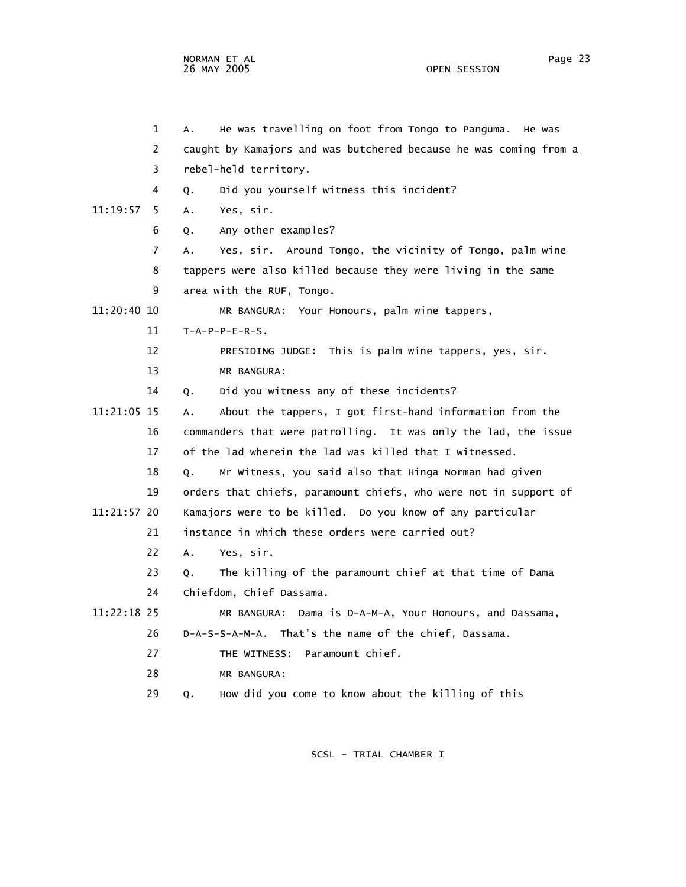NORMAN ET AL Page 23 Page 23 Page 23 Page 23 Page 23 Page 23 Page 23 Page 23 Page 23 Page 23 Page 23 Page 23 Page 23 26 MAY 2005 OPEN SESSION

| 1              | He was travelling on foot from Tongo to Panguma.<br>А.<br>He was  |
|----------------|-------------------------------------------------------------------|
| $\overline{2}$ | caught by Kamajors and was butchered because he was coming from a |
| 3              | rebel-held territory.                                             |
| 4              | Did you yourself witness this incident?<br>Q.                     |
| 11:19:57<br>5. | Yes, sir.<br>А.                                                   |
| 6              | Any other examples?<br>0.                                         |
| $\overline{7}$ | Yes, sir. Around Tongo, the vicinity of Tongo, palm wine<br>А.    |
| 8              | tappers were also killed because they were living in the same     |
| 9              | area with the RUF, Tongo.                                         |
| 11:20:40 10    | MR BANGURA: Your Honours, palm wine tappers,                      |
| 11             | $T-A-P-P-E-R-S.$                                                  |
| 12             | PRESIDING JUDGE: This is palm wine tappers, yes, sir.             |
| 13             | MR BANGURA:                                                       |
| 14             | Did you witness any of these incidents?<br>Q.                     |
| 11:21:05 15    | About the tappers, I got first-hand information from the<br>А.    |
| 16             | commanders that were patrolling. It was only the lad, the issue   |
| 17             | of the lad wherein the lad was killed that I witnessed.           |
| 18             | Mr Witness, you said also that Hinga Norman had given<br>Q.       |
| 19             | orders that chiefs, paramount chiefs, who were not in support of  |
| 11:21:57 20    | Kamajors were to be killed. Do you know of any particular         |
| 21             | instance in which these orders were carried out?                  |
| 22             | Yes, sir.<br>А.                                                   |
| 23             | The killing of the paramount chief at that time of Dama<br>Q.     |
| 24             | Chiefdom, Chief Dassama.                                          |
| 11:22:18 25    | MR BANGURA: Dama is D-A-M-A, Your Honours, and Dassama,           |
| 26             | D-A-S-S-A-M-A. That's the name of the chief, Dassama.             |
| 27             | Paramount chief.<br>THE WITNESS:                                  |
| 28             | MR BANGURA:                                                       |
| 29             | How did you come to know about the killing of this<br>Q.          |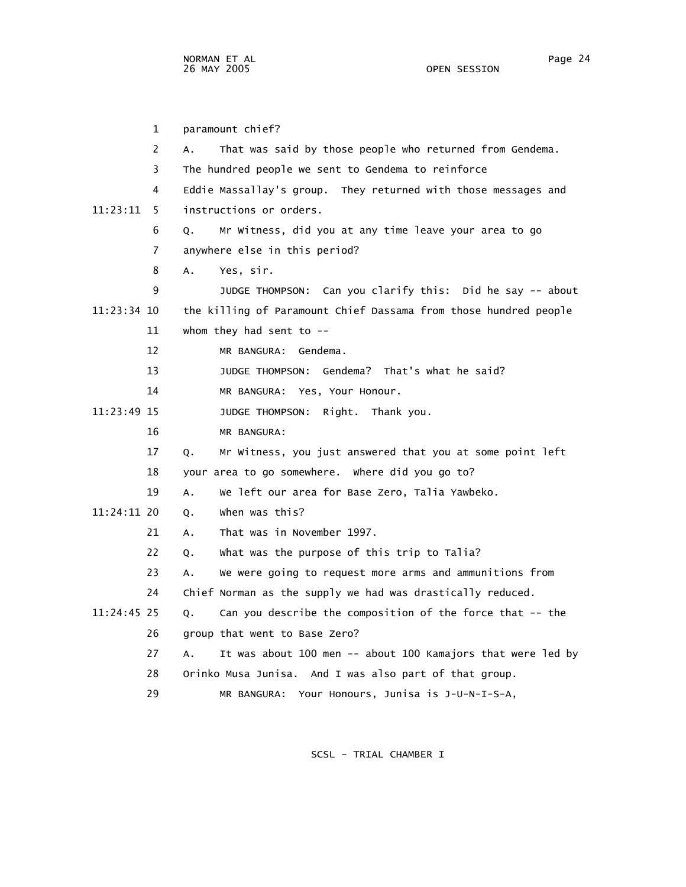1 paramount chief? 2 A. That was said by those people who returned from Gendema. 3 The hundred people we sent to Gendema to reinforce 4 Eddie Massallay's group. They returned with those messages and 11:23:11 5 instructions or orders. 6 Q. Mr Witness, did you at any time leave your area to go 7 anywhere else in this period? 8 A. Yes, sir. 9 JUDGE THOMPSON: Can you clarify this: Did he say -- about 11:23:34 10 the killing of Paramount Chief Dassama from those hundred people 11 whom they had sent to -- 12 MR BANGURA: Gendema. 13 JUDGE THOMPSON: Gendema? That's what he said? 14 MR BANGURA: Yes, Your Honour. 11:23:49 15 JUDGE THOMPSON: Right. Thank you. 16 MR BANGURA: 17 Q. Mr Witness, you just answered that you at some point left 18 your area to go somewhere. Where did you go to? 19 A. We left our area for Base Zero, Talia Yawbeko. 11:24:11 20 Q. When was this? 21 A. That was in November 1997. 22 Q. What was the purpose of this trip to Talia? 23 A. We were going to request more arms and ammunitions from 24 Chief Norman as the supply we had was drastically reduced. 11:24:45 25 Q. Can you describe the composition of the force that -- the 26 group that went to Base Zero? 27 A. It was about 100 men -- about 100 Kamajors that were led by 28 Orinko Musa Junisa. And I was also part of that group.

29 MR BANGURA: Your Honours, Junisa is J-U-N-I-S-A,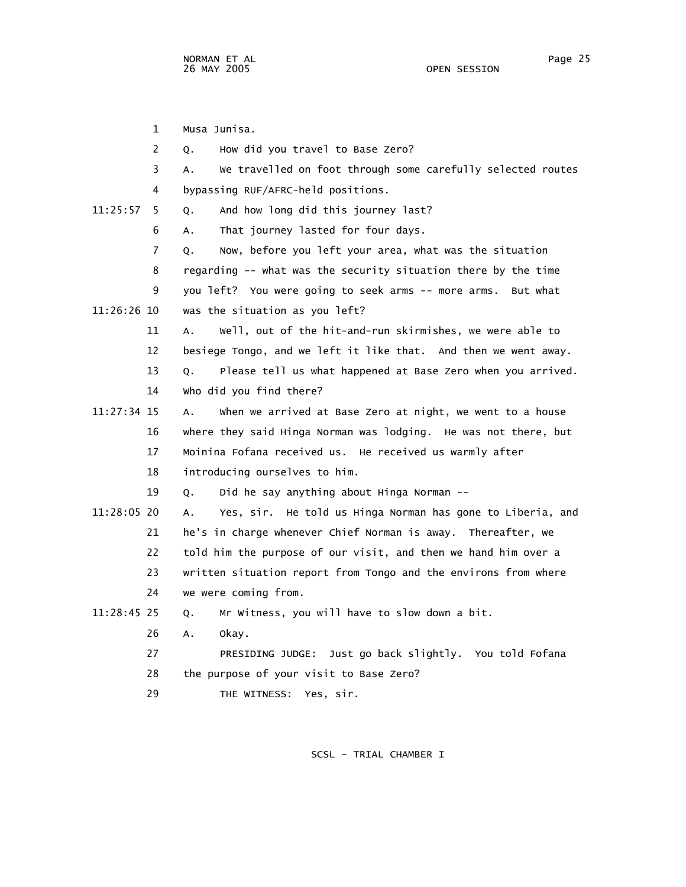| $\mathbf{1}$  | Musa Junisa.                                                                  |
|---------------|-------------------------------------------------------------------------------|
| 2             | How did you travel to Base Zero?<br>Q.                                        |
| 3             | We travelled on foot through some carefully selected routes<br>А.             |
| 4             | bypassing RUF/AFRC-held positions.                                            |
| 11:25:57<br>5 | And how long did this journey last?<br>Q.                                     |
| 6             | That journey lasted for four days.<br>А.                                      |
| 7             | Now, before you left your area, what was the situation<br>Q.                  |
| 8             | regarding -- what was the security situation there by the time                |
| 9             | you left? You were going to seek arms -- more arms. But what                  |
| 11:26:26 10   | was the situation as you left?                                                |
| 11            | Well, out of the hit-and-run skirmishes, we were able to<br>A.                |
| 12            | besiege Tongo, and we left it like that. And then we went away.               |
| 13            | Please tell us what happened at Base Zero when you arrived.<br>Q <sub>1</sub> |
| 14            | who did you find there?                                                       |
| 11:27:34 15   | when we arrived at Base Zero at night, we went to a house<br>A.               |
| 16            | where they said Hinga Norman was lodging. He was not there, but               |
| 17            | Moinina Fofana received us. He received us warmly after                       |
| 18            | introducing ourselves to him.                                                 |
| 19            | Did he say anything about Hinga Norman --<br>Q.                               |
| 11:28:05 20   | Yes, sir. He told us Hinga Norman has gone to Liberia, and<br>А.              |
| 21            | he's in charge whenever Chief Norman is away. Thereafter, we                  |
| 22            | told him the purpose of our visit, and then we hand him over a                |
| 23            | written situation report from Tongo and the environs from where               |
| 24            | we were coming from.                                                          |
| 11:28:45 25   | Mr Witness, you will have to slow down a bit.<br>Q.                           |
| 26            | Α.<br>okay.                                                                   |
| 27            | PRESIDING JUDGE: Just go back slightly. You told Fofana                       |
| 28            | the purpose of your visit to Base Zero?                                       |
| 29            | THE WITNESS: Yes, sir.                                                        |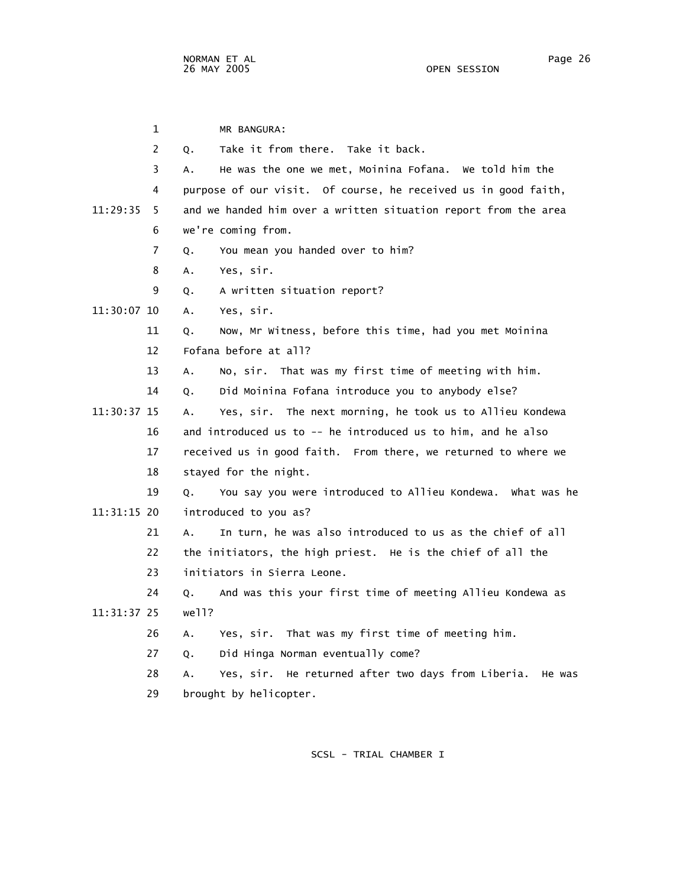| 1              |       | MR BANGURA:                                                     |
|----------------|-------|-----------------------------------------------------------------|
| $\overline{2}$ | Q.    | Take it from there. Take it back.                               |
| 3              | А.    | He was the one we met, Moinina Fofana. We told him the          |
| 4              |       | purpose of our visit. Of course, he received us in good faith,  |
| 11:29:35<br>5  |       | and we handed him over a written situation report from the area |
| 6              |       | we're coming from.                                              |
| $\overline{7}$ | Q.    | You mean you handed over to him?                                |
| 8              | Α.    | Yes, sir.                                                       |
| 9              | Q.    | A written situation report?                                     |
| 11:30:07 10    | А.    | Yes, sir.                                                       |
| 11             | Q.    | Now, Mr Witness, before this time, had you met Moinina          |
| 12             |       | Fofana before at all?                                           |
| 13             | Α.    | No, sir. That was my first time of meeting with him.            |
| 14             | Q.    | Did Moinina Fofana introduce you to anybody else?               |
| 11:30:37 15    | Α.    | Yes, sir. The next morning, he took us to Allieu Kondewa        |
| 16             |       | and introduced us to -- he introduced us to him, and he also    |
| 17             |       | received us in good faith. From there, we returned to where we  |
| 18             |       | stayed for the night.                                           |
| 19             | Q.    | You say you were introduced to Allieu Kondewa. What was he      |
| 11:31:15 20    |       | introduced to you as?                                           |
| 21             | Α.    | In turn, he was also introduced to us as the chief of all       |
| 22             |       | the initiators, the high priest. He is the chief of all the     |
| 23             |       | initiators in Sierra Leone.                                     |
| 24             | Q.    | And was this your first time of meeting Allieu Kondewa as       |
| 11:31:37 25    | we11? |                                                                 |
| 26             | Α.    | Yes, sir. That was my first time of meeting him.                |
| 27             | Q.    | Did Hinga Norman eventually come?                               |
| 28             | А.    | Yes, sir. He returned after two days from Liberia.<br>He was    |
| 29             |       | brought by helicopter.                                          |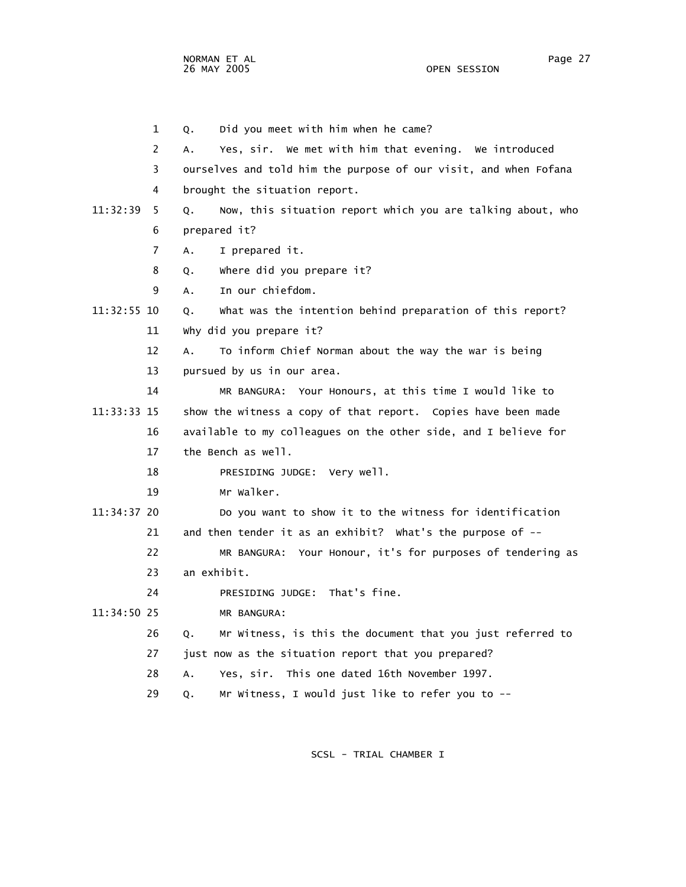NORMAN ET AL Page 27

1 Q. Did you meet with him when he came?

 2 A. Yes, sir. We met with him that evening. We introduced 3 ourselves and told him the purpose of our visit, and when Fofana 4 brought the situation report. 11:32:39 5 Q. Now, this situation report which you are talking about, who 6 prepared it? 7 A. I prepared it. 8 Q. Where did you prepare it? 9 A. In our chiefdom. 11:32:55 10 Q. What was the intention behind preparation of this report? 11 Why did you prepare it? 12 A. To inform Chief Norman about the way the war is being 13 pursued by us in our area. 14 MR BANGURA: Your Honours, at this time I would like to 11:33:33 15 show the witness a copy of that report. Copies have been made 16 available to my colleagues on the other side, and I believe for 17 the Bench as well. 18 PRESIDING JUDGE: Very well. 19 Mr Walker. 11:34:37 20 Do you want to show it to the witness for identification 21 and then tender it as an exhibit? What's the purpose of -- 22 MR BANGURA: Your Honour, it's for purposes of tendering as 23 an exhibit. 24 PRESIDING JUDGE: That's fine. 11:34:50 25 MR BANGURA: 26 Q. Mr Witness, is this the document that you just referred to 27 just now as the situation report that you prepared? 28 A. Yes, sir. This one dated 16th November 1997. 29 Q. Mr Witness, I would just like to refer you to --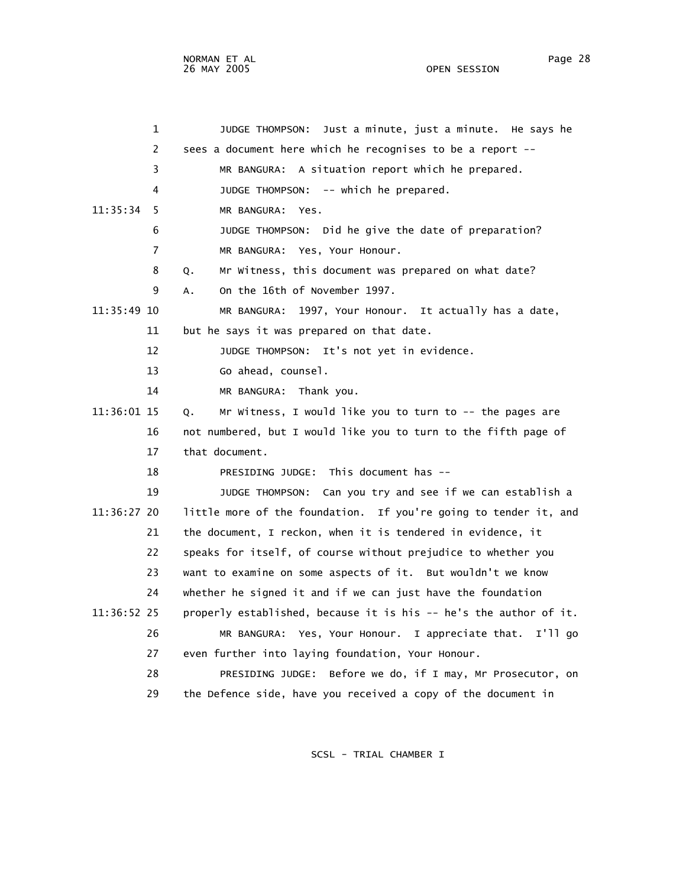1 JUDGE THOMPSON: Just a minute, just a minute. He says he 2 sees a document here which he recognises to be a report -- 3 MR BANGURA: A situation report which he prepared. 4 JUDGE THOMPSON: -- which he prepared. 11:35:34 5 MR BANGURA: Yes. 6 JUDGE THOMPSON: Did he give the date of preparation? 7 MR BANGURA: Yes, Your Honour. 8 Q. Mr Witness, this document was prepared on what date? 9 A. On the 16th of November 1997. 11:35:49 10 MR BANGURA: 1997, Your Honour. It actually has a date, 11 but he says it was prepared on that date. 12 JUDGE THOMPSON: It's not yet in evidence. 13 Go ahead, counsel. 14 MR BANGURA: Thank you. 11:36:01 15 Q. Mr Witness, I would like you to turn to -- the pages are 16 not numbered, but I would like you to turn to the fifth page of 17 that document. 18 PRESIDING JUDGE: This document has -- 19 JUDGE THOMPSON: Can you try and see if we can establish a 11:36:27 20 little more of the foundation. If you're going to tender it, and 21 the document, I reckon, when it is tendered in evidence, it 22 speaks for itself, of course without prejudice to whether you 23 want to examine on some aspects of it. But wouldn't we know 24 whether he signed it and if we can just have the foundation 11:36:52 25 properly established, because it is his -- he's the author of it. 26 MR BANGURA: Yes, Your Honour. I appreciate that. I'll go 27 even further into laying foundation, Your Honour.

> 28 PRESIDING JUDGE: Before we do, if I may, Mr Prosecutor, on 29 the Defence side, have you received a copy of the document in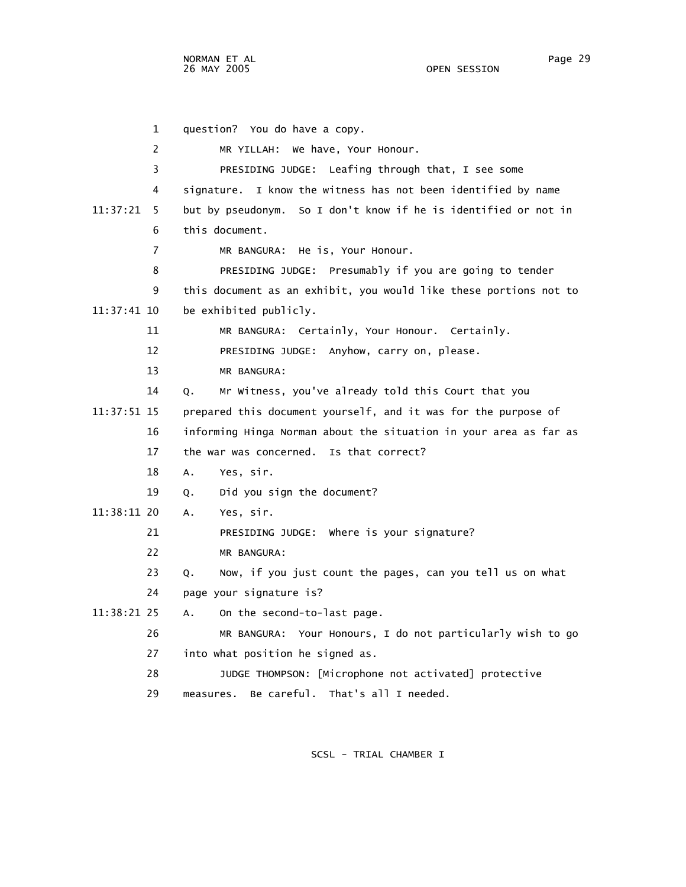1 question? You do have a copy. 2 MR YILLAH: We have, Your Honour. 3 PRESIDING JUDGE: Leafing through that, I see some 4 signature. I know the witness has not been identified by name 11:37:21 5 but by pseudonym. So I don't know if he is identified or not in 6 this document. 7 MR BANGURA: He is, Your Honour. 8 PRESIDING JUDGE: Presumably if you are going to tender 9 this document as an exhibit, you would like these portions not to 11:37:41 10 be exhibited publicly. 11 MR BANGURA: Certainly, Your Honour. Certainly. 12 PRESIDING JUDGE: Anyhow, carry on, please. 13 MR BANGURA: 14 Q. Mr Witness, you've already told this Court that you 11:37:51 15 prepared this document yourself, and it was for the purpose of 16 informing Hinga Norman about the situation in your area as far as 17 the war was concerned. Is that correct? 18 A. Yes, sir. 19 Q. Did you sign the document? 11:38:11 20 A. Yes, sir. 21 PRESIDING JUDGE: Where is your signature? 22 MR BANGURA: 23 Q. Now, if you just count the pages, can you tell us on what 24 page your signature is? 11:38:21 25 A. On the second-to-last page. 26 MR BANGURA: Your Honours, I do not particularly wish to go 27 into what position he signed as. 28 JUDGE THOMPSON: [Microphone not activated] protective 29 measures. Be careful. That's all I needed.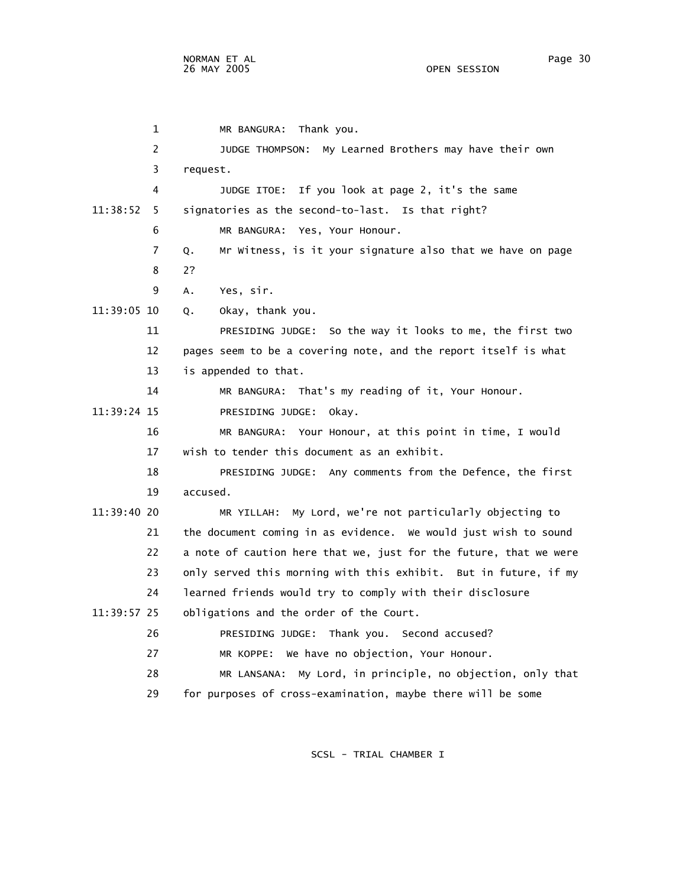1 MR BANGURA: Thank you. 2 JUDGE THOMPSON: My Learned Brothers may have their own 3 request. 4 JUDGE ITOE: If you look at page 2, it's the same 11:38:52 5 signatories as the second-to-last. Is that right? 6 MR BANGURA: Yes, Your Honour. 7 Q. Mr Witness, is it your signature also that we have on page 8 2? 9 A. Yes, sir. 11:39:05 10 Q. Okay, thank you. 11 PRESIDING JUDGE: So the way it looks to me, the first two 12 pages seem to be a covering note, and the report itself is what 13 is appended to that. 14 MR BANGURA: That's my reading of it, Your Honour. 11:39:24 15 PRESIDING JUDGE: Okay. 16 MR BANGURA: Your Honour, at this point in time, I would 17 wish to tender this document as an exhibit. 18 PRESIDING JUDGE: Any comments from the Defence, the first 19 accused. 11:39:40 20 MR YILLAH: My Lord, we're not particularly objecting to 21 the document coming in as evidence. We would just wish to sound 22 a note of caution here that we, just for the future, that we were 23 only served this morning with this exhibit. But in future, if my 24 learned friends would try to comply with their disclosure 11:39:57 25 obligations and the order of the Court. 26 PRESIDING JUDGE: Thank you. Second accused? 27 MR KOPPE: We have no objection, Your Honour. 28 MR LANSANA: My Lord, in principle, no objection, only that 29 for purposes of cross-examination, maybe there will be some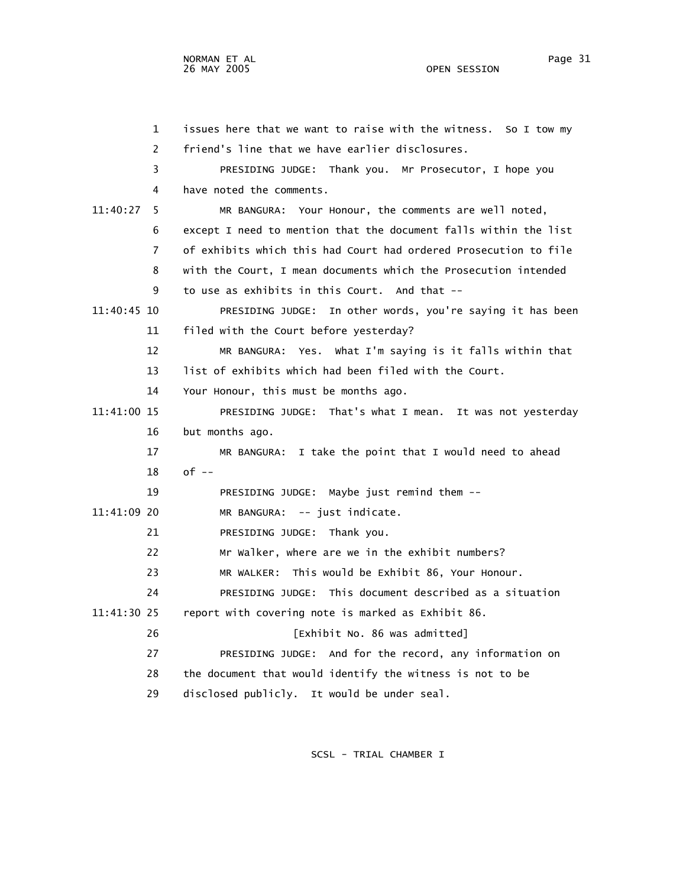1 issues here that we want to raise with the witness. So I tow my 2 friend's line that we have earlier disclosures. 3 PRESIDING JUDGE: Thank you. Mr Prosecutor, I hope you 4 have noted the comments. 11:40:27 5 MR BANGURA: Your Honour, the comments are well noted, 6 except I need to mention that the document falls within the list 7 of exhibits which this had Court had ordered Prosecution to file 8 with the Court, I mean documents which the Prosecution intended 9 to use as exhibits in this Court. And that -- 11:40:45 10 PRESIDING JUDGE: In other words, you're saying it has been 11 filed with the Court before yesterday? 12 MR BANGURA: Yes. What I'm saying is it falls within that 13 list of exhibits which had been filed with the Court. 14 Your Honour, this must be months ago. 11:41:00 15 PRESIDING JUDGE: That's what I mean. It was not yesterday 16 but months ago. 17 MR BANGURA: I take the point that I would need to ahead 18 of -- 19 PRESIDING JUDGE: Maybe just remind them -- 11:41:09 20 MR BANGURA: -- just indicate. 21 PRESIDING JUDGE: Thank you. 22 Mr Walker, where are we in the exhibit numbers? 23 MR WALKER: This would be Exhibit 86, Your Honour. 24 PRESIDING JUDGE: This document described as a situation 11:41:30 25 report with covering note is marked as Exhibit 86. 26 [Exhibit No. 86 was admitted] 27 PRESIDING JUDGE: And for the record, any information on 28 the document that would identify the witness is not to be 29 disclosed publicly. It would be under seal.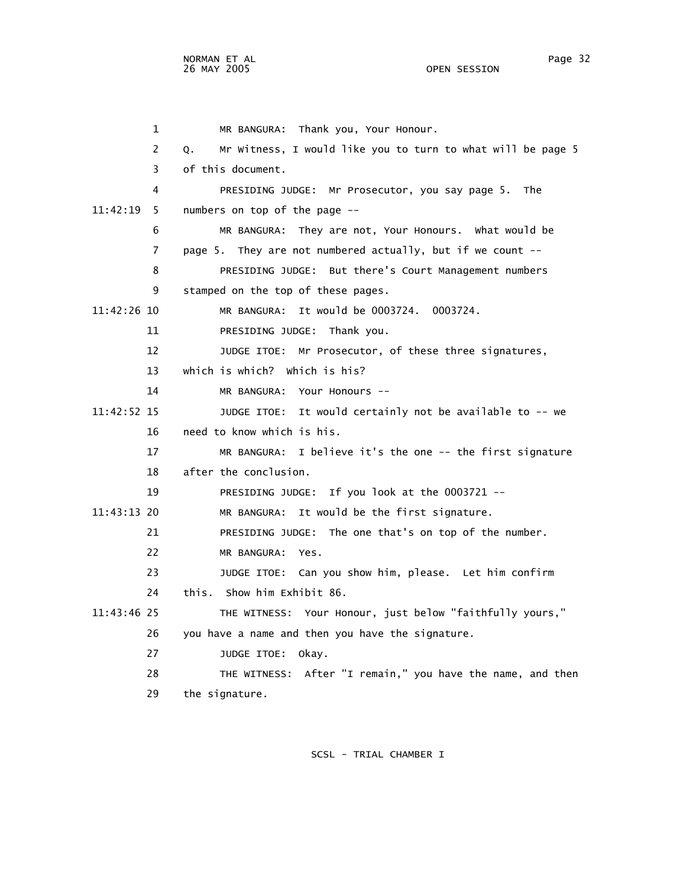1 MR BANGURA: Thank you, Your Honour. 2 Q. Mr Witness, I would like you to turn to what will be page 5 3 of this document. 4 PRESIDING JUDGE: Mr Prosecutor, you say page 5. The 11:42:19 5 numbers on top of the page -- 6 MR BANGURA: They are not, Your Honours. What would be 7 page 5. They are not numbered actually, but if we count -- 8 PRESIDING JUDGE: But there's Court Management numbers 9 stamped on the top of these pages. 11:42:26 10 MR BANGURA: It would be 0003724. 0003724. 11 PRESIDING JUDGE: Thank you. 12 JUDGE ITOE: Mr Prosecutor, of these three signatures, 13 which is which? Which is his? 14 MR BANGURA: Your Honours -- 11:42:52 15 JUDGE ITOE: It would certainly not be available to -- we 16 need to know which is his. 17 MR BANGURA: I believe it's the one -- the first signature 18 after the conclusion. 19 PRESIDING JUDGE: If you look at the 0003721 -- 11:43:13 20 MR BANGURA: It would be the first signature. 21 PRESIDING JUDGE: The one that's on top of the number. 22 MR BANGURA: Yes. 23 JUDGE ITOE: Can you show him, please. Let him confirm 24 this. Show him Exhibit 86. 11:43:46 25 THE WITNESS: Your Honour, just below "faithfully yours," 26 you have a name and then you have the signature. 27 JUDGE ITOE: Okay. 28 THE WITNESS: After "I remain," you have the name, and then 29 the signature.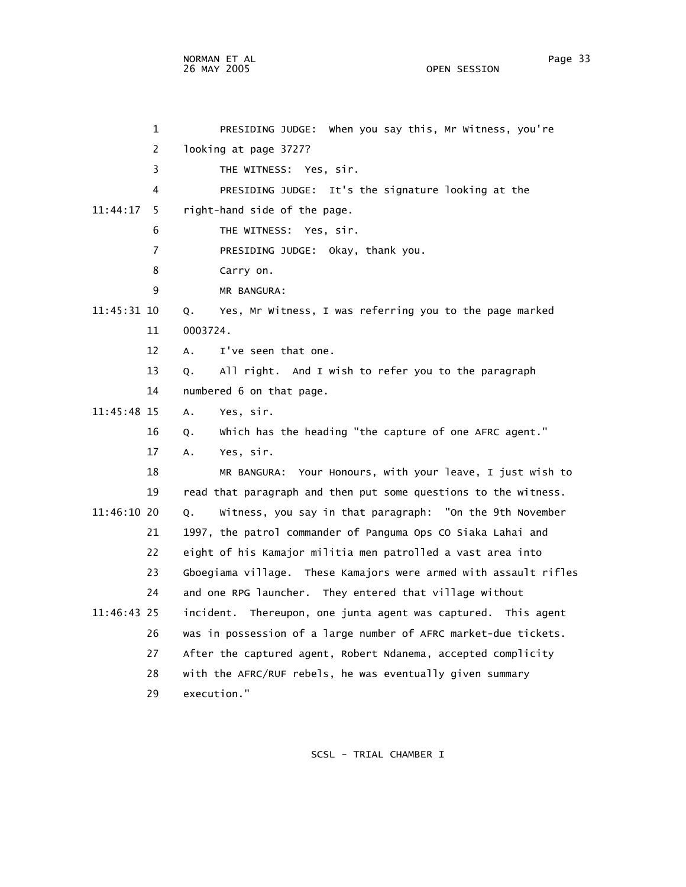NORMAN ET AL Page 33 26 MAY 2005

 1 PRESIDING JUDGE: When you say this, Mr Witness, you're 2 looking at page 3727? 3 THE WITNESS: Yes, sir. 4 PRESIDING JUDGE: It's the signature looking at the 11:44:17 5 right-hand side of the page. 6 THE WITNESS: Yes, sir. 7 PRESIDING JUDGE: Okay, thank you. 8 Carry on. 9 MR BANGURA: 11:45:31 10 Q. Yes, Mr Witness, I was referring you to the page marked 11 0003724. 12 A. I've seen that one. 13 Q. All right. And I wish to refer you to the paragraph 14 numbered 6 on that page. 11:45:48 15 A. Yes, sir. 16 Q. Which has the heading "the capture of one AFRC agent." 17 A. Yes, sir. 18 MR BANGURA: Your Honours, with your leave, I just wish to 19 read that paragraph and then put some questions to the witness. 11:46:10 20 Q. Witness, you say in that paragraph: "On the 9th November 21 1997, the patrol commander of Panguma Ops CO Siaka Lahai and 22 eight of his Kamajor militia men patrolled a vast area into 23 Gboegiama village. These Kamajors were armed with assault rifles 24 and one RPG launcher. They entered that village without 11:46:43 25 incident. Thereupon, one junta agent was captured. This agent 26 was in possession of a large number of AFRC market-due tickets. 27 After the captured agent, Robert Ndanema, accepted complicity 28 with the AFRC/RUF rebels, he was eventually given summary 29 execution."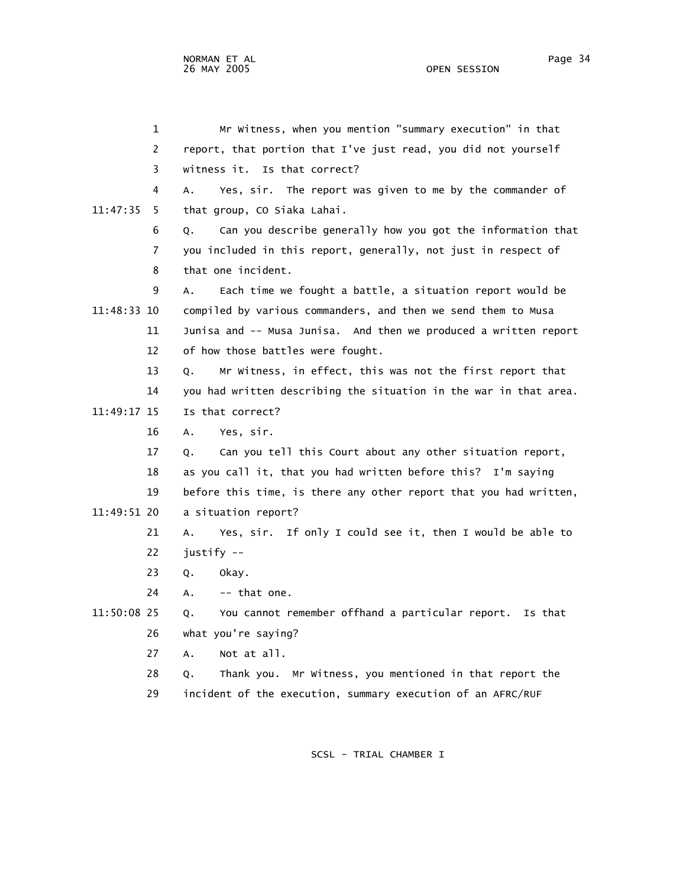1 Mr Witness, when you mention "summary execution" in that 2 report, that portion that I've just read, you did not yourself 3 witness it. Is that correct? 4 A. Yes, sir. The report was given to me by the commander of 11:47:35 5 that group, CO Siaka Lahai. 6 Q. Can you describe generally how you got the information that 7 you included in this report, generally, not just in respect of 8 that one incident. 9 A. Each time we fought a battle, a situation report would be 11:48:33 10 compiled by various commanders, and then we send them to Musa 11 Junisa and -- Musa Junisa. And then we produced a written report 12 of how those battles were fought. 13 Q. Mr Witness, in effect, this was not the first report that 14 you had written describing the situation in the war in that area. 11:49:17 15 Is that correct? 16 A. Yes, sir. 17 Q. Can you tell this Court about any other situation report, 18 as you call it, that you had written before this? I'm saying 19 before this time, is there any other report that you had written, 11:49:51 20 a situation report? 21 A. Yes, sir. If only I could see it, then I would be able to 22 justify -- 23 Q. Okay.  $24$  A.  $-$  that one. 11:50:08 25 Q. You cannot remember offhand a particular report. Is that 26 what you're saying? 27 A. Not at all. 28 Q. Thank you. Mr Witness, you mentioned in that report the

29 incident of the execution, summary execution of an AFRC/RUF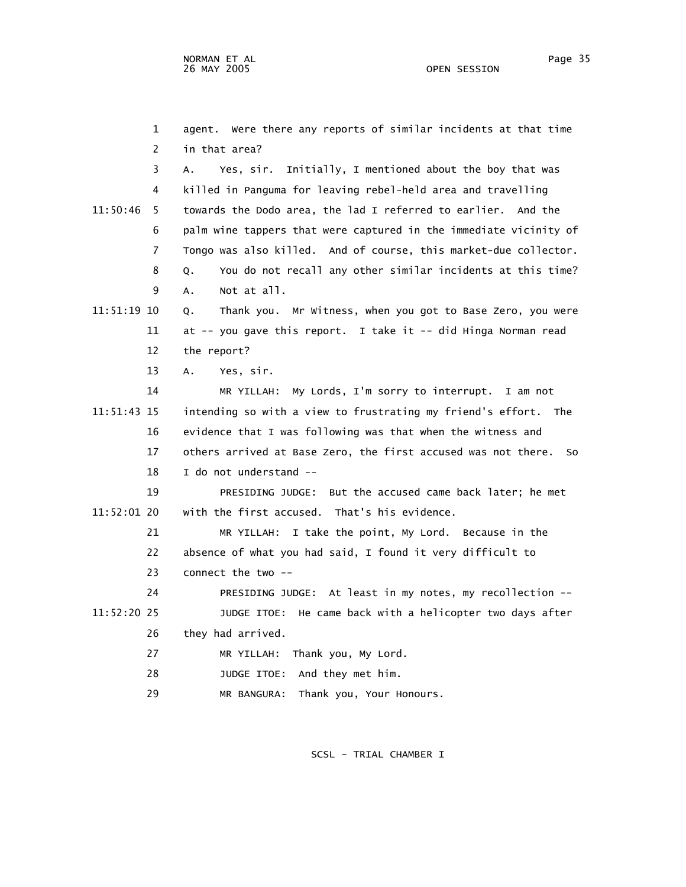1 agent. Were there any reports of similar incidents at that time 2 in that area? 3 A. Yes, sir. Initially, I mentioned about the boy that was 4 killed in Panguma for leaving rebel-held area and travelling 11:50:46 5 towards the Dodo area, the lad I referred to earlier. And the 6 palm wine tappers that were captured in the immediate vicinity of 7 Tongo was also killed. And of course, this market-due collector. 8 Q. You do not recall any other similar incidents at this time? 9 A. Not at all. 11:51:19 10 Q. Thank you. Mr Witness, when you got to Base Zero, you were 11 at -- you gave this report. I take it -- did Hinga Norman read 12 the report? 13 A. Yes, sir. 14 MR YILLAH: My Lords, I'm sorry to interrupt. I am not 11:51:43 15 intending so with a view to frustrating my friend's effort. The 16 evidence that I was following was that when the witness and 17 others arrived at Base Zero, the first accused was not there. So 18 I do not understand -- 19 PRESIDING JUDGE: But the accused came back later; he met 11:52:01 20 with the first accused. That's his evidence. 21 MR YILLAH: I take the point, My Lord. Because in the 22 absence of what you had said, I found it very difficult to 23 connect the two -- 24 PRESIDING JUDGE: At least in my notes, my recollection -- 11:52:20 25 JUDGE ITOE: He came back with a helicopter two days after 26 they had arrived. 27 MR YILLAH: Thank you, My Lord. 28 JUDGE ITOE: And they met him.

29 MR BANGURA: Thank you, Your Honours.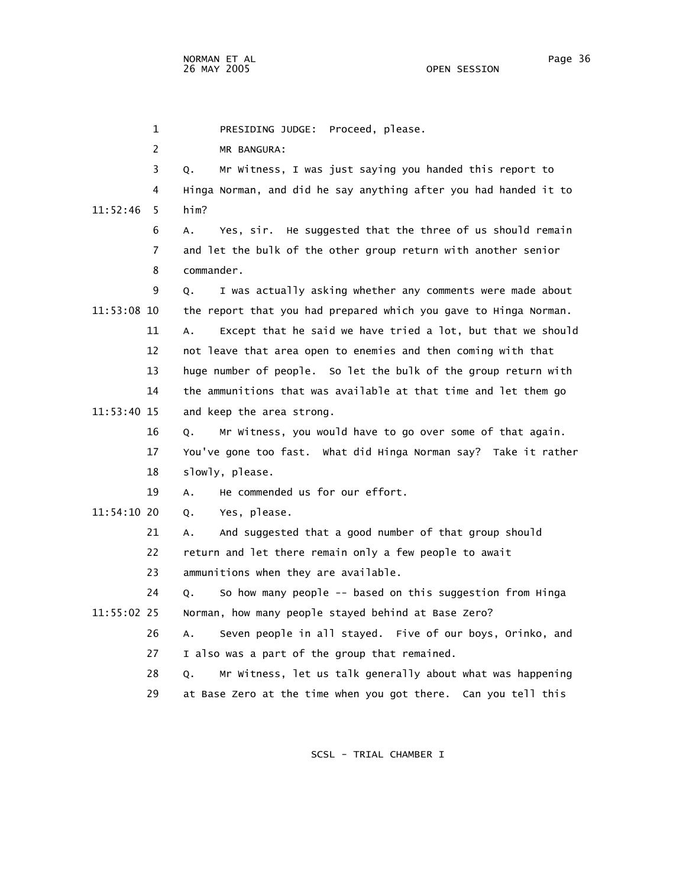1 PRESIDING JUDGE: Proceed, please.

2 MR BANGURA:

 3 Q. Mr Witness, I was just saying you handed this report to 4 Hinga Norman, and did he say anything after you had handed it to 11:52:46 5 him? 6 A. Yes, sir. He suggested that the three of us should remain 7 and let the bulk of the other group return with another senior 8 commander. 9 Q. I was actually asking whether any comments were made about 11:53:08 10 the report that you had prepared which you gave to Hinga Norman. 11 A. Except that he said we have tried a lot, but that we should 12 not leave that area open to enemies and then coming with that 13 huge number of people. So let the bulk of the group return with 14 the ammunitions that was available at that time and let them go 11:53:40 15 and keep the area strong. 16 Q. Mr Witness, you would have to go over some of that again. 17 You've gone too fast. What did Hinga Norman say? Take it rather 18 slowly, please. 19 A. He commended us for our effort. 11:54:10 20 Q. Yes, please. 21 A. And suggested that a good number of that group should 22 return and let there remain only a few people to await 23 ammunitions when they are available. 24 Q. So how many people -- based on this suggestion from Hinga 11:55:02 25 Norman, how many people stayed behind at Base Zero? 26 A. Seven people in all stayed. Five of our boys, Orinko, and 27 I also was a part of the group that remained. 28 Q. Mr Witness, let us talk generally about what was happening 29 at Base Zero at the time when you got there. Can you tell this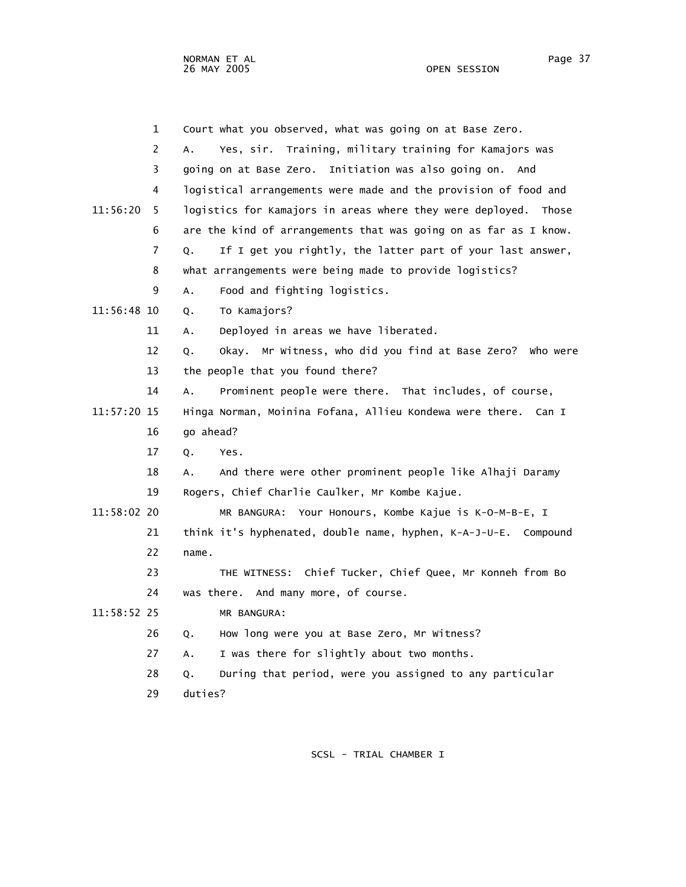NORMAN ET AL Page 37 and the set of the set of the set of the set of the set of the set of the set of the set o 26 MAY 2005 OPEN SESSION

|               | $\mathbf{1}$ | Court what you observed, what was going on at Base Zero.          |
|---------------|--------------|-------------------------------------------------------------------|
|               | 2            | Yes, sir. Training, military training for Kamajors was<br>A.      |
|               | 3            | going on at Base Zero. Initiation was also going on. And          |
|               | 4            | logistical arrangements were made and the provision of food and   |
| 11:56:20      | 5            | logistics for Kamajors in areas where they were deployed. Those   |
|               | 6            | are the kind of arrangements that was going on as far as I know.  |
|               | 7            | If I get you rightly, the latter part of your last answer,<br>Q.  |
|               | 8            | what arrangements were being made to provide logistics?           |
|               | 9            | Food and fighting logistics.<br>Α.                                |
| 11:56:48 10   |              | To Kamajors?<br>Q.                                                |
|               | 11           | Deployed in areas we have liberated.<br>А.                        |
|               | 12           | Okay. Mr Witness, who did you find at Base Zero? Who were<br>Q.   |
|               | 13           | the people that you found there?                                  |
|               | 14           | Prominent people were there. That includes, of course,<br>Α.      |
| 11:57:20 15   |              | Hinga Norman, Moinina Fofana, Allieu Kondewa were there.<br>Can I |
|               | 16           | go ahead?                                                         |
|               | 17           | Q.<br>Yes.                                                        |
|               | 18           | And there were other prominent people like Alhaji Daramy<br>А.    |
|               | 19           | Rogers, Chief Charlie Caulker, Mr Kombe Kajue.                    |
| $11:58:02$ 20 |              | Your Honours, Kombe Kajue is K-O-M-B-E, I<br>MR BANGURA:          |
|               | 21           | think it's hyphenated, double name, hyphen, K-A-J-U-E. Compound   |
|               | 22           | name.                                                             |
|               | 23           | THE WITNESS: Chief Tucker, Chief Quee, Mr Konneh from Bo          |
|               | 24           | was there. And many more, of course.                              |
| 11:58:52 25   |              | MR BANGURA:                                                       |
|               | 26           | How long were you at Base Zero, Mr Witness?<br>Q.                 |
|               | 27           | I was there for slightly about two months.<br>Α.                  |
|               | 28           | During that period, were you assigned to any particular<br>Q.     |
|               | 29           | duties?                                                           |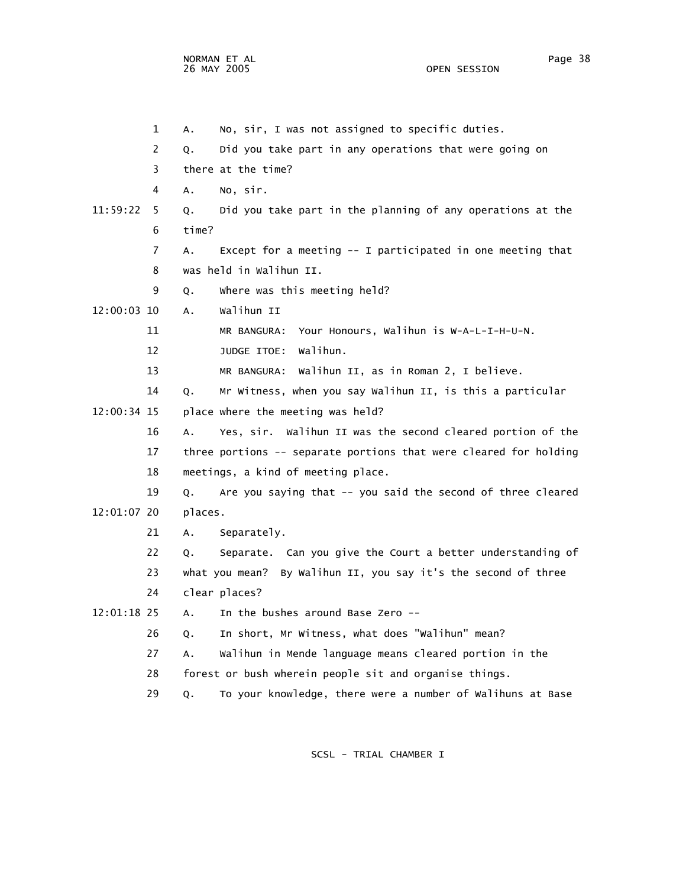NORMAN ET AL Page 38 26 MAY 2005

 1 A. No, sir, I was not assigned to specific duties. 2 Q. Did you take part in any operations that were going on 3 there at the time? 4 A. No, sir. 11:59:22 5 Q. Did you take part in the planning of any operations at the 6 time? 7 A. Except for a meeting -- I participated in one meeting that 8 was held in Walihun II. 9 Q. Where was this meeting held? 12:00:03 10 A. Walihun II 11 MR BANGURA: Your Honours, Walihun is W-A-L-I-H-U-N. 12 JUDGE ITOE: Walihun. 13 MR BANGURA: Walihun II, as in Roman 2, I believe. 14 Q. Mr Witness, when you say Walihun II, is this a particular 12:00:34 15 place where the meeting was held? 16 A. Yes, sir. Walihun II was the second cleared portion of the 17 three portions -- separate portions that were cleared for holding 18 meetings, a kind of meeting place. 19 Q. Are you saying that -- you said the second of three cleared 12:01:07 20 places. 21 A. Separately. 22 Q. Separate. Can you give the Court a better understanding of 23 what you mean? By Walihun II, you say it's the second of three 24 clear places? 12:01:18 25 A. In the bushes around Base Zero -- 26 Q. In short, Mr Witness, what does "Walihun" mean? 27 A. Walihun in Mende language means cleared portion in the 28 forest or bush wherein people sit and organise things. 29 Q. To your knowledge, there were a number of Walihuns at Base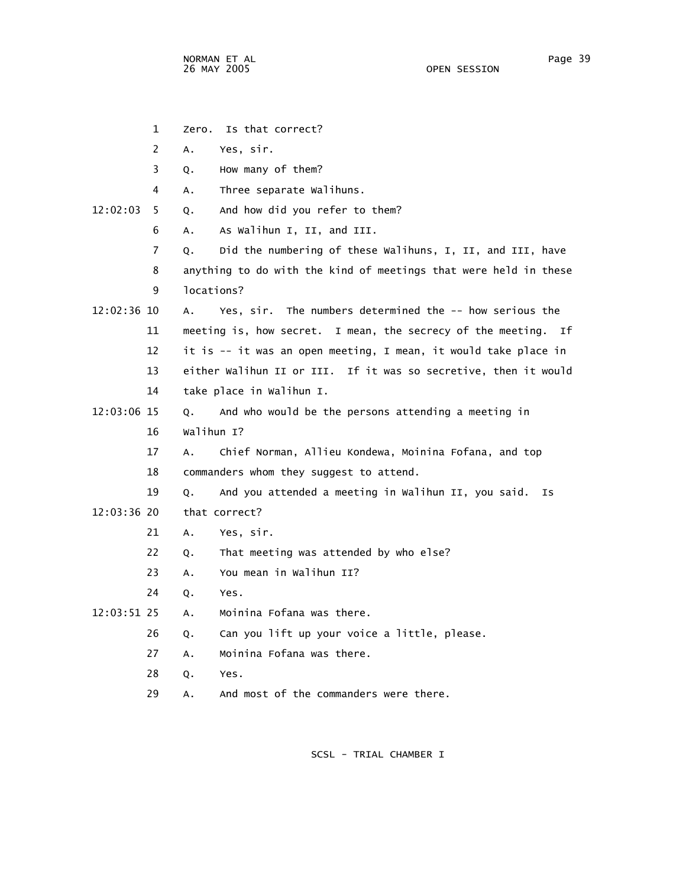1 Zero. Is that correct? 2 A. Yes, sir. 3 Q. How many of them? 4 A. Three separate Walihuns. 12:02:03 5 Q. And how did you refer to them? 6 A. As Walihun I, II, and III. 7 Q. Did the numbering of these Walihuns, I, II, and III, have 8 anything to do with the kind of meetings that were held in these 9 locations? 12:02:36 10 A. Yes, sir. The numbers determined the -- how serious the 11 meeting is, how secret. I mean, the secrecy of the meeting. If 12 it is -- it was an open meeting, I mean, it would take place in 13 either Walihun II or III. If it was so secretive, then it would 14 take place in Walihun I. 12:03:06 15 Q. And who would be the persons attending a meeting in 16 Walihun I? 17 A. Chief Norman, Allieu Kondewa, Moinina Fofana, and top 18 commanders whom they suggest to attend. 19 Q. And you attended a meeting in Walihun II, you said. Is 12:03:36 20 that correct? 21 A. Yes, sir. 22 Q. That meeting was attended by who else? 23 A. You mean in Walihun II? 24 Q. Yes. 12:03:51 25 A. Moinina Fofana was there. 26 Q. Can you lift up your voice a little, please. 27 A. Moinina Fofana was there. 28 Q. Yes. 29 A. And most of the commanders were there.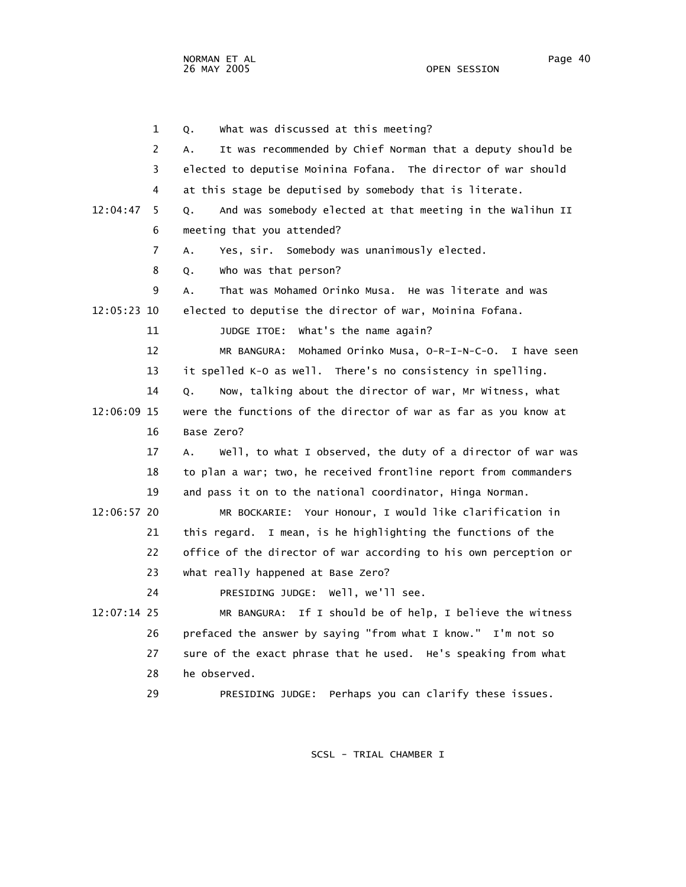1 Q. What was discussed at this meeting? 2 A. It was recommended by Chief Norman that a deputy should be 3 elected to deputise Moinina Fofana. The director of war should 4 at this stage be deputised by somebody that is literate. 12:04:47 5 Q. And was somebody elected at that meeting in the Walihun II 6 meeting that you attended? 7 A. Yes, sir. Somebody was unanimously elected. 8 Q. Who was that person? 9 A. That was Mohamed Orinko Musa. He was literate and was 12:05:23 10 elected to deputise the director of war, Moinina Fofana. 11 **JUDGE ITOE:** What's the name again? 12 MR BANGURA: Mohamed Orinko Musa, O-R-I-N-C-O. I have seen 13 it spelled K-O as well. There's no consistency in spelling. 14 Q. Now, talking about the director of war, Mr Witness, what 12:06:09 15 were the functions of the director of war as far as you know at 16 Base Zero? 17 A. Well, to what I observed, the duty of a director of war was 18 to plan a war; two, he received frontline report from commanders 19 and pass it on to the national coordinator, Hinga Norman. 12:06:57 20 MR BOCKARIE: Your Honour, I would like clarification in 21 this regard. I mean, is he highlighting the functions of the 22 office of the director of war according to his own perception or 23 what really happened at Base Zero? 24 PRESIDING JUDGE: Well, we'll see. 12:07:14 25 MR BANGURA: If I should be of help, I believe the witness 26 prefaced the answer by saying "from what I know." I'm not so 27 sure of the exact phrase that he used. He's speaking from what 28 he observed. 29 PRESIDING JUDGE: Perhaps you can clarify these issues.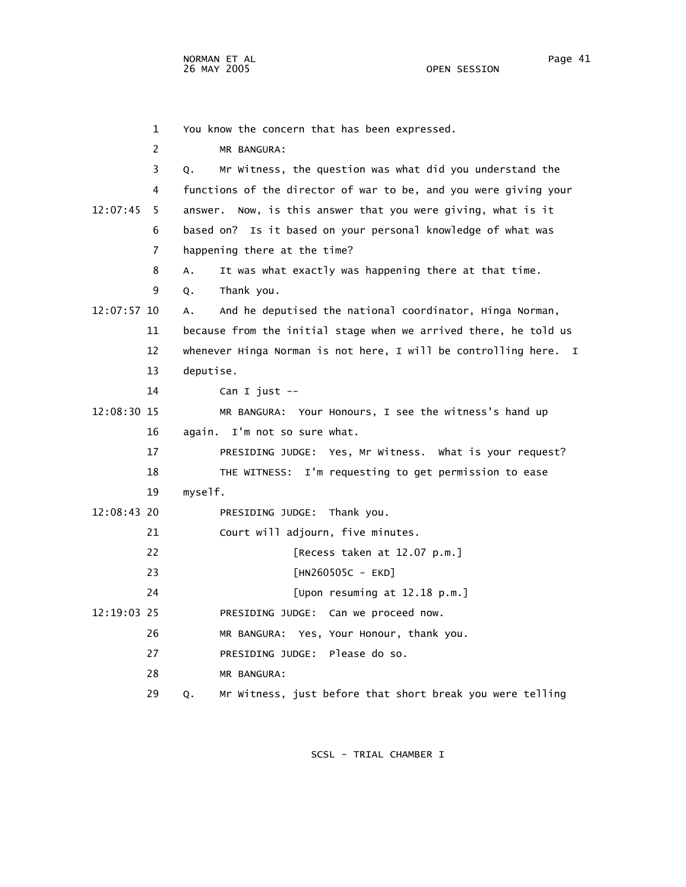1 You know the concern that has been expressed. 2 MR BANGURA: 3 Q. Mr Witness, the question was what did you understand the 4 functions of the director of war to be, and you were giving your 12:07:45 5 answer. Now, is this answer that you were giving, what is it 6 based on? Is it based on your personal knowledge of what was 7 happening there at the time? 8 A. It was what exactly was happening there at that time. 9 Q. Thank you. 12:07:57 10 A. And he deputised the national coordinator, Hinga Norman, 11 because from the initial stage when we arrived there, he told us 12 whenever Hinga Norman is not here, I will be controlling here. I 13 deputise. 14 Can I just -- 12:08:30 15 MR BANGURA: Your Honours, I see the witness's hand up 16 again. I'm not so sure what. 17 PRESIDING JUDGE: Yes, Mr Witness. What is your request? 18 THE WITNESS: I'm requesting to get permission to ease 19 myself. 12:08:43 20 PRESIDING JUDGE: Thank you. 21 Court will adjourn, five minutes. 22 [Recess taken at 12.07 p.m.] 23 [HN260505C - EKD] 24 [Upon resuming at 12.18 p.m.] 12:19:03 25 PRESIDING JUDGE: Can we proceed now. 26 MR BANGURA: Yes, Your Honour, thank you. 27 PRESIDING JUDGE: Please do so. 28 MR BANGURA:

SCSL - TRIAL CHAMBER I

29 Q. Mr Witness, just before that short break you were telling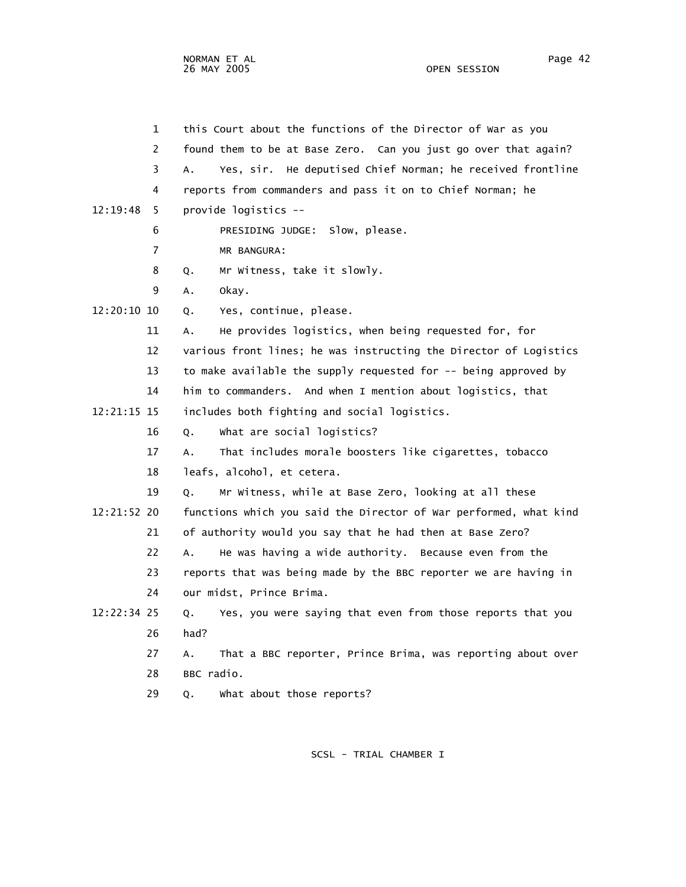| $\mathbf{1}$  | this Court about the functions of the Director of War as you      |
|---------------|-------------------------------------------------------------------|
| 2             | found them to be at Base Zero. Can you just go over that again?   |
| 3             | Yes, sir. He deputised Chief Norman; he received frontline<br>А.  |
| 4             | reports from commanders and pass it on to Chief Norman; he        |
| 12:19:48<br>5 | provide logistics --                                              |
| 6             | PRESIDING JUDGE: Slow, please.                                    |
| 7             | MR BANGURA:                                                       |
| 8             | Mr Witness, take it slowly.<br>Q.                                 |
| 9             | А.<br>okay.                                                       |
| 12:20:10 10   | Yes, continue, please.<br>Q.                                      |
| 11            | He provides logistics, when being requested for, for<br>А.        |
| 12            | various front lines; he was instructing the Director of Logistics |
| 13            | to make available the supply requested for -- being approved by   |
| 14            | him to commanders. And when I mention about logistics, that       |
| 12:21:15 15   | includes both fighting and social logistics.                      |
| 16            | What are social logistics?<br>Q.                                  |
| 17            | That includes morale boosters like cigarettes, tobacco<br>А.      |
| 18            | leafs, alcohol, et cetera.                                        |
| 19            | Mr Witness, while at Base Zero, looking at all these<br>Q.        |
| 12:21:52 20   | functions which you said the Director of War performed, what kind |
| 21            | of authority would you say that he had then at Base Zero?         |
| 22            | He was having a wide authority. Because even from the<br>A.       |
| 23            | reports that was being made by the BBC reporter we are having in  |
| 24            | our midst, Prince Brima.                                          |
| 12:22:34 25   | Yes, you were saying that even from those reports that you<br>Q.  |
| 26            | had?                                                              |
| 27            | That a BBC reporter, Prince Brima, was reporting about over<br>Α. |
| 28            | BBC radio.                                                        |
| 29            | what about those reports?<br>Q.                                   |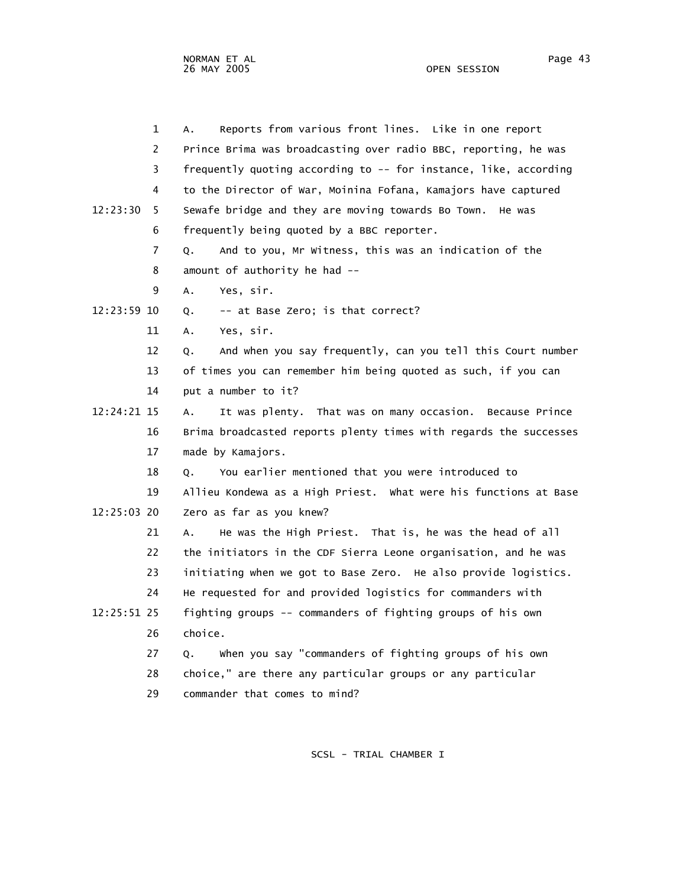|             | 1              | Reports from various front lines. Like in one report<br>А.        |
|-------------|----------------|-------------------------------------------------------------------|
|             | $\overline{2}$ | Prince Brima was broadcasting over radio BBC, reporting, he was   |
|             | 3              | frequently quoting according to -- for instance, like, according  |
|             | 4              | to the Director of War, Moinina Fofana, Kamajors have captured    |
| 12:23:30    | 5              | Sewafe bridge and they are moving towards Bo Town.<br>He was      |
|             | 6              | frequently being quoted by a BBC reporter.                        |
|             | 7              | And to you, Mr Witness, this was an indication of the<br>Q.       |
|             | 8              | amount of authority he had --                                     |
|             | 9              | Yes, sir.<br>Α.                                                   |
| 12:23:59 10 |                | -- at Base Zero; is that correct?<br>Q.                           |
|             | 11             | Yes, sir.<br>Α.                                                   |
|             | 12             | And when you say frequently, can you tell this Court number<br>Q. |
|             | 13             | of times you can remember him being quoted as such, if you can    |
|             | 14             | put a number to it?                                               |
| 12:24:21 15 |                | It was plenty. That was on many occasion. Because Prince<br>Α.    |
|             | 16             | Brima broadcasted reports plenty times with regards the successes |
|             | 17             | made by Kamajors.                                                 |
|             | 18             | You earlier mentioned that you were introduced to<br>Q.           |
|             | 19             | Allieu Kondewa as a High Priest. What were his functions at Base  |
| 12:25:03 20 |                | Zero as far as you knew?                                          |
|             | 21             | He was the High Priest. That is, he was the head of all<br>А.     |
|             | 22             | the initiators in the CDF Sierra Leone organisation, and he was   |
|             | 23             | initiating when we got to Base Zero. He also provide logistics.   |
|             | 24             | He requested for and provided logistics for commanders with       |
| 12:25:51 25 |                | fighting groups -- commanders of fighting groups of his own       |
|             | 26             | choice.                                                           |
|             | 27             | when you say "commanders of fighting groups of his own<br>Q.      |
|             | 28             | choice," are there any particular groups or any particular        |
|             | 29             | commander that comes to mind?                                     |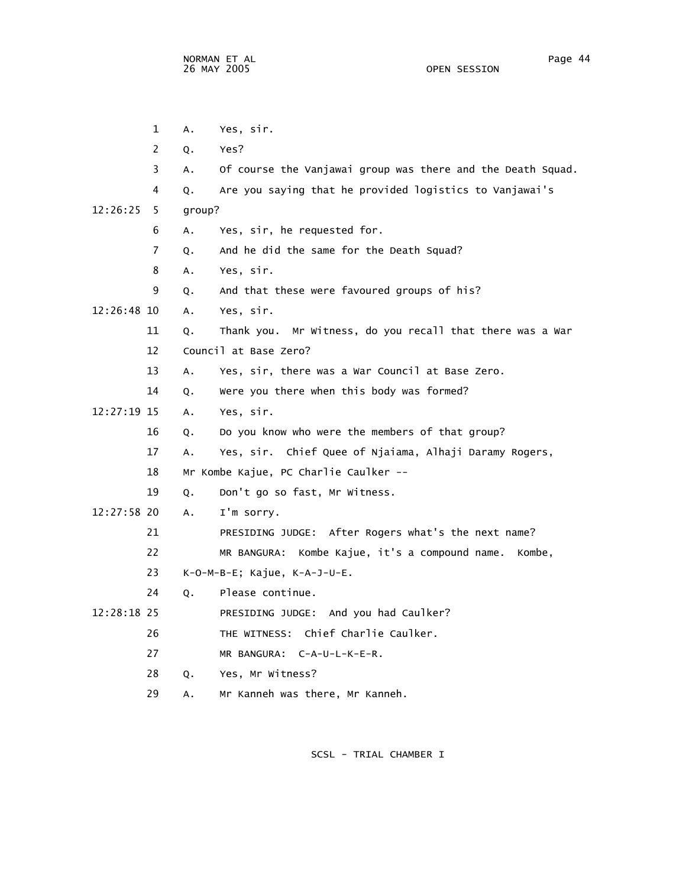1 A. Yes, sir. 2 Q. Yes? 3 A. Of course the Vanjawai group was there and the Death Squad. 4 Q. Are you saying that he provided logistics to Vanjawai's 12:26:25 5 group? 6 A. Yes, sir, he requested for. 7 Q. And he did the same for the Death Squad? 8 A. Yes, sir. 9 Q. And that these were favoured groups of his? 12:26:48 10 A. Yes, sir. 11 Q. Thank you. Mr Witness, do you recall that there was a War 12 Council at Base Zero? 13 A. Yes, sir, there was a War Council at Base Zero. 14 Q. Were you there when this body was formed? 12:27:19 15 A. Yes, sir. 16 Q. Do you know who were the members of that group? 17 A. Yes, sir. Chief Quee of Njaiama, Alhaji Daramy Rogers, 18 Mr Kombe Kajue, PC Charlie Caulker -- 19 Q. Don't go so fast, Mr Witness. 12:27:58 20 A. I'm sorry. 21 PRESIDING JUDGE: After Rogers what's the next name? 22 MR BANGURA: Kombe Kajue, it's a compound name. Kombe, 23 K-O-M-B-E; Kajue, K-A-J-U-E. 24 Q. Please continue. 12:28:18 25 PRESIDING JUDGE: And you had Caulker? 26 THE WITNESS: Chief Charlie Caulker. 27 MR BANGURA: C-A-U-L-K-E-R. 28 Q. Yes, Mr Witness? 29 A. Mr Kanneh was there, Mr Kanneh.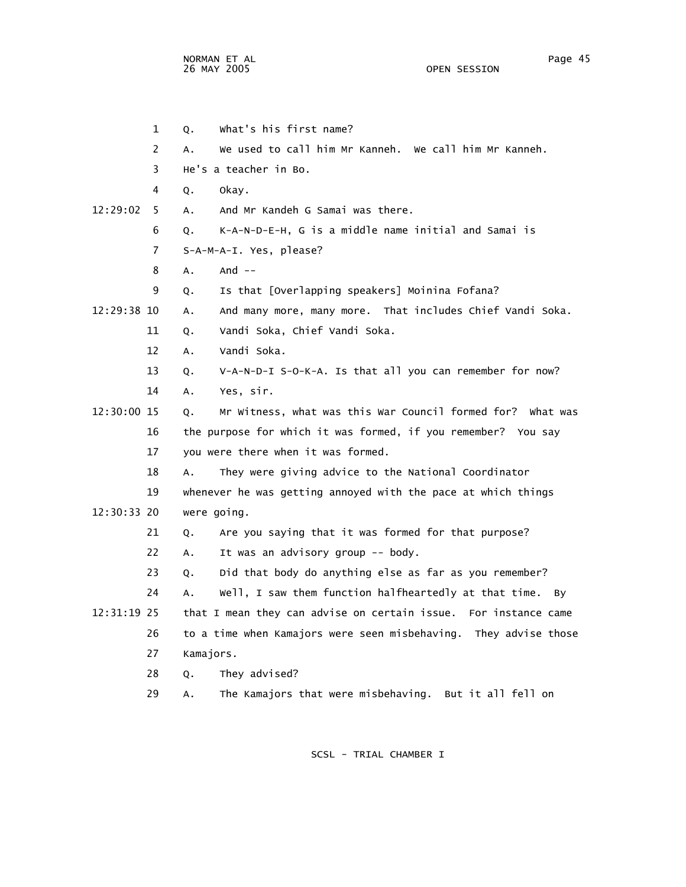OPEN SESSION

 1 Q. What's his first name? 2 A. We used to call him Mr Kanneh. We call him Mr Kanneh. 3 He's a teacher in Bo. 4 Q. Okay. 12:29:02 5 A. And Mr Kandeh G Samai was there. 6 Q. K-A-N-D-E-H, G is a middle name initial and Samai is 7 S-A-M-A-I. Yes, please? 8 A. And -- 9 Q. Is that [Overlapping speakers] Moinina Fofana? 12:29:38 10 A. And many more, many more. That includes Chief Vandi Soka. 11 Q. Vandi Soka, Chief Vandi Soka. 12 A. Vandi Soka. 13 Q. V-A-N-D-I S-O-K-A. Is that all you can remember for now? 14 A. Yes, sir. 12:30:00 15 Q. Mr Witness, what was this War Council formed for? What was 16 the purpose for which it was formed, if you remember? You say 17 you were there when it was formed. 18 A. They were giving advice to the National Coordinator 19 whenever he was getting annoyed with the pace at which things 12:30:33 20 were going. 21 Q. Are you saying that it was formed for that purpose? 22 A. It was an advisory group -- body. 23 Q. Did that body do anything else as far as you remember? 24 A. Well, I saw them function halfheartedly at that time. By 12:31:19 25 that I mean they can advise on certain issue. For instance came 26 to a time when Kamajors were seen misbehaving. They advise those 27 Kamajors. 28 Q. They advised? 29 A. The Kamajors that were misbehaving. But it all fell on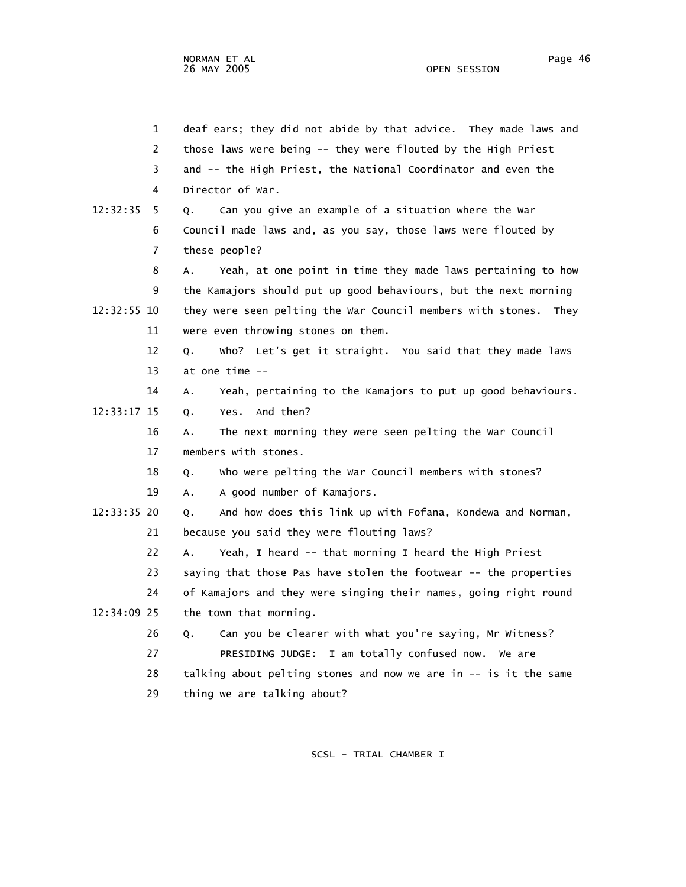1 deaf ears; they did not abide by that advice. They made laws and 2 those laws were being -- they were flouted by the High Priest 3 and -- the High Priest, the National Coordinator and even the 4 Director of War. 12:32:35 5 Q. Can you give an example of a situation where the War 6 Council made laws and, as you say, those laws were flouted by 7 these people? 8 A. Yeah, at one point in time they made laws pertaining to how 9 the Kamajors should put up good behaviours, but the next morning 12:32:55 10 they were seen pelting the War Council members with stones. They 11 were even throwing stones on them. 12 Q. Who? Let's get it straight. You said that they made laws 13 at one time -- 14 A. Yeah, pertaining to the Kamajors to put up good behaviours. 12:33:17 15 Q. Yes. And then? 16 A. The next morning they were seen pelting the War Council 17 members with stones. 18 Q. Who were pelting the War Council members with stones? 19 A. A good number of Kamajors. 12:33:35 20 Q. And how does this link up with Fofana, Kondewa and Norman, 21 because you said they were flouting laws? 22 A. Yeah, I heard -- that morning I heard the High Priest 23 saying that those Pas have stolen the footwear -- the properties 24 of Kamajors and they were singing their names, going right round 12:34:09 25 the town that morning. 26 Q. Can you be clearer with what you're saying, Mr Witness? 27 PRESIDING JUDGE: I am totally confused now. We are 28 talking about pelting stones and now we are in -- is it the same 29 thing we are talking about?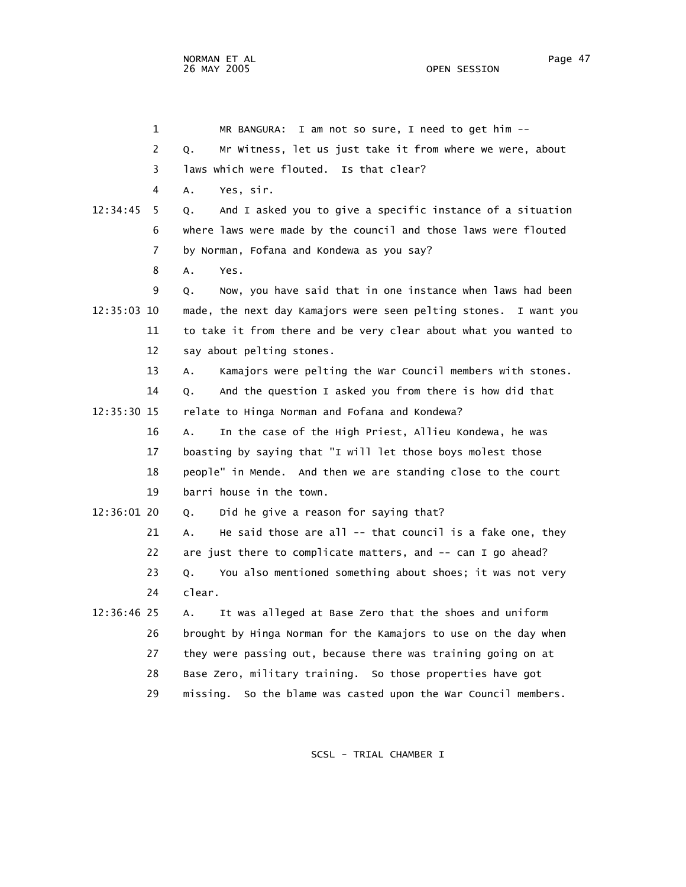1 MR BANGURA: I am not so sure, I need to get him -- 2 Q. Mr Witness, let us just take it from where we were, about 3 laws which were flouted. Is that clear? 4 A. Yes, sir. 12:34:45 5 Q. And I asked you to give a specific instance of a situation 6 where laws were made by the council and those laws were flouted 7 by Norman, Fofana and Kondewa as you say? 8 A. Yes. 9 Q. Now, you have said that in one instance when laws had been 12:35:03 10 made, the next day Kamajors were seen pelting stones. I want you 11 to take it from there and be very clear about what you wanted to 12 say about pelting stones. 13 A. Kamajors were pelting the War Council members with stones. 14 Q. And the question I asked you from there is how did that 12:35:30 15 relate to Hinga Norman and Fofana and Kondewa? 16 A. In the case of the High Priest, Allieu Kondewa, he was 17 boasting by saying that "I will let those boys molest those 18 people" in Mende. And then we are standing close to the court 19 barri house in the town. 12:36:01 20 Q. Did he give a reason for saying that? 21 A. He said those are all -- that council is a fake one, they 22 are just there to complicate matters, and -- can I go ahead? 23 Q. You also mentioned something about shoes; it was not very 24 clear. 12:36:46 25 A. It was alleged at Base Zero that the shoes and uniform 26 brought by Hinga Norman for the Kamajors to use on the day when 27 they were passing out, because there was training going on at 28 Base Zero, military training. So those properties have got 29 missing. So the blame was casted upon the War Council members.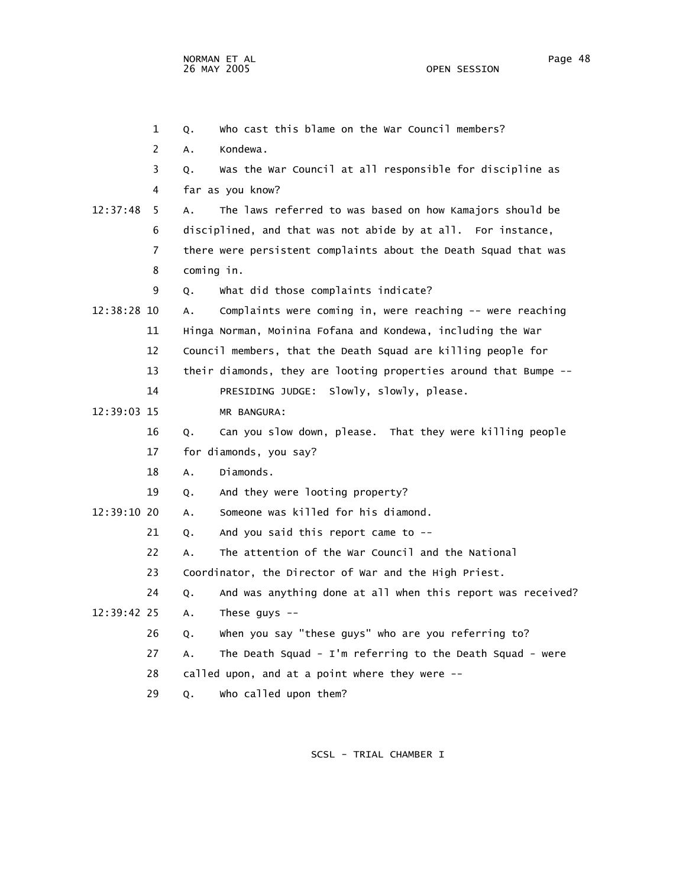1 Q. Who cast this blame on the War Council members? 2 A. Kondewa. 3 Q. Was the War Council at all responsible for discipline as 4 far as you know? 12:37:48 5 A. The laws referred to was based on how Kamajors should be 6 disciplined, and that was not abide by at all. For instance, 7 there were persistent complaints about the Death Squad that was 8 coming in. 9 Q. What did those complaints indicate? 12:38:28 10 A. Complaints were coming in, were reaching -- were reaching 11 Hinga Norman, Moinina Fofana and Kondewa, including the War 12 Council members, that the Death Squad are killing people for 13 their diamonds, they are looting properties around that Bumpe -- 14 PRESIDING JUDGE: Slowly, slowly, please. 12:39:03 15 MR BANGURA: 16 Q. Can you slow down, please. That they were killing people 17 for diamonds, you say? 18 A. Diamonds. 19 Q. And they were looting property? 12:39:10 20 A. Someone was killed for his diamond.  $21$  O. And you said this report came to  $-$  22 A. The attention of the War Council and the National 23 Coordinator, the Director of War and the High Priest. 24 Q. And was anything done at all when this report was received? 12:39:42 25 A. These guys -- 26 Q. When you say "these guys" who are you referring to? 27 A. The Death Squad - I'm referring to the Death Squad - were 28 called upon, and at a point where they were -- 29 Q. Who called upon them?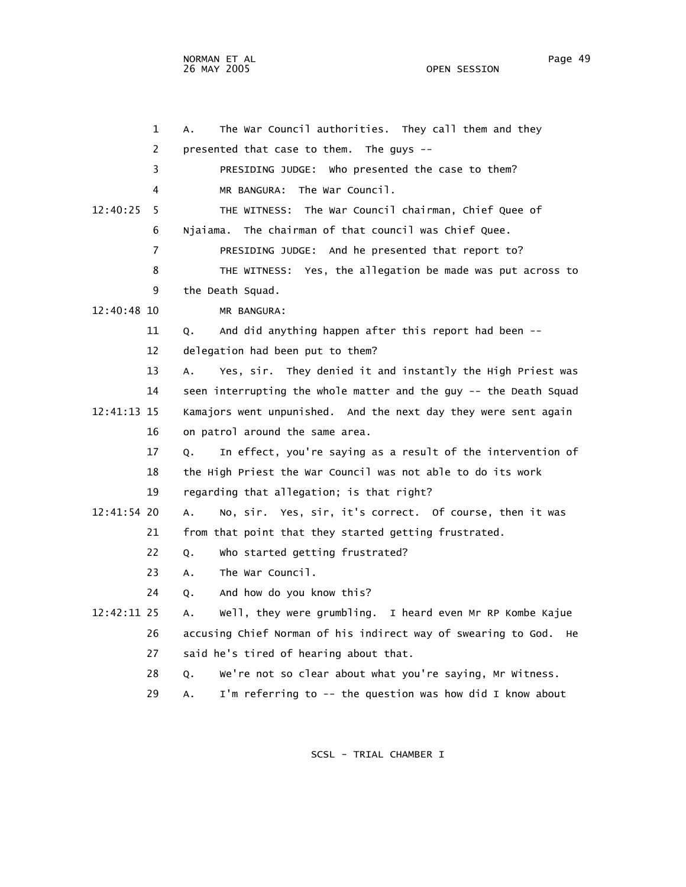NORMAN ET AL
Page 49
Page 49
Page 49
Page 49
Page 49
Page 49
Page 49
Page 49
Page 49
Page 49
Page 49
Page 49
Page 49
Page 49
Page 49
Page 49
Page 49
Page 49
Page 49
Page 49
Page 49
Page 49
Page 49
Page 49
Page 49
Page 49
P

 1 A. The War Council authorities. They call them and they 2 presented that case to them. The guys -- 3 PRESIDING JUDGE: Who presented the case to them? 4 MR BANGURA: The War Council. 12:40:25 5 THE WITNESS: The War Council chairman, Chief Quee of 6 Njaiama. The chairman of that council was Chief Quee. 7 PRESIDING JUDGE: And he presented that report to? 8 THE WITNESS: Yes, the allegation be made was put across to 9 the Death Squad. 12:40:48 10 MR BANGURA: 11 Q. And did anything happen after this report had been -- 12 delegation had been put to them? 13 A. Yes, sir. They denied it and instantly the High Priest was 14 seen interrupting the whole matter and the guy -- the Death Squad 12:41:13 15 Kamajors went unpunished. And the next day they were sent again 16 on patrol around the same area. 17 Q. In effect, you're saying as a result of the intervention of 18 the High Priest the War Council was not able to do its work 19 regarding that allegation; is that right? 12:41:54 20 A. No, sir. Yes, sir, it's correct. Of course, then it was 21 from that point that they started getting frustrated. 22 Q. Who started getting frustrated? 23 A. The War Council. 24 Q. And how do you know this? 12:42:11 25 A. Well, they were grumbling. I heard even Mr RP Kombe Kajue 26 accusing Chief Norman of his indirect way of swearing to God. He 27 said he's tired of hearing about that. 28 Q. We're not so clear about what you're saying, Mr Witness.

29 A. I'm referring to -- the question was how did I know about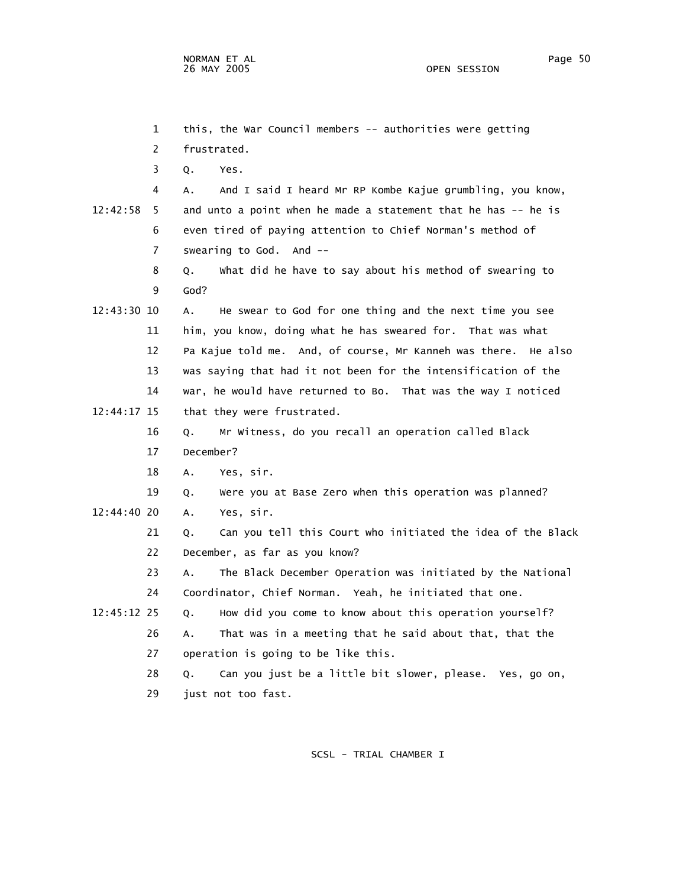1 this, the War Council members -- authorities were getting 2 frustrated. 3 Q. Yes. 4 A. And I said I heard Mr RP Kombe Kajue grumbling, you know, 12:42:58 5 and unto a point when he made a statement that he has -- he is 6 even tired of paying attention to Chief Norman's method of 7 swearing to God. And -- 8 Q. What did he have to say about his method of swearing to 9 God? 12:43:30 10 A. He swear to God for one thing and the next time you see 11 him, you know, doing what he has sweared for. That was what 12 Pa Kajue told me. And, of course, Mr Kanneh was there. He also 13 was saying that had it not been for the intensification of the 14 war, he would have returned to Bo. That was the way I noticed 12:44:17 15 that they were frustrated. 16 Q. Mr Witness, do you recall an operation called Black 17 December? 18 A. Yes, sir. 19 Q. Were you at Base Zero when this operation was planned? 12:44:40 20 A. Yes, sir. 21 Q. Can you tell this Court who initiated the idea of the Black 22 December, as far as you know? 23 A. The Black December Operation was initiated by the National 24 Coordinator, Chief Norman. Yeah, he initiated that one. 12:45:12 25 Q. How did you come to know about this operation yourself? 26 A. That was in a meeting that he said about that, that the 27 operation is going to be like this. 28 Q. Can you just be a little bit slower, please. Yes, go on, 29 just not too fast.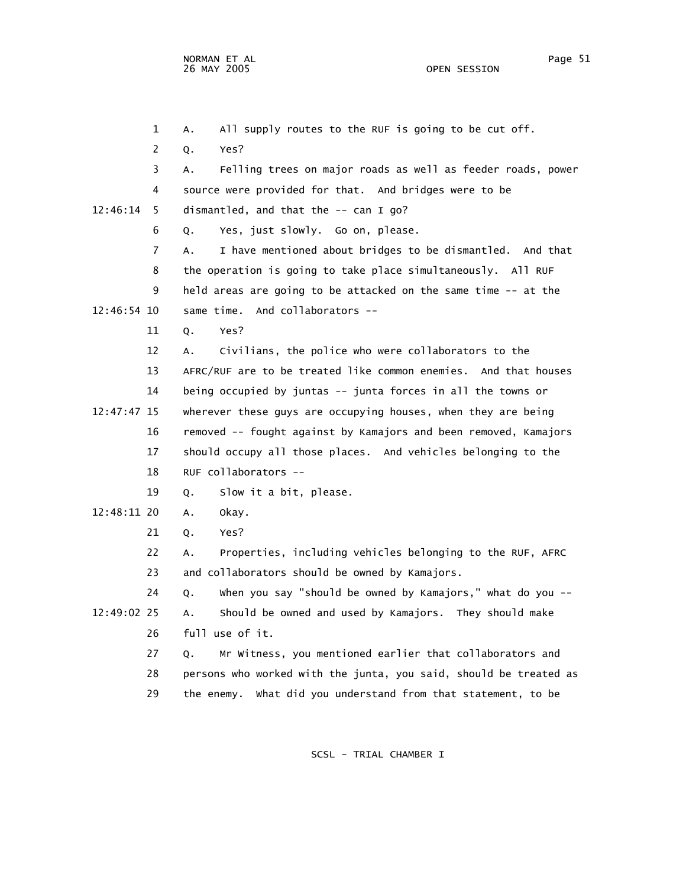1 A. All supply routes to the RUF is going to be cut off. 2 Q. Yes? 3 A. Felling trees on major roads as well as feeder roads, power 4 source were provided for that. And bridges were to be 12:46:14 5 dismantled, and that the -- can I go? 6 Q. Yes, just slowly. Go on, please. 7 A. I have mentioned about bridges to be dismantled. And that 8 the operation is going to take place simultaneously. All RUF 9 held areas are going to be attacked on the same time -- at the 12:46:54 10 same time. And collaborators -- 11 Q. Yes? 12 A. Civilians, the police who were collaborators to the 13 AFRC/RUF are to be treated like common enemies. And that houses 14 being occupied by juntas -- junta forces in all the towns or 12:47:47 15 wherever these guys are occupying houses, when they are being 16 removed -- fought against by Kamajors and been removed, Kamajors 17 should occupy all those places. And vehicles belonging to the 18 RUF collaborators -- 19 Q. Slow it a bit, please. 12:48:11 20 A. Okay. 21 Q. Yes? 22 A. Properties, including vehicles belonging to the RUF, AFRC 23 and collaborators should be owned by Kamajors. 24 Q. When you say "should be owned by Kamajors," what do you -- 12:49:02 25 A. Should be owned and used by Kamajors. They should make 26 full use of it. 27 Q. Mr Witness, you mentioned earlier that collaborators and 28 persons who worked with the junta, you said, should be treated as 29 the enemy. What did you understand from that statement, to be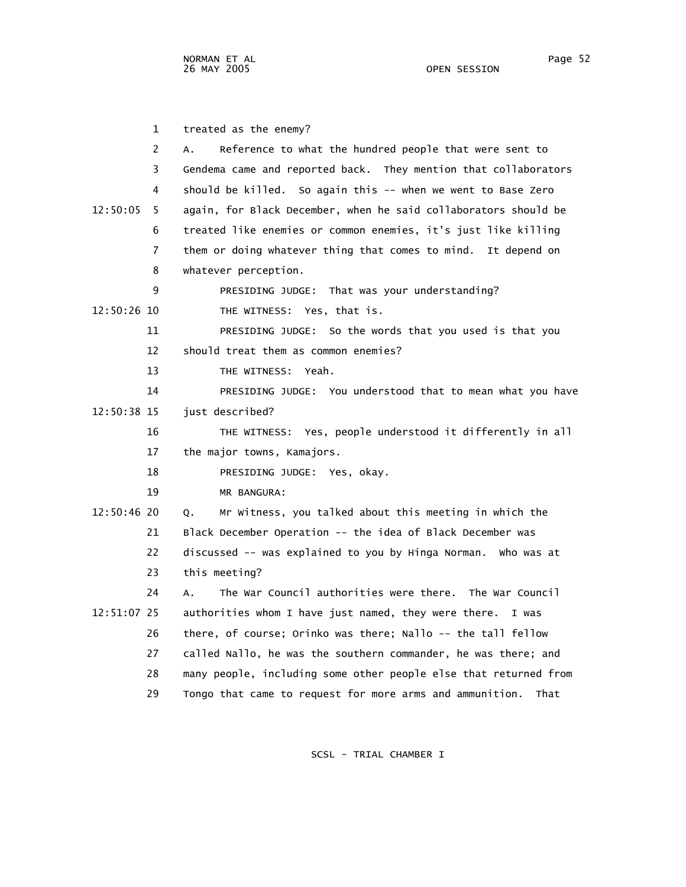1 treated as the enemy? 2 A. Reference to what the hundred people that were sent to 3 Gendema came and reported back. They mention that collaborators 4 should be killed. So again this -- when we went to Base Zero 12:50:05 5 again, for Black December, when he said collaborators should be 6 treated like enemies or common enemies, it's just like killing 7 them or doing whatever thing that comes to mind. It depend on 8 whatever perception. 9 PRESIDING JUDGE: That was your understanding? 12:50:26 10 THE WITNESS: Yes, that is. 11 PRESIDING JUDGE: So the words that you used is that you 12 should treat them as common enemies? 13 THE WITNESS: Yeah. 14 PRESIDING JUDGE: You understood that to mean what you have 12:50:38 15 just described? 16 THE WITNESS: Yes, people understood it differently in all 17 the major towns, Kamajors. 18 PRESIDING JUDGE: Yes, okay. 19 MR BANGURA: 12:50:46 20 Q. Mr Witness, you talked about this meeting in which the 21 Black December Operation -- the idea of Black December was 22 discussed -- was explained to you by Hinga Norman. Who was at 23 this meeting? 24 A. The War Council authorities were there. The War Council 12:51:07 25 authorities whom I have just named, they were there. I was 26 there, of course; Orinko was there; Nallo -- the tall fellow 27 called Nallo, he was the southern commander, he was there; and 28 many people, including some other people else that returned from 29 Tongo that came to request for more arms and ammunition. That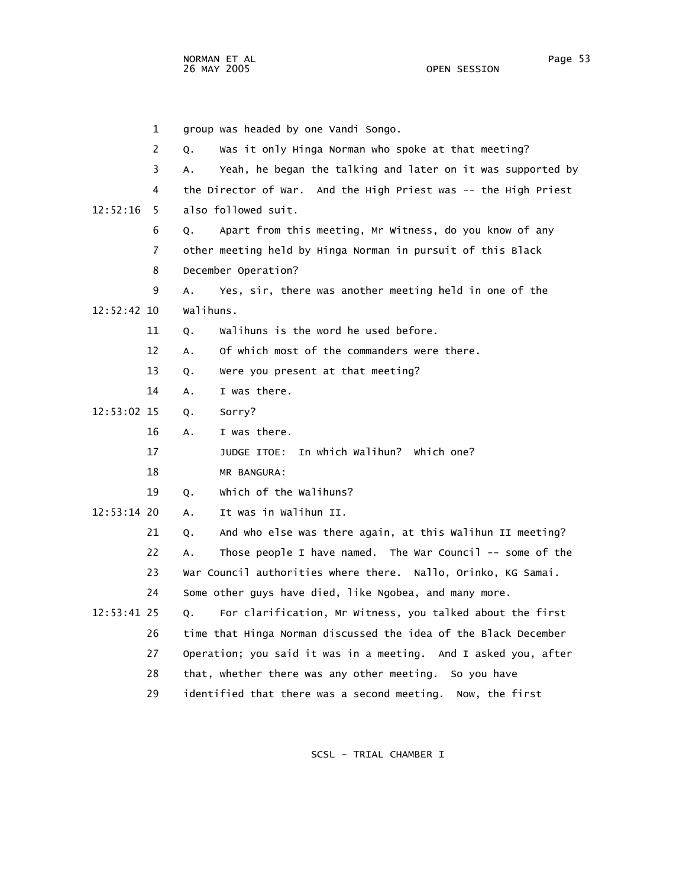1 group was headed by one Vandi Songo. 2 Q. Was it only Hinga Norman who spoke at that meeting? 3 A. Yeah, he began the talking and later on it was supported by 4 the Director of War. And the High Priest was -- the High Priest 12:52:16 5 also followed suit. 6 Q. Apart from this meeting, Mr Witness, do you know of any 7 other meeting held by Hinga Norman in pursuit of this Black 8 December Operation? 9 A. Yes, sir, there was another meeting held in one of the 12:52:42 10 Walihuns. 11 Q. Walihuns is the word he used before. 12 A. Of which most of the commanders were there. 13 Q. Were you present at that meeting? 14 A. I was there. 12:53:02 15 Q. Sorry? 16 A. I was there. 17 JUDGE ITOE: In which Walihun? Which one? 18 MR BANGURA: 19 Q. Which of the Walihuns? 12:53:14 20 A. It was in Walihun II. 21 Q. And who else was there again, at this Walihun II meeting? 22 A. Those people I have named. The War Council -- some of the 23 War Council authorities where there. Nallo, Orinko, KG Samai. 24 Some other guys have died, like Ngobea, and many more. 12:53:41 25 Q. For clarification, Mr Witness, you talked about the first 26 time that Hinga Norman discussed the idea of the Black December 27 Operation; you said it was in a meeting. And I asked you, after 28 that, whether there was any other meeting. So you have 29 identified that there was a second meeting. Now, the first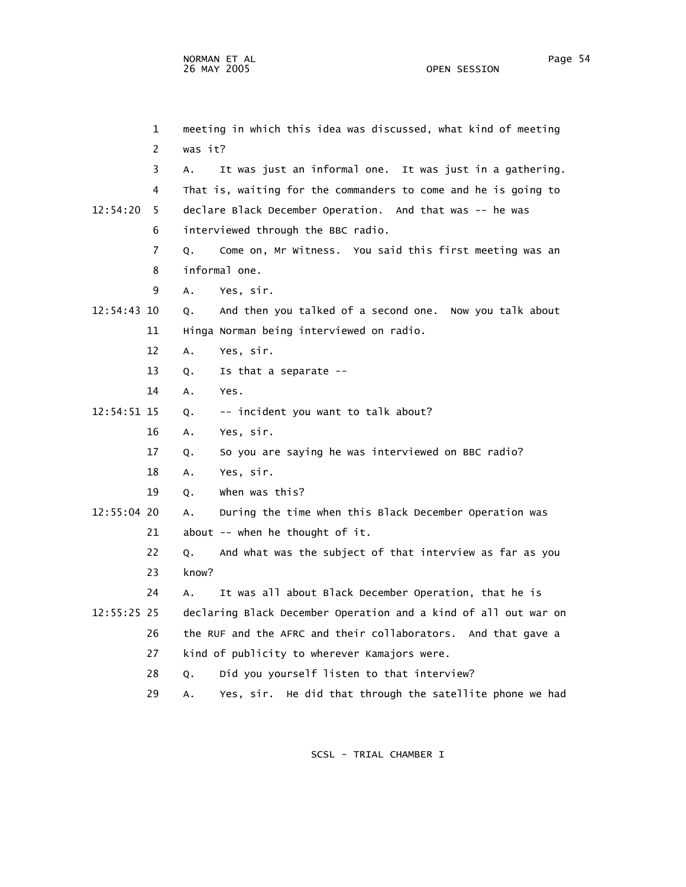1 meeting in which this idea was discussed, what kind of meeting 2 was it? 3 A. It was just an informal one. It was just in a gathering. 4 That is, waiting for the commanders to come and he is going to 12:54:20 5 declare Black December Operation. And that was -- he was 6 interviewed through the BBC radio. 7 Q. Come on, Mr Witness. You said this first meeting was an 8 informal one. 9 A. Yes, sir. 12:54:43 10 Q. And then you talked of a second one. Now you talk about 11 Hinga Norman being interviewed on radio. 12 A. Yes, sir. 13 Q. Is that a separate -- 14 A. Yes. 12:54:51 15 Q. -- incident you want to talk about? 16 A. Yes, sir. 17 Q. So you are saying he was interviewed on BBC radio? 18 A. Yes, sir. 19 Q. When was this? 12:55:04 20 A. During the time when this Black December Operation was 21 about -- when he thought of it. 22 Q. And what was the subject of that interview as far as you 23 know? 24 A. It was all about Black December Operation, that he is 12:55:25 25 declaring Black December Operation and a kind of all out war on 26 the RUF and the AFRC and their collaborators. And that gave a 27 kind of publicity to wherever Kamajors were. 28 Q. Did you yourself listen to that interview? 29 A. Yes, sir. He did that through the satellite phone we had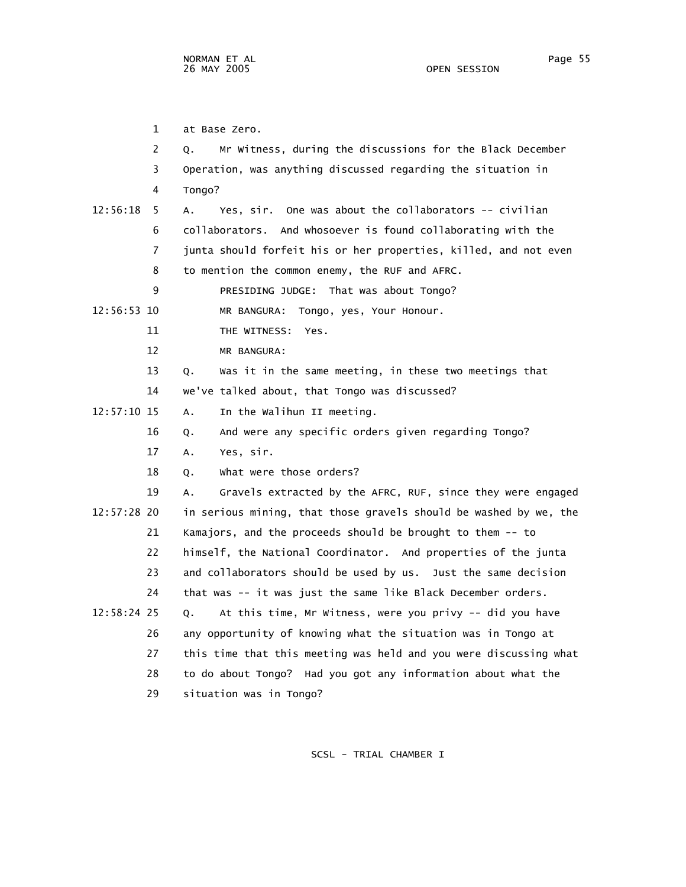1 at Base Zero. 2 Q. Mr Witness, during the discussions for the Black December 3 Operation, was anything discussed regarding the situation in 4 Tongo? 12:56:18 5 A. Yes, sir. One was about the collaborators -- civilian 6 collaborators. And whosoever is found collaborating with the 7 junta should forfeit his or her properties, killed, and not even 8 to mention the common enemy, the RUF and AFRC. 9 PRESIDING JUDGE: That was about Tongo? 12:56:53 10 MR BANGURA: Tongo, yes, Your Honour. 11 THE WITNESS: Yes. 12 MR BANGURA: 13 Q. Was it in the same meeting, in these two meetings that 14 we've talked about, that Tongo was discussed? 12:57:10 15 A. In the Walihun II meeting. 16 Q. And were any specific orders given regarding Tongo? 17 A. Yes, sir. 18 Q. What were those orders? 19 A. Gravels extracted by the AFRC, RUF, since they were engaged 12:57:28 20 in serious mining, that those gravels should be washed by we, the 21 Kamajors, and the proceeds should be brought to them -- to 22 himself, the National Coordinator. And properties of the junta 23 and collaborators should be used by us. Just the same decision 24 that was -- it was just the same like Black December orders. 12:58:24 25 Q. At this time, Mr Witness, were you privy -- did you have 26 any opportunity of knowing what the situation was in Tongo at 27 this time that this meeting was held and you were discussing what 28 to do about Tongo? Had you got any information about what the 29 situation was in Tongo?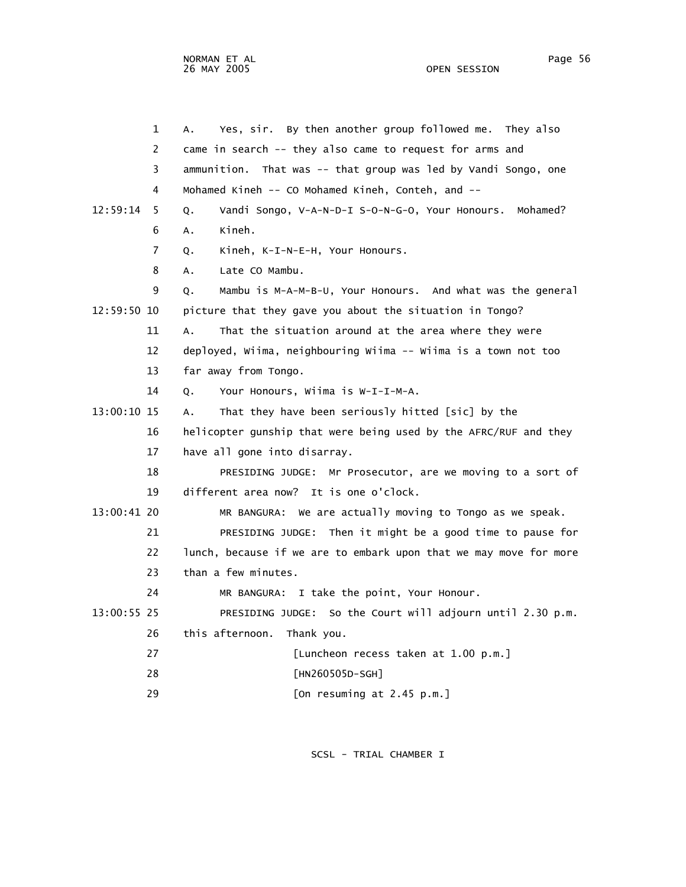OPEN SESSION

|             | $\mathbf 1$<br>Α. | Yes, sir. By then another group followed me. They also            |
|-------------|-------------------|-------------------------------------------------------------------|
|             | 2                 | came in search -- they also came to request for arms and          |
|             | 3                 | ammunition. That was -- that group was led by Vandi Songo, one    |
|             | 4                 | Mohamed Kineh -- CO Mohamed Kineh, Conteh, and --                 |
| 12:59:14    | 5<br>Q.           | Vandi Songo, V-A-N-D-I S-O-N-G-O, Your Honours. Mohamed?          |
|             | 6<br>Α.           | Kineh.                                                            |
|             | 7<br>Q.           | Kineh, K-I-N-E-H, Your Honours.                                   |
|             | 8<br>Α.           | Late CO Mambu.                                                    |
|             | 9<br>Q.           | Mambu is M-A-M-B-U, Your Honours. And what was the general        |
| 12:59:50 10 |                   | picture that they gave you about the situation in Tongo?          |
|             | 11<br>A.          | That the situation around at the area where they were             |
| 12          |                   | deployed, Wiima, neighbouring Wiima -- Wiima is a town not too    |
| 13          |                   | far away from Tongo.                                              |
| 14          | 0.                | Your Honours, Wiima is W-I-I-M-A.                                 |
| 13:00:10 15 | А.                | That they have been seriously hitted [sic] by the                 |
|             | 16                | helicopter gunship that were being used by the AFRC/RUF and they  |
|             | 17                | have all gone into disarray.                                      |
| 18          |                   | PRESIDING JUDGE: Mr Prosecutor, are we moving to a sort of        |
| 19          |                   | different area now? It is one o'clock.                            |
| 13:00:41 20 |                   | MR BANGURA: We are actually moving to Tongo as we speak.          |
|             | 21                | PRESIDING JUDGE: Then it might be a good time to pause for        |
|             | 22                | lunch, because if we are to embark upon that we may move for more |
| 23          |                   | than a few minutes.                                               |
| 24          |                   | MR BANGURA: I take the point, Your Honour.                        |
| 13:00:55 25 |                   | PRESIDING JUDGE: So the Court will adjourn until 2.30 p.m.        |
|             | 26                | this afternoon.<br>Thank you.                                     |
| 27          |                   | [Luncheon recess taken at 1.00 p.m.]                              |
| 28          |                   | [HN260505D-SGH]                                                   |
| 29          |                   | [On resuming at 2.45 p.m.]                                        |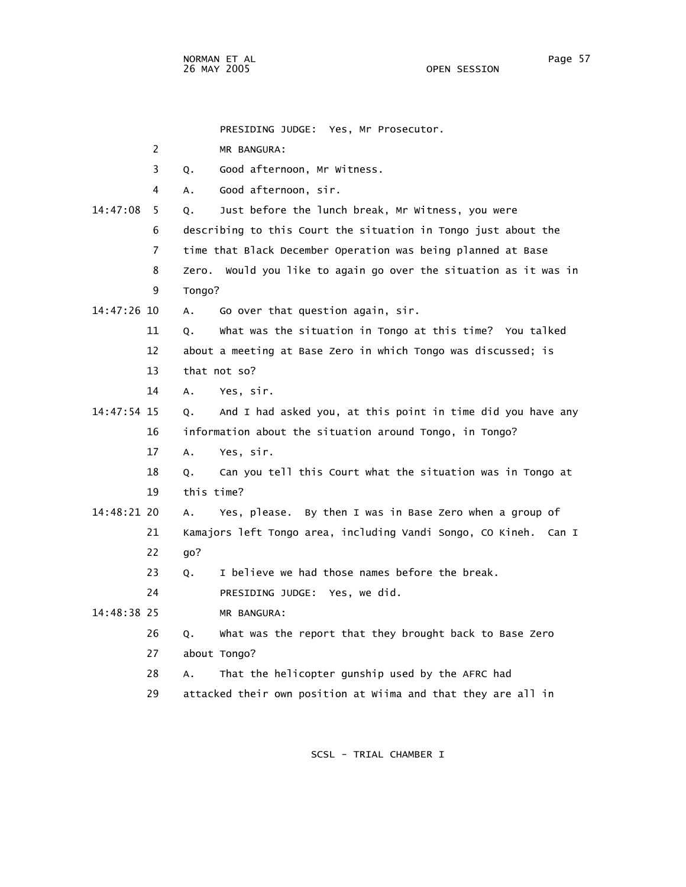PRESIDING JUDGE: Yes, Mr Prosecutor.

|  |  | MR BANGURA: |
|--|--|-------------|
|--|--|-------------|

- 3 Q. Good afternoon, Mr Witness.
- 4 A. Good afternoon, sir.
- 14:47:08 5 Q. Just before the lunch break, Mr Witness, you were 6 describing to this Court the situation in Tongo just about the 7 time that Black December Operation was being planned at Base 8 Zero. Would you like to again go over the situation as it was in 9 Tongo? 14:47:26 10 A. Go over that question again, sir. 11 Q. What was the situation in Tongo at this time? You talked 12 about a meeting at Base Zero in which Tongo was discussed; is 13 that not so? 14 A. Yes, sir. 14:47:54 15 Q. And I had asked you, at this point in time did you have any 16 information about the situation around Tongo, in Tongo? 17 A. Yes, sir. 18 Q. Can you tell this Court what the situation was in Tongo at 19 this time? 14:48:21 20 A. Yes, please. By then I was in Base Zero when a group of 21 Kamajors left Tongo area, including Vandi Songo, CO Kineh. Can I 22 go? 23 Q. I believe we had those names before the break. 24 PRESIDING JUDGE: Yes, we did. 14:48:38 25 MR BANGURA: 26 Q. What was the report that they brought back to Base Zero 27 about Tongo? 28 A. That the helicopter gunship used by the AFRC had

29 attacked their own position at Wiima and that they are all in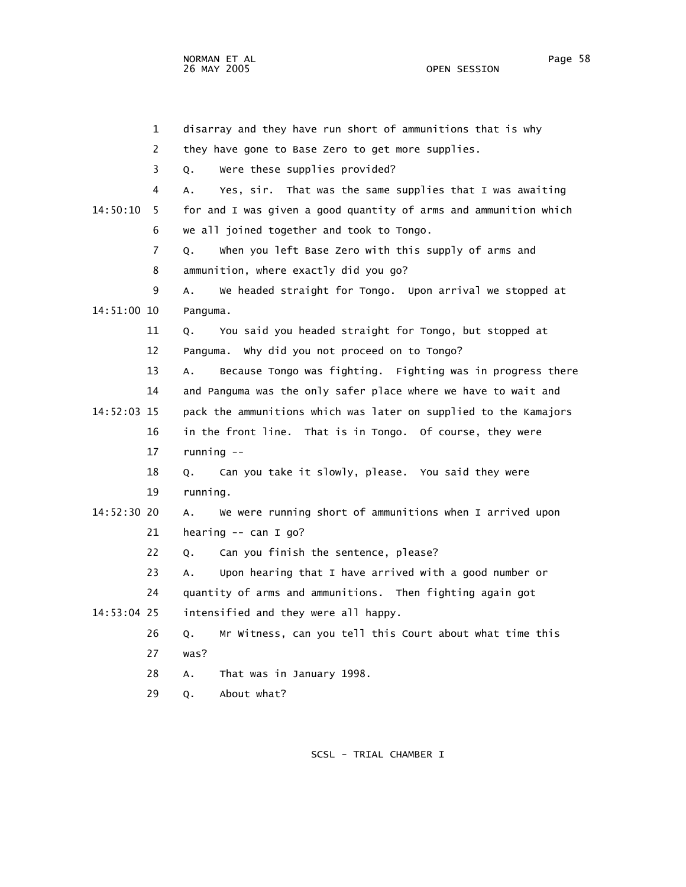OPEN SESSION

 1 disarray and they have run short of ammunitions that is why 2 they have gone to Base Zero to get more supplies. 3 Q. Were these supplies provided? 4 A. Yes, sir. That was the same supplies that I was awaiting 14:50:10 5 for and I was given a good quantity of arms and ammunition which 6 we all joined together and took to Tongo. 7 Q. When you left Base Zero with this supply of arms and 8 ammunition, where exactly did you go? 9 A. We headed straight for Tongo. Upon arrival we stopped at 14:51:00 10 Panguma. 11 Q. You said you headed straight for Tongo, but stopped at 12 Panguma. Why did you not proceed on to Tongo? 13 A. Because Tongo was fighting. Fighting was in progress there 14 and Panguma was the only safer place where we have to wait and 14:52:03 15 pack the ammunitions which was later on supplied to the Kamajors 16 in the front line. That is in Tongo. Of course, they were 17 running -- 18 Q. Can you take it slowly, please. You said they were 19 running. 14:52:30 20 A. We were running short of ammunitions when I arrived upon 21 hearing -- can I go? 22 Q. Can you finish the sentence, please? 23 A. Upon hearing that I have arrived with a good number or 24 quantity of arms and ammunitions. Then fighting again got 14:53:04 25 intensified and they were all happy. 26 Q. Mr Witness, can you tell this Court about what time this 27 was? 28 A. That was in January 1998. 29 Q. About what?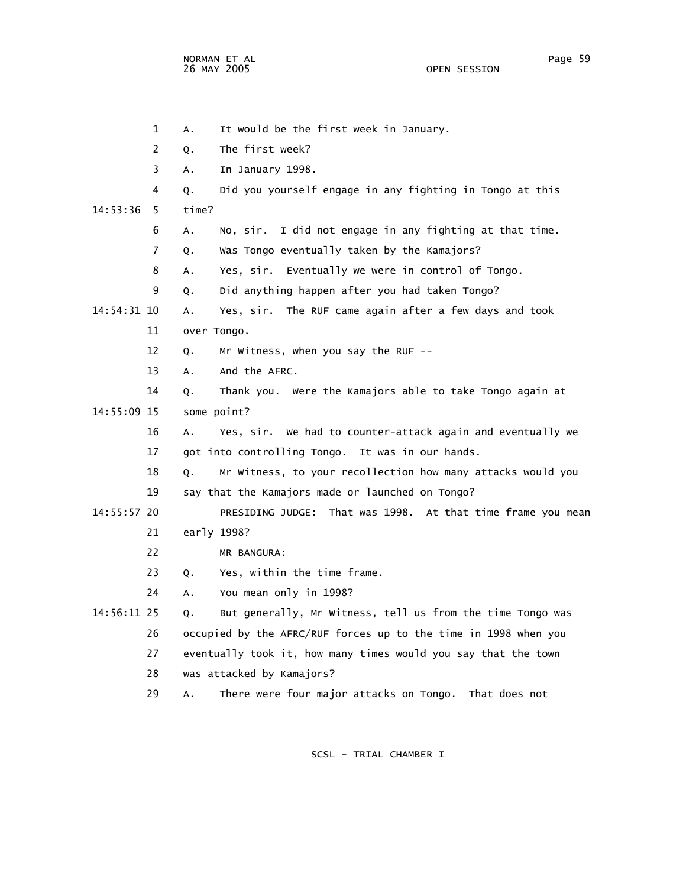1 A. It would be the first week in January. 2 Q. The first week? 3 A. In January 1998. 4 Q. Did you yourself engage in any fighting in Tongo at this 14:53:36 5 time? 6 A. No, sir. I did not engage in any fighting at that time. 7 Q. Was Tongo eventually taken by the Kamajors? 8 A. Yes, sir. Eventually we were in control of Tongo. 9 Q. Did anything happen after you had taken Tongo? 14:54:31 10 A. Yes, sir. The RUF came again after a few days and took 11 over Tongo. 12 Q. Mr Witness, when you say the RUF -- 13 A. And the AFRC. 14 Q. Thank you. Were the Kamajors able to take Tongo again at 14:55:09 15 some point? 16 A. Yes, sir. We had to counter-attack again and eventually we 17 got into controlling Tongo. It was in our hands. 18 Q. Mr Witness, to your recollection how many attacks would you 19 say that the Kamajors made or launched on Tongo? 14:55:57 20 PRESIDING JUDGE: That was 1998. At that time frame you mean 21 early 1998? 22 MR BANGURA: 23 Q. Yes, within the time frame. 24 A. You mean only in 1998? 14:56:11 25 Q. But generally, Mr Witness, tell us from the time Tongo was 26 occupied by the AFRC/RUF forces up to the time in 1998 when you 27 eventually took it, how many times would you say that the town 28 was attacked by Kamajors? 29 A. There were four major attacks on Tongo. That does not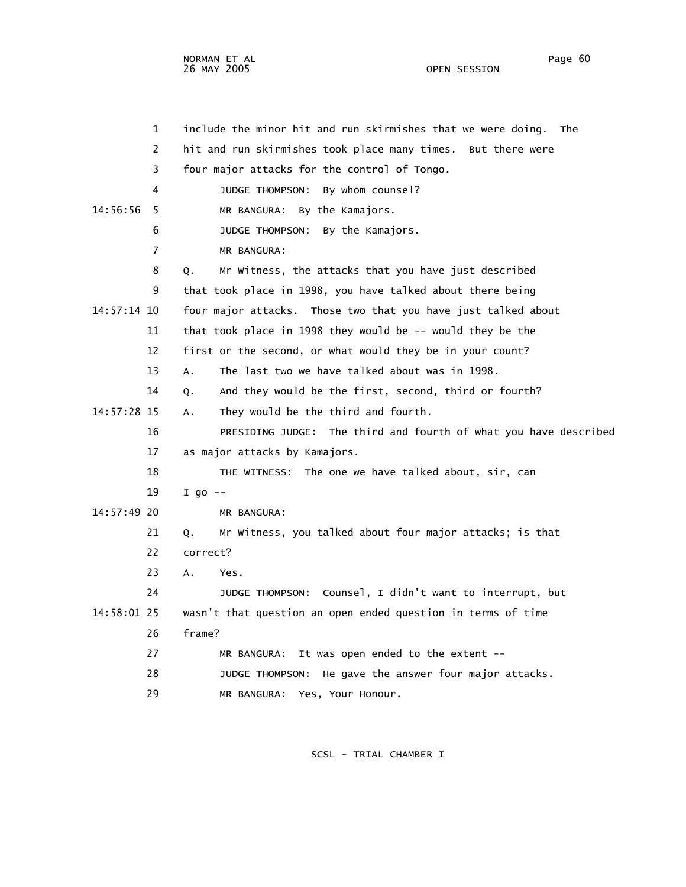OPEN SESSION

 1 include the minor hit and run skirmishes that we were doing. The 2 hit and run skirmishes took place many times. But there were 3 four major attacks for the control of Tongo. 4 JUDGE THOMPSON: By whom counsel? 14:56:56 5 MR BANGURA: By the Kamajors. 6 JUDGE THOMPSON: By the Kamajors. 7 MR BANGURA: 8 Q. Mr Witness, the attacks that you have just described 9 that took place in 1998, you have talked about there being 14:57:14 10 four major attacks. Those two that you have just talked about 11 that took place in 1998 they would be -- would they be the 12 first or the second, or what would they be in your count? 13 A. The last two we have talked about was in 1998. 14 Q. And they would be the first, second, third or fourth? 14:57:28 15 A. They would be the third and fourth. 16 PRESIDING JUDGE: The third and fourth of what you have described 17 as major attacks by Kamajors. 18 THE WITNESS: The one we have talked about, sir, can 19 I go -- 14:57:49 20 MR BANGURA: 21 Q. Mr Witness, you talked about four major attacks; is that 22 correct? 23 A. Yes. 24 JUDGE THOMPSON: Counsel, I didn't want to interrupt, but 14:58:01 25 wasn't that question an open ended question in terms of time 26 frame? 27 MR BANGURA: It was open ended to the extent -- 28 JUDGE THOMPSON: He gave the answer four major attacks.

29 MR BANGURA: Yes, Your Honour.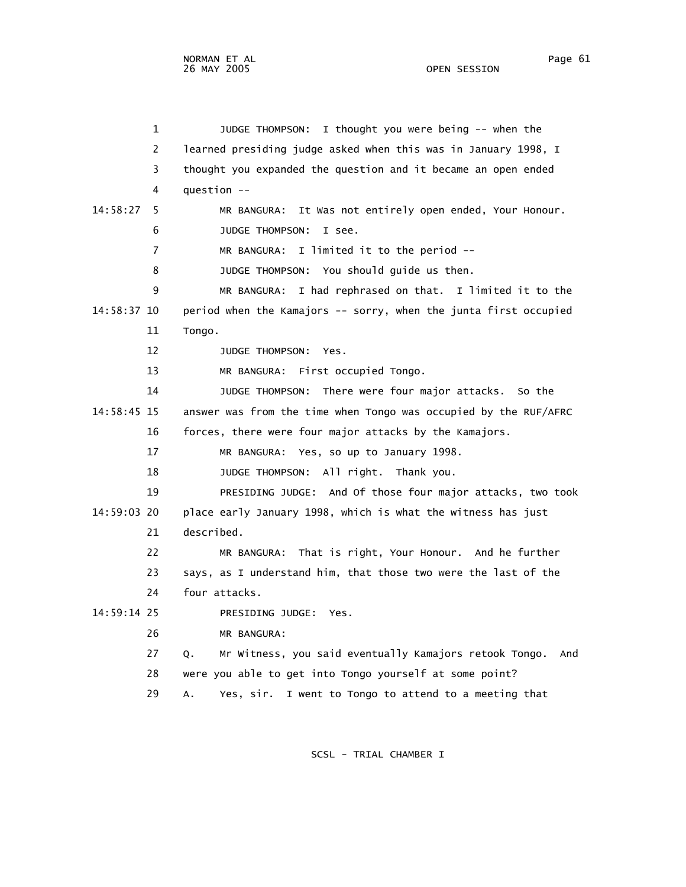4 question --

 1 JUDGE THOMPSON: I thought you were being -- when the 2 learned presiding judge asked when this was in January 1998, I 3 thought you expanded the question and it became an open ended 14:58:27 5 MR BANGURA: It Was not entirely open ended, Your Honour. 6 JUDGE THOMPSON: I see.

7 MR BANGURA: I limited it to the period --

8 JUDGE THOMPSON: You should guide us then.

 9 MR BANGURA: I had rephrased on that. I limited it to the 14:58:37 10 period when the Kamajors -- sorry, when the junta first occupied 11 Tongo.

12 JUDGE THOMPSON: Yes.

13 MR BANGURA: First occupied Tongo.

 14 JUDGE THOMPSON: There were four major attacks. So the 14:58:45 15 answer was from the time when Tongo was occupied by the RUF/AFRC 16 forces, there were four major attacks by the Kamajors.

17 MR BANGURA: Yes, so up to January 1998.

18 JUDGE THOMPSON: All right. Thank you.

 19 PRESIDING JUDGE: And Of those four major attacks, two took 14:59:03 20 place early January 1998, which is what the witness has just 21 described.

 22 MR BANGURA: That is right, Your Honour. And he further 23 says, as I understand him, that those two were the last of the 24 four attacks.

14:59:14 25 PRESIDING JUDGE: Yes.

26 MR BANGURA:

 27 Q. Mr Witness, you said eventually Kamajors retook Tongo. And 28 were you able to get into Tongo yourself at some point?

29 A. Yes, sir. I went to Tongo to attend to a meeting that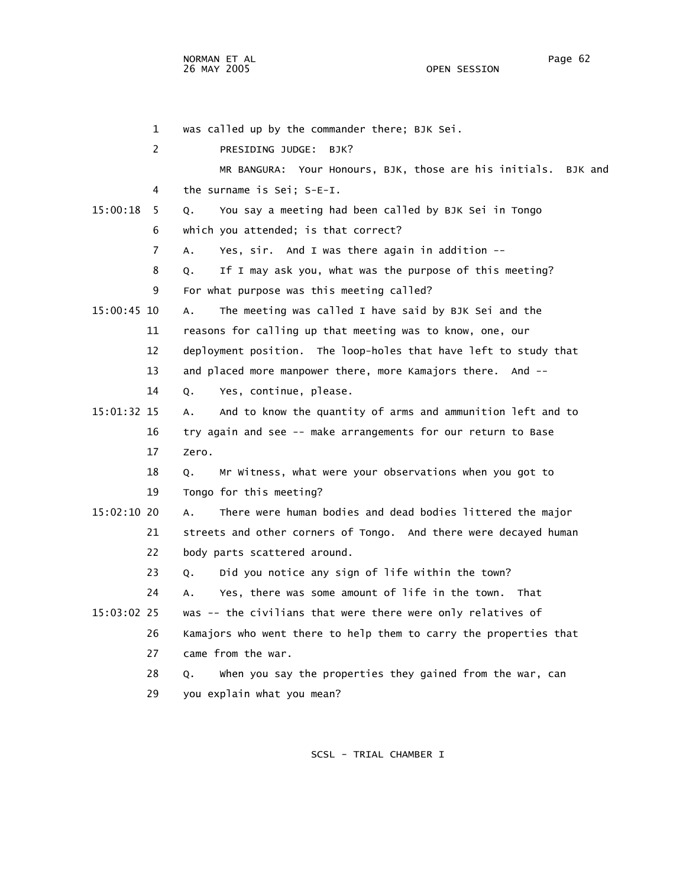NORMAN ET AL Page 62 and the set of the set of the set of the set of the set of the set of the set of the set o 26 MAY 2005 OPEN SESSION

|             | $\mathbf{1}$   | was called up by the commander there; BJK Sei.                    |
|-------------|----------------|-------------------------------------------------------------------|
|             | 2              | PRESIDING JUDGE:<br>BJK?                                          |
|             |                | MR BANGURA: Your Honours, BJK, those are his initials.<br>BJK and |
|             | $\overline{4}$ | the surname is Sei; S-E-I.                                        |
| 15:00:18    | 5              | You say a meeting had been called by BJK Sei in Tongo<br>Q.       |
|             | 6              | which you attended; is that correct?                              |
|             | $\overline{7}$ | Yes, sir. And I was there again in addition --<br>Α.              |
|             | 8              | If I may ask you, what was the purpose of this meeting?<br>Q.     |
|             | 9              | For what purpose was this meeting called?                         |
| 15:00:45 10 |                | The meeting was called I have said by BJK Sei and the<br>Α.       |
|             | 11             | reasons for calling up that meeting was to know, one, our         |
|             | 12             | deployment position. The loop-holes that have left to study that  |
|             | 13             | and placed more manpower there, more Kamajors there. And --       |
|             | 14             | Yes, continue, please.<br>Q.                                      |
| 15:01:32 15 |                | And to know the quantity of arms and ammunition left and to<br>Α. |
|             | 16             | try again and see -- make arrangements for our return to Base     |
|             | 17             | Zero.                                                             |
|             | 18             | Mr Witness, what were your observations when you got to<br>Q.     |
|             | 19             | Tongo for this meeting?                                           |
| 15:02:10 20 |                | There were human bodies and dead bodies littered the major<br>Α.  |
|             | 21             | streets and other corners of Tongo. And there were decayed human  |
|             | 22             | body parts scattered around.                                      |
|             | 23             | Did you notice any sign of life within the town?<br>Q.            |
|             | 24             | Yes, there was some amount of life in the town. That<br>А.        |
| 15:03:02 25 |                | was -- the civilians that were there were only relatives of       |
|             | 26             | Kamajors who went there to help them to carry the properties that |
|             | 27             | came from the war.                                                |
|             | 28             | when you say the properties they gained from the war, can<br>Q.   |
|             | 29             | you explain what you mean?                                        |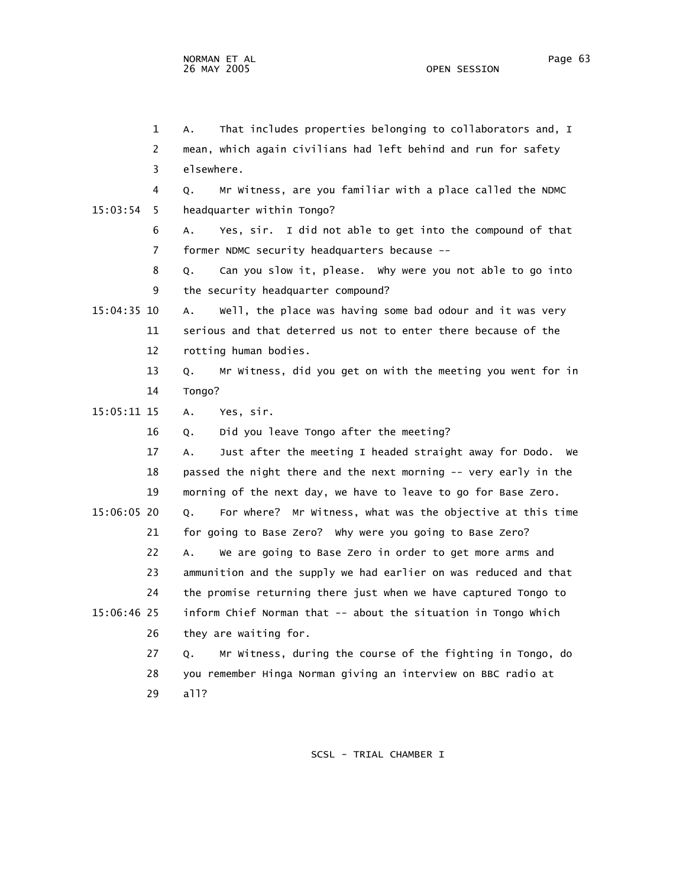1 A. That includes properties belonging to collaborators and, I 2 mean, which again civilians had left behind and run for safety 3 elsewhere. 4 Q. Mr Witness, are you familiar with a place called the NDMC 15:03:54 5 headquarter within Tongo? 6 A. Yes, sir. I did not able to get into the compound of that 7 former NDMC security headquarters because -- 8 Q. Can you slow it, please. Why were you not able to go into 9 the security headquarter compound? 15:04:35 10 A. Well, the place was having some bad odour and it was very 11 serious and that deterred us not to enter there because of the 12 rotting human bodies. 13 Q. Mr Witness, did you get on with the meeting you went for in 14 Tongo? 15:05:11 15 A. Yes, sir. 16 Q. Did you leave Tongo after the meeting? 17 A. Just after the meeting I headed straight away for Dodo. We 18 passed the night there and the next morning -- very early in the 19 morning of the next day, we have to leave to go for Base Zero. 15:06:05 20 Q. For where? Mr Witness, what was the objective at this time 21 for going to Base Zero? Why were you going to Base Zero? 22 A. We are going to Base Zero in order to get more arms and 23 ammunition and the supply we had earlier on was reduced and that 24 the promise returning there just when we have captured Tongo to 15:06:46 25 inform Chief Norman that -- about the situation in Tongo Which 26 they are waiting for. 27 Q. Mr Witness, during the course of the fighting in Tongo, do 28 you remember Hinga Norman giving an interview on BBC radio at 29 all?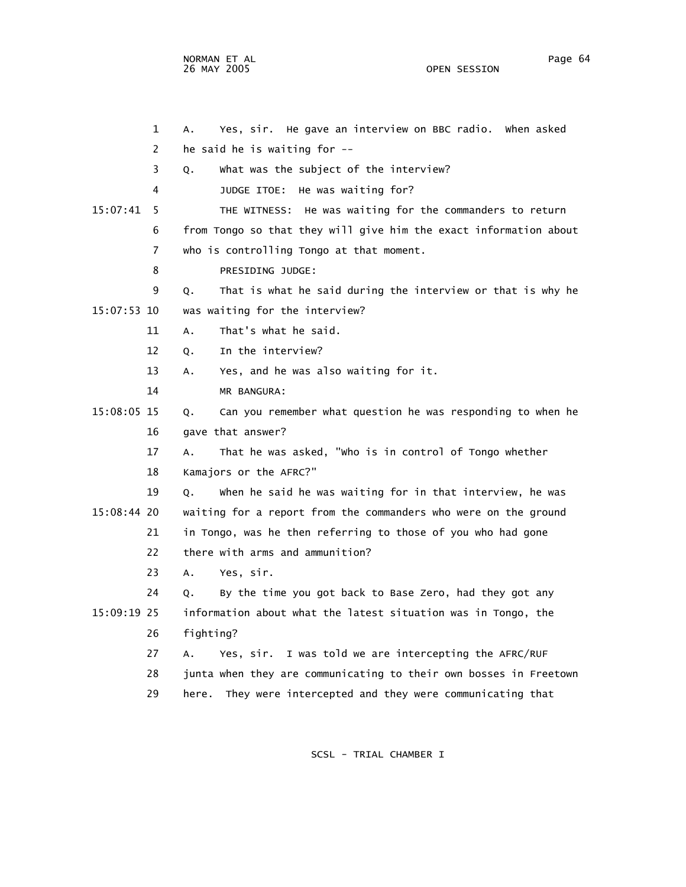NORMAN ET AL Page 64 and the set of the set of the set of the set of the set of the set of the set of the set o 26 MAY 2005 OPEN SESSION

|               | $\mathbf{1}$ | Yes, sir. He gave an interview on BBC radio. When asked<br>А.     |
|---------------|--------------|-------------------------------------------------------------------|
|               | 2            | he said he is waiting for --                                      |
|               | 3            | What was the subject of the interview?<br>Q.                      |
|               | 4            | JUDGE ITOE: He was waiting for?                                   |
| 15:07:41      | 5            | THE WITNESS: He was waiting for the commanders to return          |
|               | 6            | from Tongo so that they will give him the exact information about |
|               | 7            | who is controlling Tongo at that moment.                          |
|               | 8            | PRESIDING JUDGE:                                                  |
|               | 9            | That is what he said during the interview or that is why he<br>Q. |
| 15:07:53 10   |              | was waiting for the interview?                                    |
|               | 11           | That's what he said.<br>А.                                        |
|               | 12           | In the interview?<br>Q.                                           |
|               | 13           | Yes, and he was also waiting for it.<br>А.                        |
|               | 14           | MR BANGURA:                                                       |
| 15:08:05 15   |              | Can you remember what question he was responding to when he<br>Q. |
|               | 16           | gave that answer?                                                 |
|               | 17           | That he was asked, "who is in control of Tongo whether<br>А.      |
|               | 18           | Kamajors or the AFRC?"                                            |
|               | 19           | when he said he was waiting for in that interview, he was<br>Q.   |
| $15:08:44$ 20 |              | waiting for a report from the commanders who were on the ground   |
|               | 21           | in Tongo, was he then referring to those of you who had gone      |
|               | 22           | there with arms and ammunition?                                   |
|               | 23           | Yes, sir.<br>А.                                                   |
|               | 24           | By the time you got back to Base Zero, had they got any<br>0.     |
| 15:09:19 25   |              | information about what the latest situation was in Tongo, the     |
|               | 26           | fighting?                                                         |
|               | 27           | Yes, sir. I was told we are intercepting the AFRC/RUF<br>Α.       |
|               | 28           | junta when they are communicating to their own bosses in Freetown |
|               | 29           | They were intercepted and they were communicating that<br>here.   |
|               |              |                                                                   |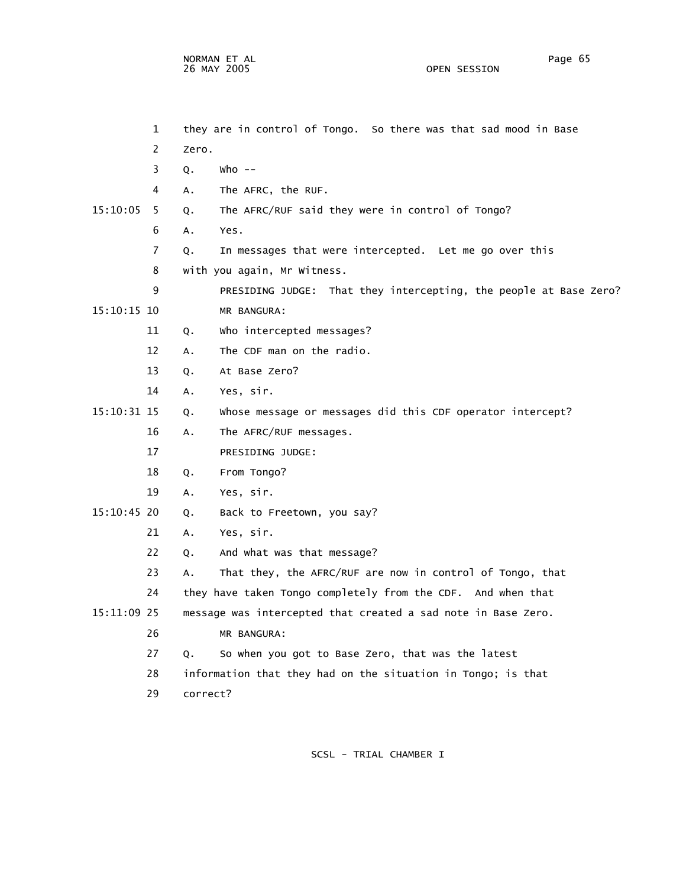NORMAN ET AL Page 65 26 MAY 2005

 1 they are in control of Tongo. So there was that sad mood in Base 2 Zero. 3 Q. Who -- 4 A. The AFRC, the RUF. 15:10:05 5 Q. The AFRC/RUF said they were in control of Tongo? 6 A. Yes. 7 Q. In messages that were intercepted. Let me go over this 8 with you again, Mr Witness. 9 PRESIDING JUDGE: That they intercepting, the people at Base Zero? 15:10:15 10 MR BANGURA: 11 Q. Who intercepted messages? 12 A. The CDF man on the radio. 13 Q. At Base Zero? 14 A. Yes, sir. 15:10:31 15 Q. Whose message or messages did this CDF operator intercept? 16 A. The AFRC/RUF messages. 17 PRESIDING JUDGE: 18 Q. From Tongo? 19 A. Yes, sir. 15:10:45 20 Q. Back to Freetown, you say? 21 A. Yes, sir. 22 Q. And what was that message? 23 A. That they, the AFRC/RUF are now in control of Tongo, that 24 they have taken Tongo completely from the CDF. And when that 15:11:09 25 message was intercepted that created a sad note in Base Zero. 26 MR BANGURA: 27 Q. So when you got to Base Zero, that was the latest 28 information that they had on the situation in Tongo; is that 29 correct?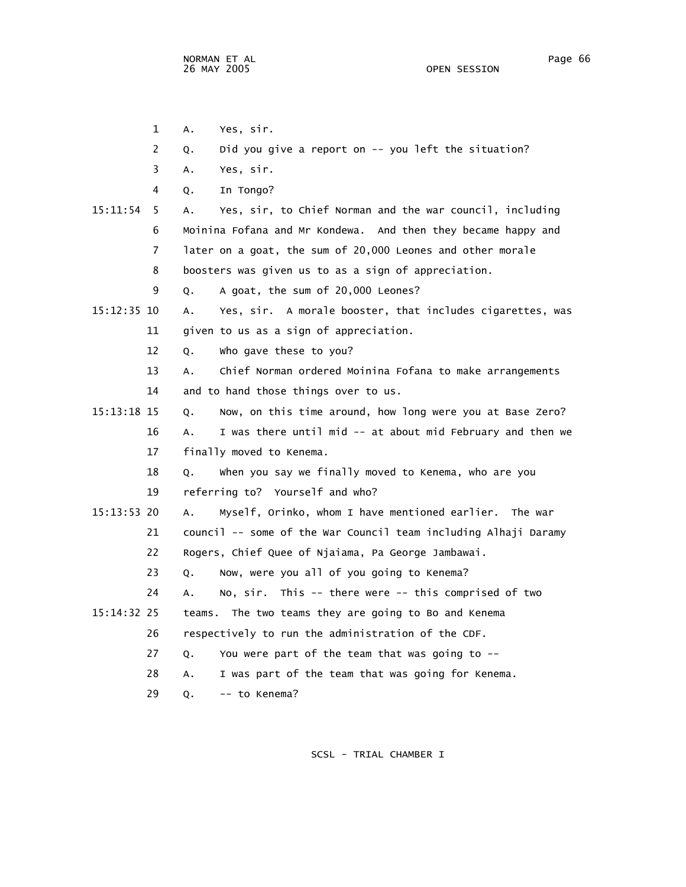- 1 A. Yes, sir.
- 2 Q. Did you give a report on -- you left the situation?
- 3 A. Yes, sir.
- 4 Q. In Tongo?

 15:11:54 5 A. Yes, sir, to Chief Norman and the war council, including 6 Moinina Fofana and Mr Kondewa. And then they became happy and 7 later on a goat, the sum of 20,000 Leones and other morale 8 boosters was given us to as a sign of appreciation. 9 Q. A goat, the sum of 20,000 Leones?

- 15:12:35 10 A. Yes, sir. A morale booster, that includes cigarettes, was 11 given to us as a sign of appreciation.
	- 12 Q. Who gave these to you?
	- 13 A. Chief Norman ordered Moinina Fofana to make arrangements
	- 14 and to hand those things over to us.
- 15:13:18 15 Q. Now, on this time around, how long were you at Base Zero? 16 A. I was there until mid -- at about mid February and then we 17 finally moved to Kenema.

 18 Q. When you say we finally moved to Kenema, who are you 19 referring to? Yourself and who?

 15:13:53 20 A. Myself, Orinko, whom I have mentioned earlier. The war 21 council -- some of the War Council team including Alhaji Daramy

- 22 Rogers, Chief Quee of Njaiama, Pa George Jambawai.
- 23 Q. Now, were you all of you going to Kenema?
- 24 A. No, sir. This -- there were -- this comprised of two
- 15:14:32 25 teams. The two teams they are going to Bo and Kenema
	- 26 respectively to run the administration of the CDF.
		- 27 Q. You were part of the team that was going to --
		- 28 A. I was part of the team that was going for Kenema.
		- 29 Q. -- to Kenema?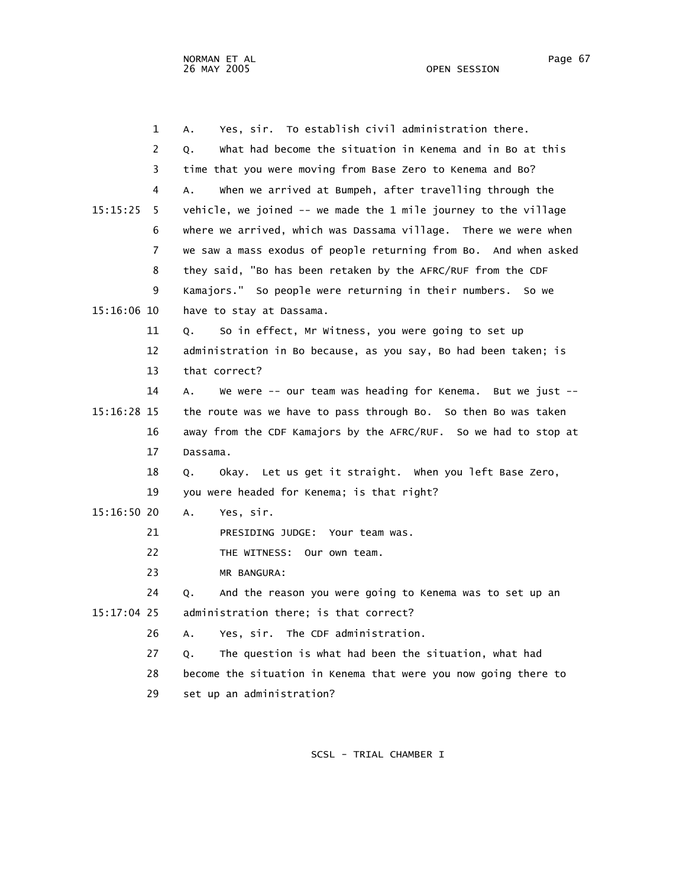|             | 1  | Yes, sir. To establish civil administration there.<br>А.         |
|-------------|----|------------------------------------------------------------------|
|             | 2  | What had become the situation in Kenema and in Bo at this<br>Q.  |
|             | 3  | time that you were moving from Base Zero to Kenema and Bo?       |
|             | 4  | when we arrived at Bumpeh, after travelling through the<br>А.    |
| 15:15:25    | 5. | vehicle, we joined -- we made the 1 mile journey to the village  |
|             | 6  | where we arrived, which was Dassama village. There we were when  |
|             | 7  | we saw a mass exodus of people returning from Bo. And when asked |
|             | 8  | they said, "Bo has been retaken by the AFRC/RUF from the CDF     |
|             | 9  | Kamajors." So people were returning in their numbers. So we      |
| 15:16:06 10 |    | have to stay at Dassama.                                         |
|             | 11 | So in effect, Mr Witness, you were going to set up<br>Q.         |
|             | 12 | administration in Bo because, as you say, Bo had been taken; is  |
|             | 13 | that correct?                                                    |
|             | 14 | We were -- our team was heading for Kenema. But we just --<br>А. |
| 15:16:28 15 |    | the route was we have to pass through Bo. So then Bo was taken   |
|             | 16 | away from the CDF Kamajors by the AFRC/RUF. So we had to stop at |
|             | 17 | Dassama.                                                         |
|             | 18 | Okay. Let us get it straight. When you left Base Zero,<br>Q.     |
|             | 19 | you were headed for Kenema; is that right?                       |
| 15:16:50 20 |    | Yes, sir.<br>Α.                                                  |
|             | 21 | PRESIDING JUDGE: Your team was.                                  |
|             | 22 | THE WITNESS: Our own team.                                       |
|             | 23 | MR BANGURA:                                                      |
|             | 24 | And the reason you were going to Kenema was to set up an<br>0.   |
| 15:17:04 25 |    | administration there; is that correct?                           |
|             | 26 | Yes, sir. The CDF administration.<br>А.                          |
|             | 27 | The question is what had been the situation, what had<br>Q.      |
|             | 28 | become the situation in Kenema that were you now going there to  |
|             | 29 | set up an administration?                                        |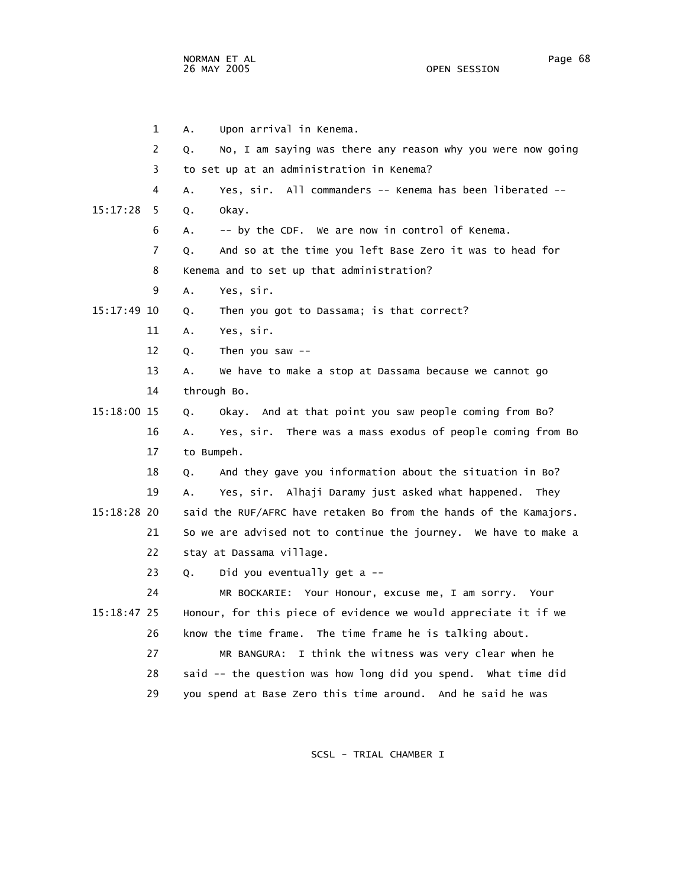NORMAN ET AL Page 68 and the set of the set of the set of the set of the set of the set of the set of the set o 26 MAY 2005 OPEN SESSION

|             | 1  | Upon arrival in Kenema.<br>Α.                                     |
|-------------|----|-------------------------------------------------------------------|
|             | 2  | No, I am saying was there any reason why you were now going<br>Q. |
|             | 3  | to set up at an administration in Kenema?                         |
|             | 4  | Yes, sir. All commanders -- Kenema has been liberated --<br>A.    |
| 15:17:28    | 5. | Q.<br>okay.                                                       |
|             | 6  | -- by the CDF. We are now in control of Kenema.<br>А.             |
|             | 7  | And so at the time you left Base Zero it was to head for<br>Q.    |
|             | 8  | Kenema and to set up that administration?                         |
|             | 9  | Yes, sir.<br>Α.                                                   |
| 15:17:49 10 |    | Then you got to Dassama; is that correct?<br>Q.                   |
|             | 11 | Yes, sir.<br>Α.                                                   |
|             | 12 | Then you saw $--$<br>Q.                                           |
|             | 13 | We have to make a stop at Dassama because we cannot go<br>А.      |
|             | 14 | through Bo.                                                       |
| 15:18:00 15 |    | Okay. And at that point you saw people coming from Bo?<br>Q.      |
|             | 16 | Yes, sir. There was a mass exodus of people coming from Bo<br>Α.  |
|             | 17 | to Bumpeh.                                                        |
|             | 18 | And they gave you information about the situation in Bo?<br>Q.    |
|             | 19 | Yes, sir. Alhaji Daramy just asked what happened. They<br>Α.      |
| 15:18:28 20 |    | said the RUF/AFRC have retaken Bo from the hands of the Kamajors. |
|             | 21 | So we are advised not to continue the journey. We have to make a  |
|             | 22 | stay at Dassama village.                                          |
|             | 23 | Did you eventually get a --<br>Q.                                 |
|             | 24 | MR BOCKARIE: Your Honour, excuse me, I am sorry. Your             |
| 15:18:47 25 |    | Honour, for this piece of evidence we would appreciate it if we   |
|             | 26 | know the time frame. The time frame he is talking about.          |
|             | 27 | MR BANGURA: I think the witness was very clear when he            |
|             | 28 | said -- the question was how long did you spend. What time did    |
|             | 29 | you spend at Base Zero this time around. And he said he was       |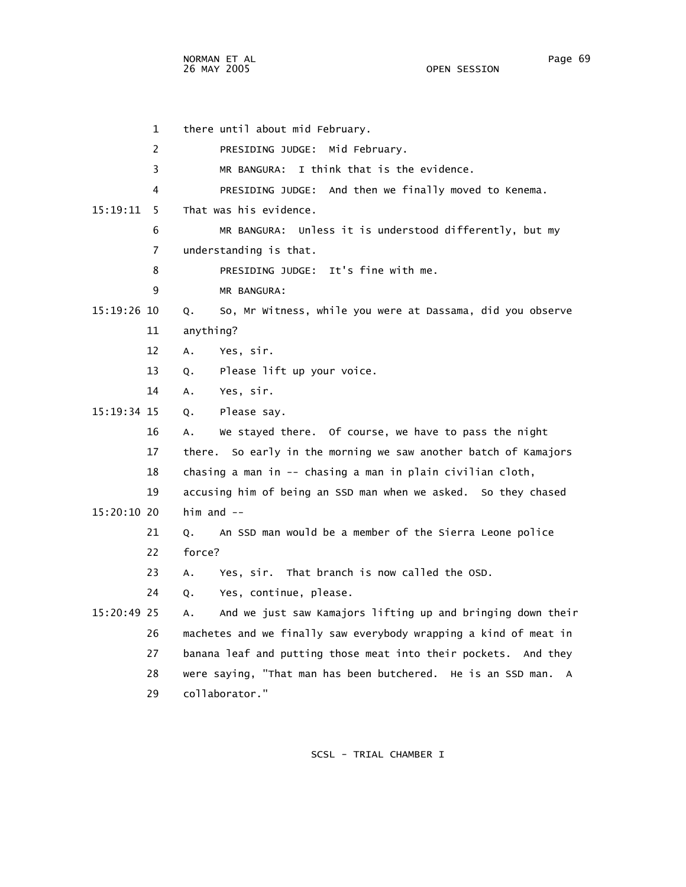1 there until about mid February. 2 PRESIDING JUDGE: Mid February. 3 MR BANGURA: I think that is the evidence. 4 PRESIDING JUDGE: And then we finally moved to Kenema. 15:19:11 5 That was his evidence. 6 MR BANGURA: Unless it is understood differently, but my 7 understanding is that. 8 PRESIDING JUDGE: It's fine with me. 9 MR BANGURA: 15:19:26 10 Q. So, Mr Witness, while you were at Dassama, did you observe 11 anything? 12 A. Yes, sir. 13 Q. Please lift up your voice. 14 A. Yes, sir. 15:19:34 15 Q. Please say. 16 A. We stayed there. Of course, we have to pass the night 17 there. So early in the morning we saw another batch of Kamajors 18 chasing a man in -- chasing a man in plain civilian cloth, 19 accusing him of being an SSD man when we asked. So they chased 15:20:10 20 him and -- 21 Q. An SSD man would be a member of the Sierra Leone police 22 force? 23 A. Yes, sir. That branch is now called the OSD. 24 Q. Yes, continue, please. 15:20:49 25 A. And we just saw Kamajors lifting up and bringing down their 26 machetes and we finally saw everybody wrapping a kind of meat in 27 banana leaf and putting those meat into their pockets. And they 28 were saying, "That man has been butchered. He is an SSD man. A 29 collaborator."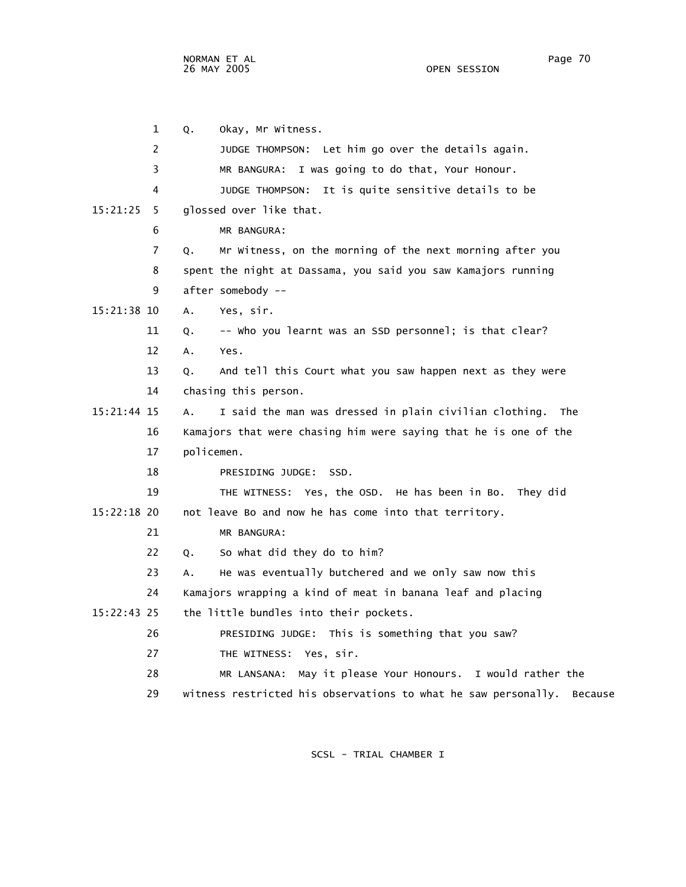NORMAN ET AL Page 70 26 MAY 2005

 1 Q. Okay, Mr Witness. 2 JUDGE THOMPSON: Let him go over the details again. 3 MR BANGURA: I was going to do that, Your Honour. 4 JUDGE THOMPSON: It is quite sensitive details to be 15:21:25 5 glossed over like that. 6 MR BANGURA: 7 Q. Mr Witness, on the morning of the next morning after you 8 spent the night at Dassama, you said you saw Kamajors running 9 after somebody -- 15:21:38 10 A. Yes, sir. 11 Q. -- Who you learnt was an SSD personnel; is that clear? 12 A. Yes. 13 Q. And tell this Court what you saw happen next as they were 14 chasing this person. 15:21:44 15 A. I said the man was dressed in plain civilian clothing. The 16 Kamajors that were chasing him were saying that he is one of the 17 policemen. 18 PRESIDING JUDGE: SSD. 19 THE WITNESS: Yes, the OSD. He has been in Bo. They did 15:22:18 20 not leave Bo and now he has come into that territory. 21 MR BANGURA: 22 Q. So what did they do to him? 23 A. He was eventually butchered and we only saw now this 24 Kamajors wrapping a kind of meat in banana leaf and placing 15:22:43 25 the little bundles into their pockets. 26 PRESIDING JUDGE: This is something that you saw? 27 THE WITNESS: Yes, sir. 28 MR LANSANA: May it please Your Honours. I would rather the 29 witness restricted his observations to what he saw personally. Because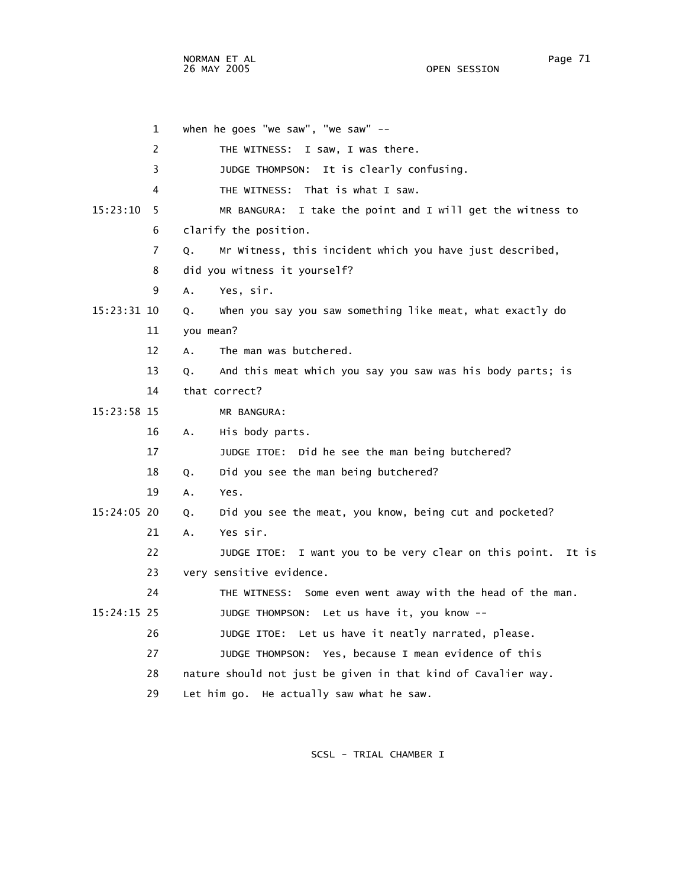NORMAN ET AL
Page 71 26 MAY 2005

 1 when he goes "we saw", "we saw" -- 2 THE WITNESS: I saw, I was there. 3 JUDGE THOMPSON: It is clearly confusing. 4 THE WITNESS: That is what I saw. 15:23:10 5 MR BANGURA: I take the point and I will get the witness to 6 clarify the position. 7 Q. Mr Witness, this incident which you have just described, 8 did you witness it yourself? 9 A. Yes, sir. 15:23:31 10 Q. When you say you saw something like meat, what exactly do 11 you mean? 12 A. The man was butchered. 13 Q. And this meat which you say you saw was his body parts; is 14 that correct? 15:23:58 15 MR BANGURA: 16 A. His body parts. 17 JUDGE ITOE: Did he see the man being butchered? 18 Q. Did you see the man being butchered? 19 A. Yes. 15:24:05 20 Q. Did you see the meat, you know, being cut and pocketed? 21 A. Yes sir. 22 JUDGE ITOE: I want you to be very clear on this point. It is 23 very sensitive evidence. 24 THE WITNESS: Some even went away with the head of the man. 15:24:15 25 JUDGE THOMPSON: Let us have it, you know -- 26 JUDGE ITOE: Let us have it neatly narrated, please. 27 JUDGE THOMPSON: Yes, because I mean evidence of this 28 nature should not just be given in that kind of Cavalier way. 29 Let him go. He actually saw what he saw.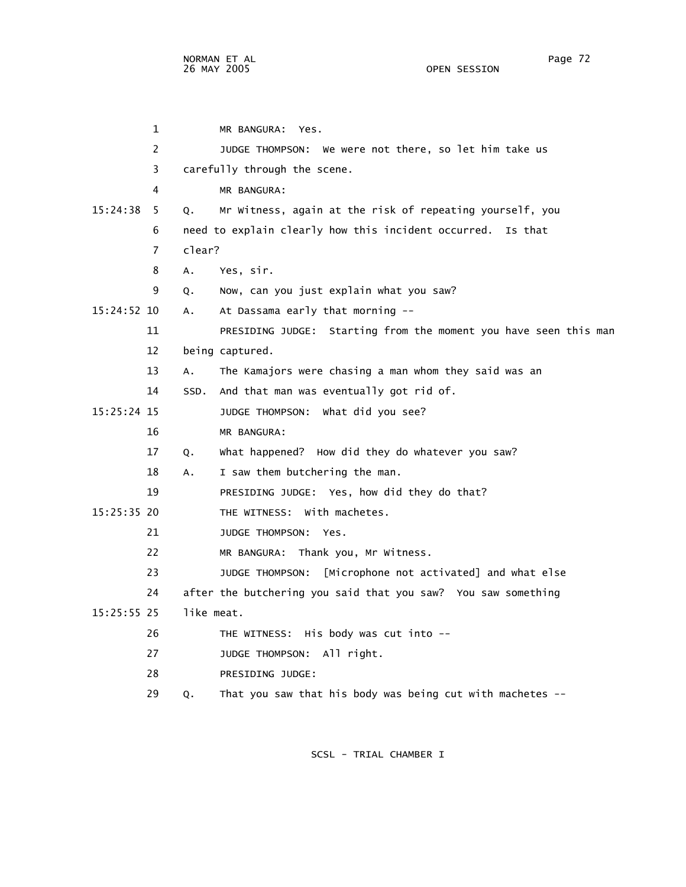1 MR BANGURA: Yes. 2 JUDGE THOMPSON: We were not there, so let him take us 3 carefully through the scene. 4 MR BANGURA: 15:24:38 5 Q. Mr Witness, again at the risk of repeating yourself, you 6 need to explain clearly how this incident occurred. Is that 7 clear? 8 A. Yes, sir. 9 Q. Now, can you just explain what you saw? 15:24:52 10 A. At Dassama early that morning -- 11 PRESIDING JUDGE: Starting from the moment you have seen this man 12 being captured. 13 A. The Kamajors were chasing a man whom they said was an 14 SSD. And that man was eventually got rid of. 15:25:24 15 JUDGE THOMPSON: What did you see? 16 MR BANGURA: 17 Q. What happened? How did they do whatever you saw? 18 A. I saw them butchering the man. 19 PRESIDING JUDGE: Yes, how did they do that? 15:25:35 20 THE WITNESS: With machetes. 21 JUDGE THOMPSON: Yes. 22 MR BANGURA: Thank you, Mr Witness. 23 JUDGE THOMPSON: [Microphone not activated] and what else 24 after the butchering you said that you saw? You saw something 15:25:55 25 like meat. 26 THE WITNESS: His body was cut into -- 27 JUDGE THOMPSON: All right. 28 PRESIDING JUDGE: 29 Q. That you saw that his body was being cut with machetes --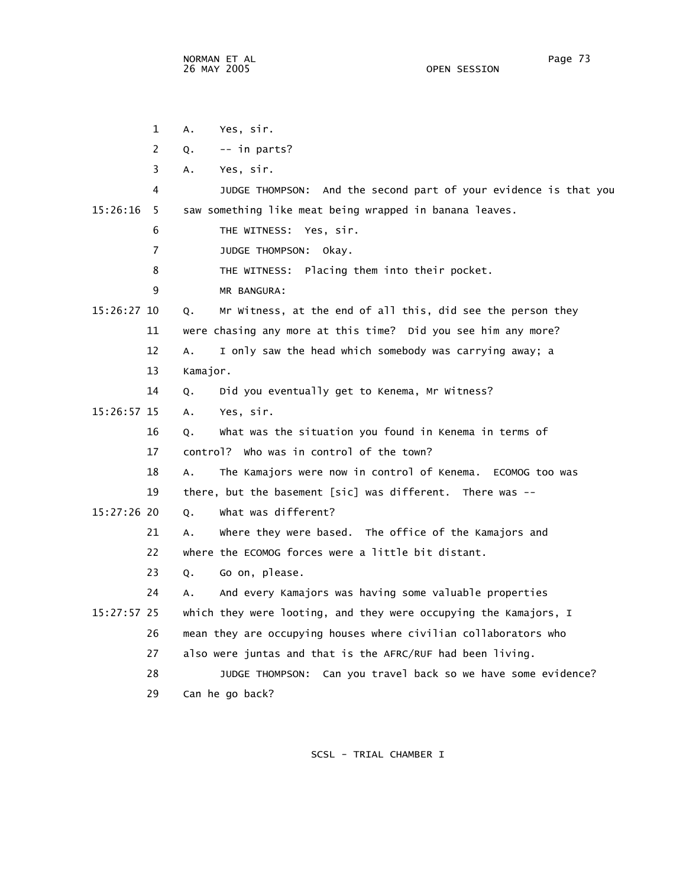1 A. Yes, sir. 2  $Q. -1$  in parts? 3 A. Yes, sir. 4 JUDGE THOMPSON: And the second part of your evidence is that you 15:26:16 5 saw something like meat being wrapped in banana leaves. 6 THE WITNESS: Yes, sir. 7 JUDGE THOMPSON: Okay. 8 THE WITNESS: Placing them into their pocket. 9 MR BANGURA: 15:26:27 10 Q. Mr Witness, at the end of all this, did see the person they 11 were chasing any more at this time? Did you see him any more? 12 A. I only saw the head which somebody was carrying away; a 13 Kamajor. 14 Q. Did you eventually get to Kenema, Mr Witness? 15:26:57 15 A. Yes, sir. 16 Q. What was the situation you found in Kenema in terms of 17 control? Who was in control of the town? 18 A. The Kamajors were now in control of Kenema. ECOMOG too was 19 there, but the basement [sic] was different. There was -- 15:27:26 20 Q. What was different? 21 A. Where they were based. The office of the Kamajors and 22 where the ECOMOG forces were a little bit distant. 23 Q. Go on, please. 24 A. And every Kamajors was having some valuable properties 15:27:57 25 which they were looting, and they were occupying the Kamajors, I 26 mean they are occupying houses where civilian collaborators who 27 also were juntas and that is the AFRC/RUF had been living. 28 JUDGE THOMPSON: Can you travel back so we have some evidence? 29 Can he go back?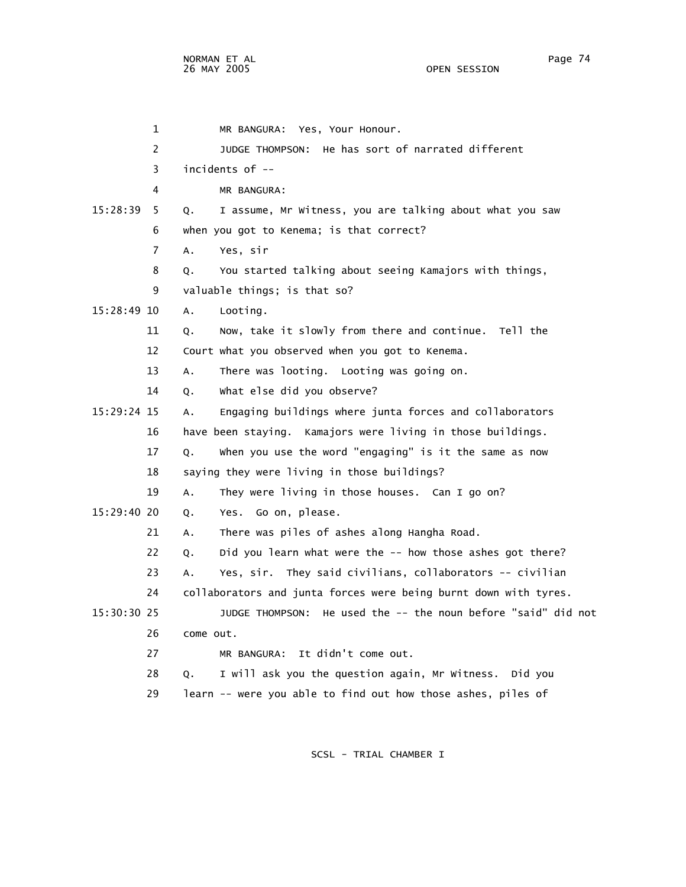1 MR BANGURA: Yes, Your Honour. 2 JUDGE THOMPSON: He has sort of narrated different 3 incidents of -- 4 MR BANGURA: 15:28:39 5 Q. I assume, Mr Witness, you are talking about what you saw 6 when you got to Kenema; is that correct? 7 A. Yes, sir 8 Q. You started talking about seeing Kamajors with things, 9 valuable things; is that so? 15:28:49 10 A. Looting. 11 Q. Now, take it slowly from there and continue. Tell the 12 Court what you observed when you got to Kenema. 13 A. There was looting. Looting was going on. 14 Q. What else did you observe? 15:29:24 15 A. Engaging buildings where junta forces and collaborators 16 have been staying. Kamajors were living in those buildings. 17 Q. When you use the word "engaging" is it the same as now 18 saying they were living in those buildings? 19 A. They were living in those houses. Can I go on? 15:29:40 20 Q. Yes. Go on, please. 21 A. There was piles of ashes along Hangha Road. 22 Q. Did you learn what were the -- how those ashes got there? 23 A. Yes, sir. They said civilians, collaborators -- civilian 24 collaborators and junta forces were being burnt down with tyres. 15:30:30 25 JUDGE THOMPSON: He used the -- the noun before "said" did not 26 come out. 27 MR BANGURA: It didn't come out. 28 Q. I will ask you the question again, Mr Witness. Did you 29 learn -- were you able to find out how those ashes, piles of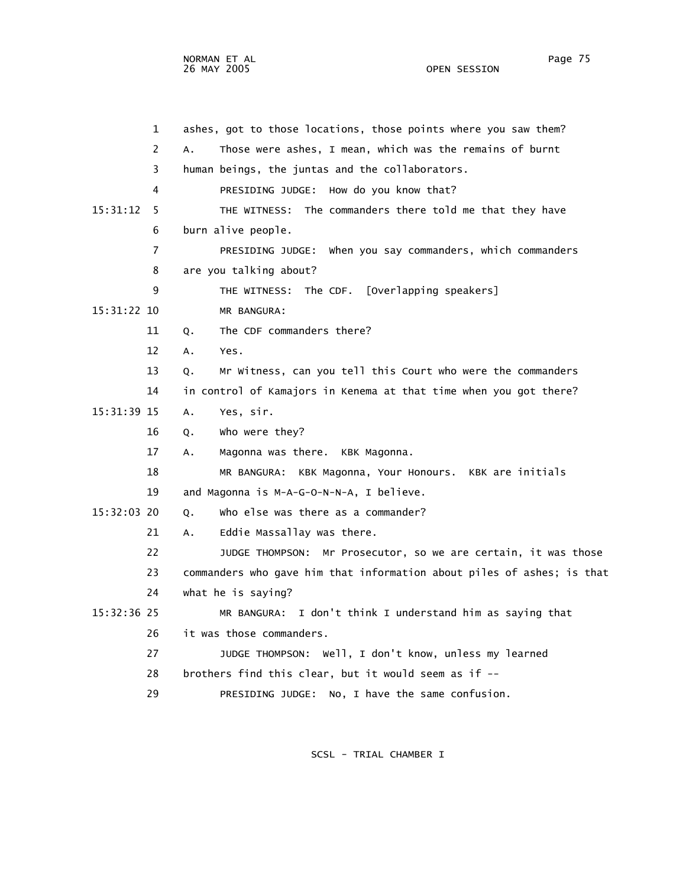OPEN SESSION

 1 ashes, got to those locations, those points where you saw them? 2 A. Those were ashes, I mean, which was the remains of burnt 3 human beings, the juntas and the collaborators. 4 PRESIDING JUDGE: How do you know that? 15:31:12 5 THE WITNESS: The commanders there told me that they have 6 burn alive people. 7 PRESIDING JUDGE: When you say commanders, which commanders 8 are you talking about? 9 THE WITNESS: The CDF. [Overlapping speakers] 15:31:22 10 MR BANGURA: 11 Q. The CDF commanders there? 12 A. Yes. 13 Q. Mr Witness, can you tell this Court who were the commanders 14 in control of Kamajors in Kenema at that time when you got there? 15:31:39 15 A. Yes, sir. 16 Q. Who were they? 17 A. Magonna was there. KBK Magonna. 18 MR BANGURA: KBK Magonna, Your Honours. KBK are initials 19 and Magonna is M-A-G-O-N-N-A, I believe. 15:32:03 20 Q. Who else was there as a commander? 21 A. Eddie Massallay was there.

 22 JUDGE THOMPSON: Mr Prosecutor, so we are certain, it was those 23 commanders who gave him that information about piles of ashes; is that 24 what he is saying?

 15:32:36 25 MR BANGURA: I don't think I understand him as saying that 26 it was those commanders.

> 27 JUDGE THOMPSON: Well, I don't know, unless my learned 28 brothers find this clear, but it would seem as if --

29 PRESIDING JUDGE: No, I have the same confusion.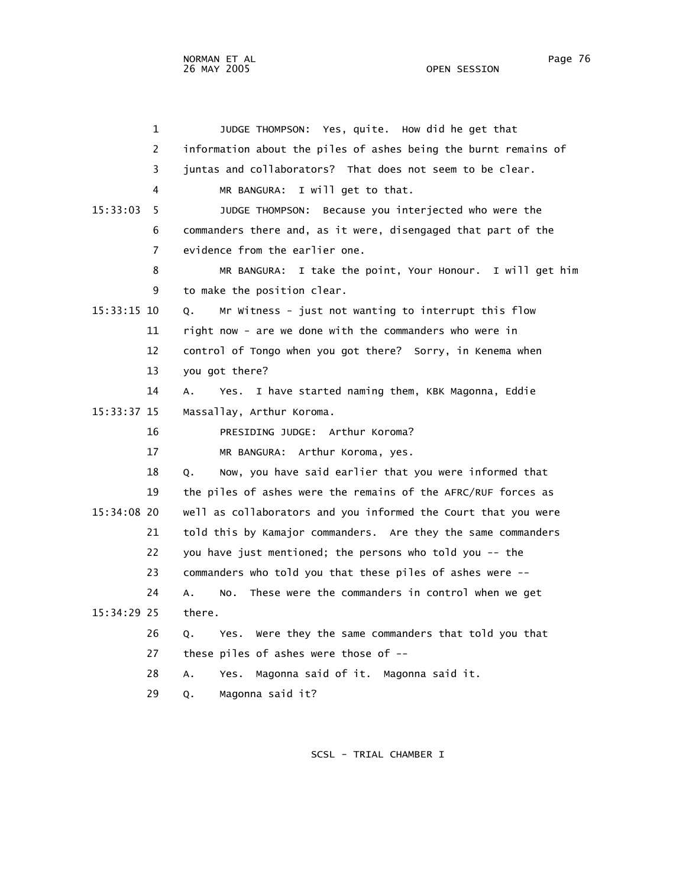1 JUDGE THOMPSON: Yes, quite. How did he get that 2 information about the piles of ashes being the burnt remains of 3 juntas and collaborators? That does not seem to be clear. 4 MR BANGURA: I will get to that. 15:33:03 5 JUDGE THOMPSON: Because you interjected who were the 6 commanders there and, as it were, disengaged that part of the 7 evidence from the earlier one. 8 MR BANGURA: I take the point, Your Honour. I will get him 9 to make the position clear. 15:33:15 10 Q. Mr Witness - just not wanting to interrupt this flow 11 right now - are we done with the commanders who were in 12 control of Tongo when you got there? Sorry, in Kenema when 13 you got there? 14 A. Yes. I have started naming them, KBK Magonna, Eddie 15:33:37 15 Massallay, Arthur Koroma. 16 PRESIDING JUDGE: Arthur Koroma? 17 MR BANGURA: Arthur Koroma, yes. 18 Q. Now, you have said earlier that you were informed that 19 the piles of ashes were the remains of the AFRC/RUF forces as 15:34:08 20 well as collaborators and you informed the Court that you were 21 told this by Kamajor commanders. Are they the same commanders 22 you have just mentioned; the persons who told you -- the 23 commanders who told you that these piles of ashes were -- 24 A. No. These were the commanders in control when we get 15:34:29 25 there. 26 Q. Yes. Were they the same commanders that told you that 27 these piles of ashes were those of -- 28 A. Yes. Magonna said of it. Magonna said it. 29 Q. Magonna said it?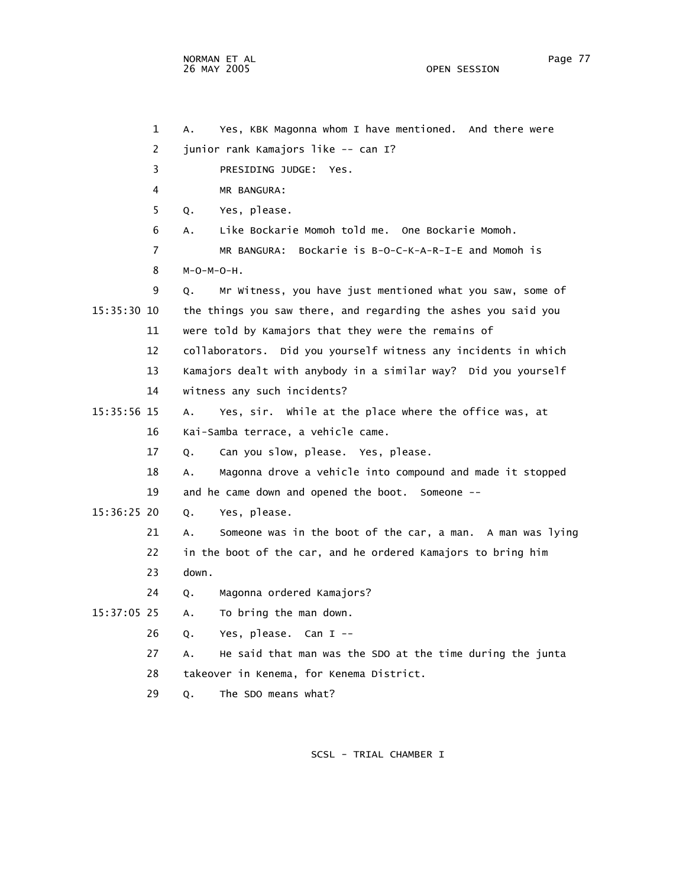```
 1 A. Yes, KBK Magonna whom I have mentioned. And there were 
         2 junior rank Kamajors like -- can I? 
         3 PRESIDING JUDGE: Yes. 
         4 MR BANGURA: 
         5 Q. Yes, please. 
         6 A. Like Bockarie Momoh told me. One Bockarie Momoh. 
         7 MR BANGURA: Bockarie is B-O-C-K-A-R-I-E and Momoh is 
         8 M-O-M-O-H. 
         9 Q. Mr Witness, you have just mentioned what you saw, some of 
15:35:30 10 the things you saw there, and regarding the ashes you said you 
        11 were told by Kamajors that they were the remains of 
        12 collaborators. Did you yourself witness any incidents in which 
        13 Kamajors dealt with anybody in a similar way? Did you yourself 
        14 witness any such incidents? 
15:35:56 15 A. Yes, sir. While at the place where the office was, at 
        16 Kai-Samba terrace, a vehicle came. 
        17 Q. Can you slow, please. Yes, please. 
        18 A. Magonna drove a vehicle into compound and made it stopped 
        19 and he came down and opened the boot. Someone -- 
15:36:25 20 Q. Yes, please. 
        21 A. Someone was in the boot of the car, a man. A man was lying 
        22 in the boot of the car, and he ordered Kamajors to bring him 
        23 down. 
        24 Q. Magonna ordered Kamajors? 
15:37:05 25 A. To bring the man down. 
        26 Q. Yes, please. Can I -- 
        27 A. He said that man was the SDO at the time during the junta 
        28 takeover in Kenema, for Kenema District.
```
29 Q. The SDO means what?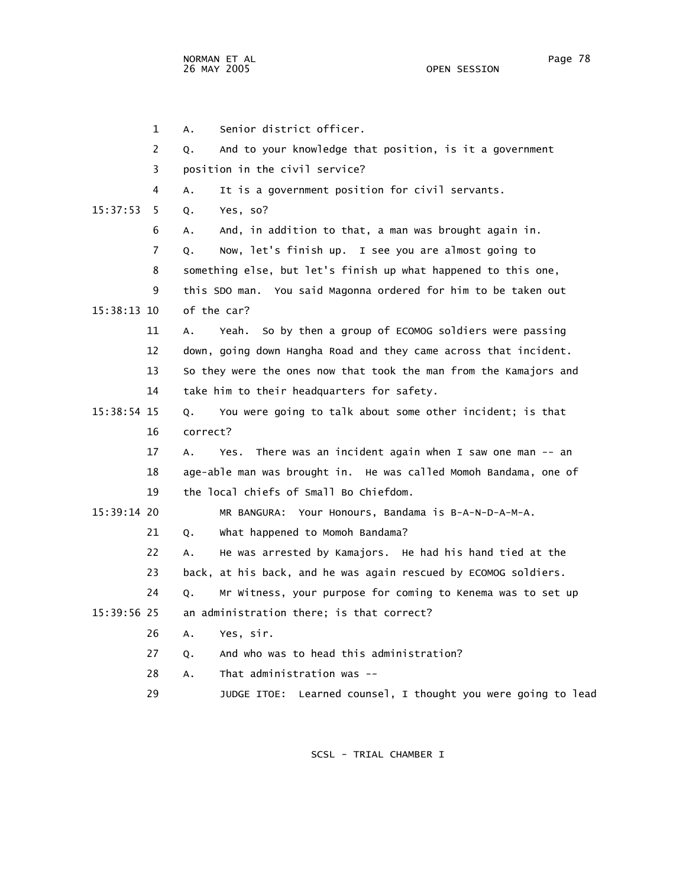1 A. Senior district officer. 2 Q. And to your knowledge that position, is it a government 3 position in the civil service? 4 A. It is a government position for civil servants. 15:37:53 5 Q. Yes, so? 6 A. And, in addition to that, a man was brought again in. 7 Q. Now, let's finish up. I see you are almost going to 8 something else, but let's finish up what happened to this one, 9 this SDO man. You said Magonna ordered for him to be taken out 15:38:13 10 of the car? 11 A. Yeah. So by then a group of ECOMOG soldiers were passing 12 down, going down Hangha Road and they came across that incident. 13 So they were the ones now that took the man from the Kamajors and 14 take him to their headquarters for safety. 15:38:54 15 Q. You were going to talk about some other incident; is that 16 correct? 17 A. Yes. There was an incident again when I saw one man -- an 18 age-able man was brought in. He was called Momoh Bandama, one of 19 the local chiefs of Small Bo Chiefdom. 15:39:14 20 MR BANGURA: Your Honours, Bandama is B-A-N-D-A-M-A. 21 Q. What happened to Momoh Bandama? 22 A. He was arrested by Kamajors. He had his hand tied at the 23 back, at his back, and he was again rescued by ECOMOG soldiers. 24 Q. Mr Witness, your purpose for coming to Kenema was to set up 15:39:56 25 an administration there; is that correct? 26 A. Yes, sir. 27 Q. And who was to head this administration? 28 A. That administration was --

SCSL - TRIAL CHAMBER I

29 JUDGE ITOE: Learned counsel, I thought you were going to lead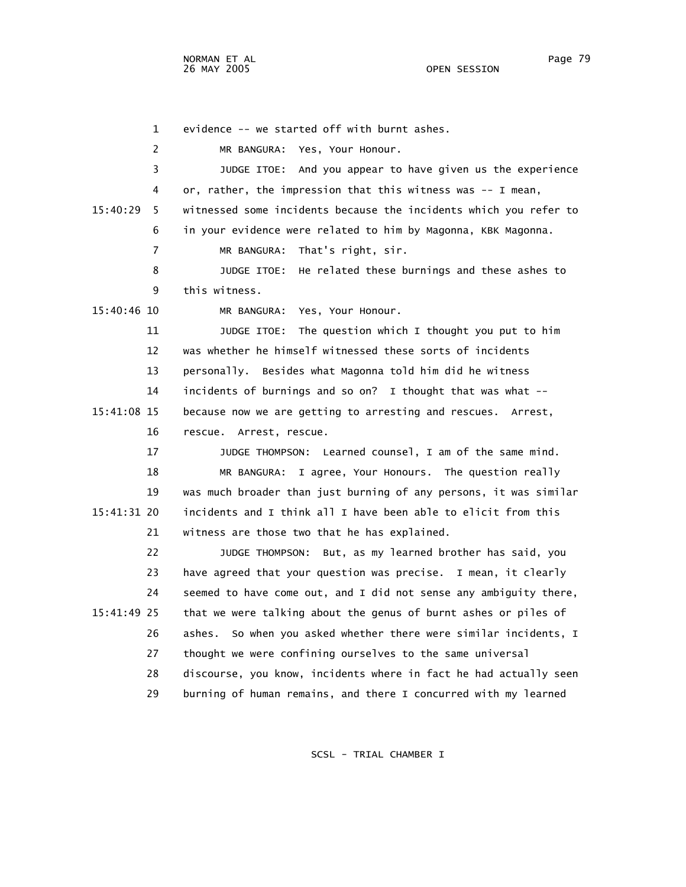1 evidence -- we started off with burnt ashes.

2 MR BANGURA: Yes, Your Honour.

 3 JUDGE ITOE: And you appear to have given us the experience 4 or, rather, the impression that this witness was -- I mean, 15:40:29 5 witnessed some incidents because the incidents which you refer to 6 in your evidence were related to him by Magonna, KBK Magonna.

7 MR BANGURA: That's right, sir.

 8 JUDGE ITOE: He related these burnings and these ashes to 9 this witness.

15:40:46 10 MR BANGURA: Yes, Your Honour.

 11 JUDGE ITOE: The question which I thought you put to him 12 was whether he himself witnessed these sorts of incidents 13 personally. Besides what Magonna told him did he witness 14 incidents of burnings and so on? I thought that was what -- 15:41:08 15 because now we are getting to arresting and rescues. Arrest, 16 rescue. Arrest, rescue.

 17 JUDGE THOMPSON: Learned counsel, I am of the same mind. 18 MR BANGURA: I agree, Your Honours. The question really 19 was much broader than just burning of any persons, it was similar 15:41:31 20 incidents and I think all I have been able to elicit from this 21 witness are those two that he has explained.

 22 JUDGE THOMPSON: But, as my learned brother has said, you 23 have agreed that your question was precise. I mean, it clearly 24 seemed to have come out, and I did not sense any ambiguity there, 15:41:49 25 that we were talking about the genus of burnt ashes or piles of 26 ashes. So when you asked whether there were similar incidents, I 27 thought we were confining ourselves to the same universal 28 discourse, you know, incidents where in fact he had actually seen 29 burning of human remains, and there I concurred with my learned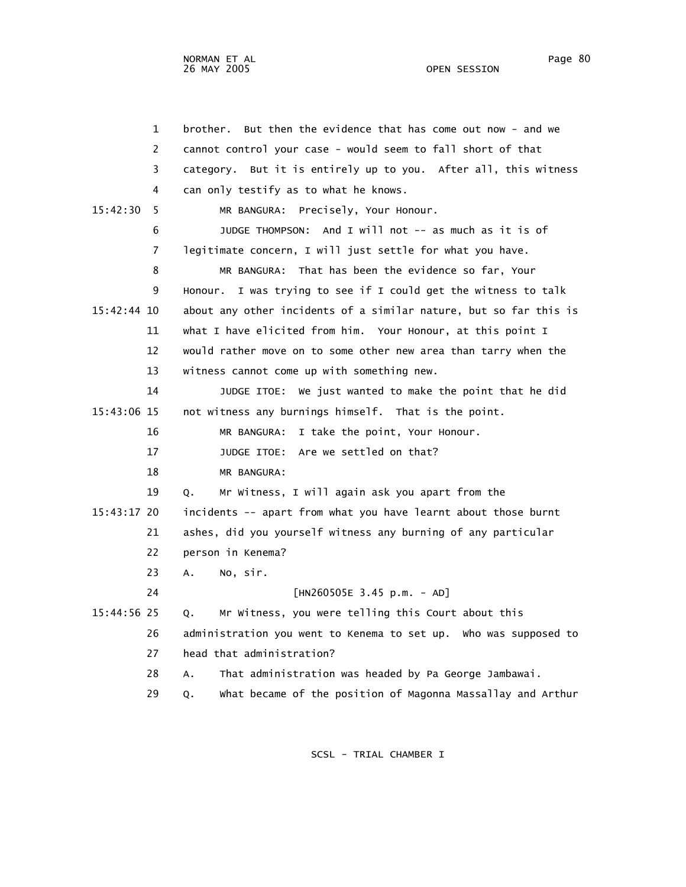OPEN SESSION

 1 brother. But then the evidence that has come out now - and we 2 cannot control your case - would seem to fall short of that 3 category. But it is entirely up to you. After all, this witness 4 can only testify as to what he knows. 15:42:30 5 MR BANGURA: Precisely, Your Honour. 6 JUDGE THOMPSON: And I will not -- as much as it is of 7 legitimate concern, I will just settle for what you have. 8 MR BANGURA: That has been the evidence so far, Your 9 Honour. I was trying to see if I could get the witness to talk 15:42:44 10 about any other incidents of a similar nature, but so far this is 11 what I have elicited from him. Your Honour, at this point I 12 would rather move on to some other new area than tarry when the 13 witness cannot come up with something new. 14 JUDGE ITOE: We just wanted to make the point that he did 15:43:06 15 not witness any burnings himself. That is the point. 16 MR BANGURA: I take the point, Your Honour. 17 JUDGE ITOE: Are we settled on that? 18 MR BANGURA: 19 Q. Mr Witness, I will again ask you apart from the 15:43:17 20 incidents -- apart from what you have learnt about those burnt 21 ashes, did you yourself witness any burning of any particular 22 person in Kenema? 23 A. No, sir. 24 [HN260505E 3.45 p.m. - AD] 15:44:56 25 Q. Mr Witness, you were telling this Court about this 26 administration you went to Kenema to set up. Who was supposed to 27 head that administration? 28 A. That administration was headed by Pa George Jambawai. 29 Q. What became of the position of Magonna Massallay and Arthur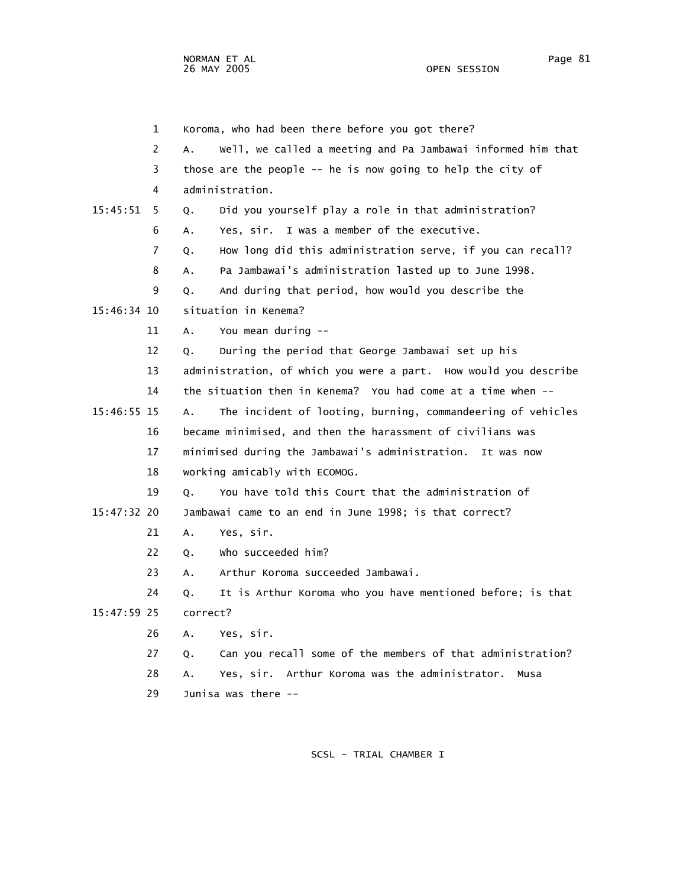NORMAN ET AL Page 81 and the set of the set of the set of the set of the set of the set of the set of the set o 26 MAY 2005 OPEN SESSION

|               | 1  | Koroma, who had been there before you got there?                  |
|---------------|----|-------------------------------------------------------------------|
|               | 2  | Well, we called a meeting and Pa Jambawai informed him that<br>Α. |
|               | 3  | those are the people -- he is now going to help the city of       |
|               | 4  | administration.                                                   |
| 15:45:51      | 5  | Did you yourself play a role in that administration?<br>Q.        |
|               | 6  | Yes, sir. I was a member of the executive.<br>А.                  |
|               | 7  | How long did this administration serve, if you can recall?<br>Q.  |
|               | 8  | Pa Jambawai's administration lasted up to June 1998.<br>А.        |
|               | 9  | And during that period, how would you describe the<br>Q.          |
| 15:46:34 10   |    | situation in Kenema?                                              |
|               | 11 | You mean during --<br>Α.                                          |
|               | 12 | During the period that George Jambawai set up his<br>Q.           |
|               | 13 | administration, of which you were a part. How would you describe  |
|               | 14 | the situation then in Kenema? You had come at a time when --      |
| 15:46:55 15   |    | The incident of looting, burning, commandeering of vehicles<br>А. |
|               | 16 | became minimised, and then the harassment of civilians was        |
|               | 17 | minimised during the Jambawai's administration.<br>It was now     |
|               | 18 | working amicably with ECOMOG.                                     |
|               | 19 | You have told this Court that the administration of<br>Q.         |
| $15:47:32$ 20 |    | Jambawai came to an end in June 1998; is that correct?            |
|               | 21 | Yes, sir.<br>Α.                                                   |
|               | 22 | Who succeeded him?<br>Q.                                          |
|               | 23 | Arthur Koroma succeeded Jambawai.<br>А.                           |
|               | 24 | It is Arthur Koroma who you have mentioned before; is that<br>Q.  |
| 15:47:59 25   |    | correct?                                                          |
|               | 26 | Yes, sir.<br>А.                                                   |
|               | 27 | Can you recall some of the members of that administration?<br>Q.  |
|               | 28 | Yes, sir. Arthur Koroma was the administrator.<br>А.<br>Musa      |
|               | 29 | Junisa was there --                                               |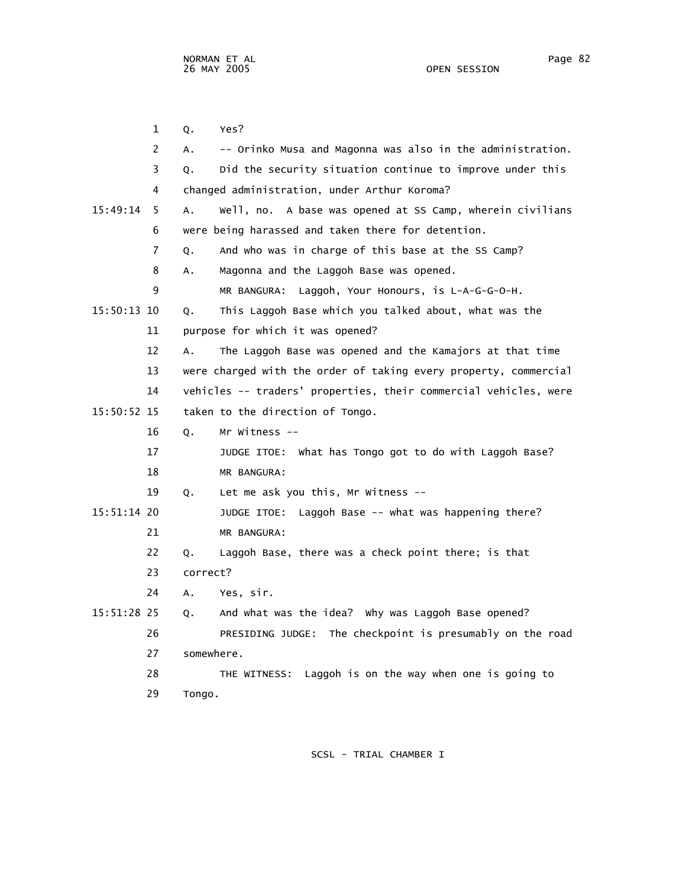1 Q. Yes? 2 A. -- Orinko Musa and Magonna was also in the administration. 3 Q. Did the security situation continue to improve under this 4 changed administration, under Arthur Koroma? 15:49:14 5 A. Well, no. A base was opened at SS Camp, wherein civilians 6 were being harassed and taken there for detention. 7 Q. And who was in charge of this base at the SS Camp? 8 A. Magonna and the Laggoh Base was opened. 9 MR BANGURA: Laggoh, Your Honours, is L-A-G-G-O-H. 15:50:13 10 Q. This Laggoh Base which you talked about, what was the 11 purpose for which it was opened? 12 A. The Laggoh Base was opened and the Kamajors at that time 13 were charged with the order of taking every property, commercial 14 vehicles -- traders' properties, their commercial vehicles, were 15:50:52 15 taken to the direction of Tongo. 16 Q. Mr Witness -- 17 JUDGE ITOE: What has Tongo got to do with Laggoh Base? 18 MR BANGURA: 19 Q. Let me ask you this, Mr Witness -- 15:51:14 20 JUDGE ITOE: Laggoh Base -- what was happening there? 21 MR BANGURA: 22 Q. Laggoh Base, there was a check point there; is that 23 correct? 24 A. Yes, sir. 15:51:28 25 Q. And what was the idea? Why was Laggoh Base opened? 26 PRESIDING JUDGE: The checkpoint is presumably on the road 27 somewhere. 28 THE WITNESS: Laggoh is on the way when one is going to 29 Tongo.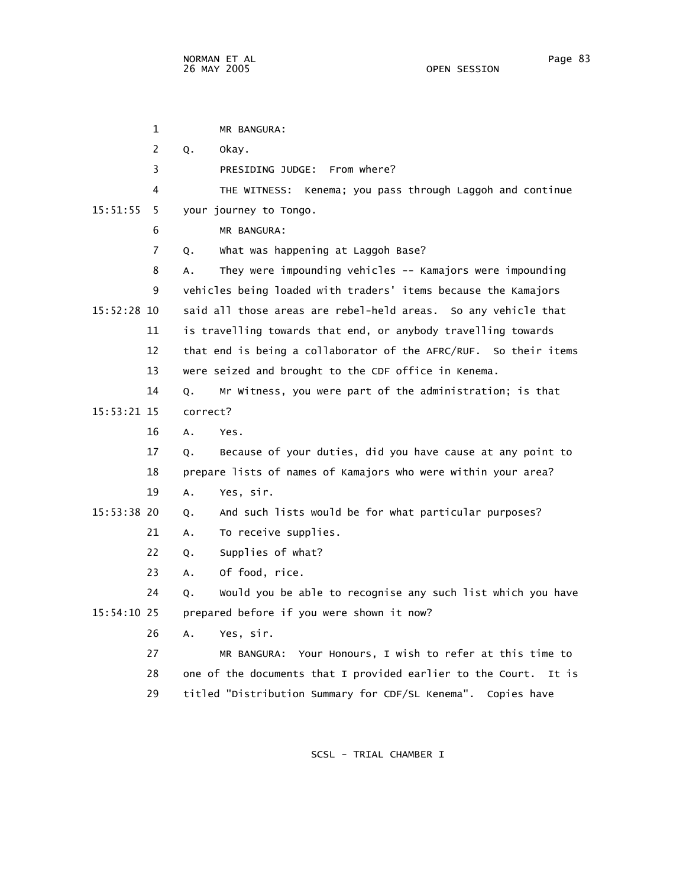1 MR BANGURA: 2 Q. Okay. 3 PRESIDING JUDGE: From where? 4 THE WITNESS: Kenema; you pass through Laggoh and continue 15:51:55 5 your journey to Tongo. 6 MR BANGURA: 7 Q. What was happening at Laggoh Base? 8 A. They were impounding vehicles -- Kamajors were impounding 9 vehicles being loaded with traders' items because the Kamajors 15:52:28 10 said all those areas are rebel-held areas. So any vehicle that 11 is travelling towards that end, or anybody travelling towards 12 that end is being a collaborator of the AFRC/RUF. So their items 13 were seized and brought to the CDF office in Kenema. 14 Q. Mr Witness, you were part of the administration; is that 15:53:21 15 correct? 16 A. Yes. 17 Q. Because of your duties, did you have cause at any point to 18 prepare lists of names of Kamajors who were within your area? 19 A. Yes, sir. 15:53:38 20 Q. And such lists would be for what particular purposes? 21 A. To receive supplies. 22 Q. Supplies of what? 23 A. Of food, rice. 24 Q. Would you be able to recognise any such list which you have 15:54:10 25 prepared before if you were shown it now? 26 A. Yes, sir. 27 MR BANGURA: Your Honours, I wish to refer at this time to 28 one of the documents that I provided earlier to the Court. It is

29 titled "Distribution Summary for CDF/SL Kenema". Copies have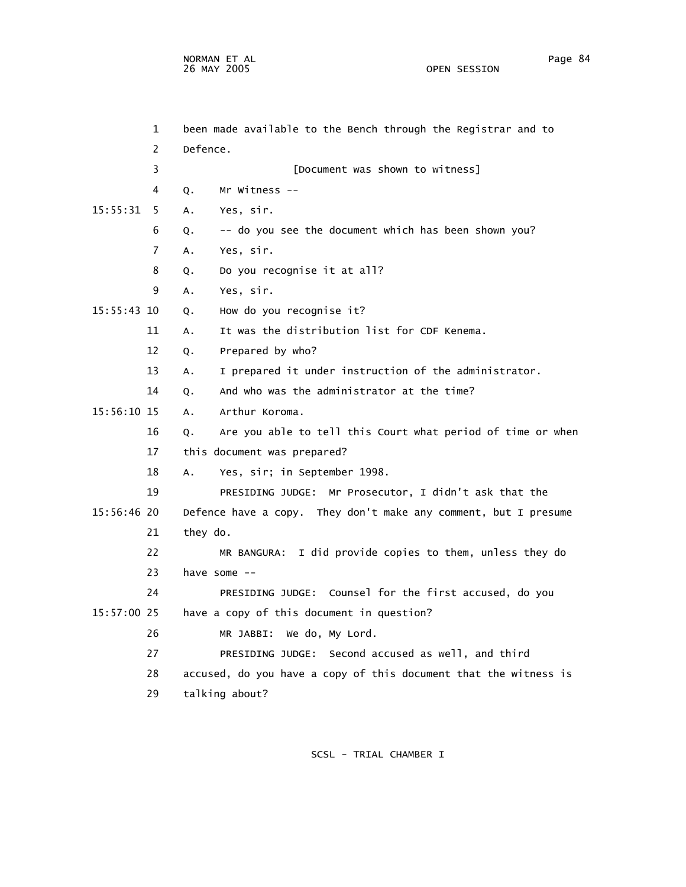NORMAN ET AL Page 84 and the set of the set of the set of the set of the set of the set of the set of the set o 26 MAY 2005 OPEN SESSION

|             | $\mathbf{1}$   | been made available to the Bench through the Registrar and to     |
|-------------|----------------|-------------------------------------------------------------------|
|             | 2              | Defence.                                                          |
|             | 3              | [Document was shown to witness]                                   |
|             | 4              | Mr Witness --<br>Q.                                               |
| 15:55:31    | 5              | Α.<br>Yes, sir.                                                   |
|             | 6              | -- do you see the document which has been shown you?<br>Q.        |
|             | $\overline{7}$ | Yes, sir.<br>A.                                                   |
|             | 8              | Do you recognise it at all?<br>Q.                                 |
|             | 9              | Yes, sir.<br>А.                                                   |
| 15:55:43 10 |                | How do you recognise it?<br>Q.                                    |
|             | 11             | It was the distribution list for CDF Kenema.<br>Α.                |
|             | 12             | Prepared by who?<br>Q.                                            |
|             | 13             | I prepared it under instruction of the administrator.<br>А.       |
|             | 14             | And who was the administrator at the time?<br>Q.                  |
| 15:56:10 15 |                | $A_{\bullet}$<br>Arthur Koroma.                                   |
|             | 16             | Are you able to tell this Court what period of time or when<br>Q. |
|             | 17             | this document was prepared?                                       |
|             | 18             | Yes, sir; in September 1998.<br>А.                                |
|             | 19             | PRESIDING JUDGE: Mr Prosecutor, I didn't ask that the             |
| 15:56:46 20 |                | Defence have a copy. They don't make any comment, but I presume   |
|             | 21             | they do.                                                          |
|             | 22             | MR BANGURA: I did provide copies to them, unless they do          |
|             | 23             | have some --                                                      |
|             | 24             | PRESIDING JUDGE: Counsel for the first accused, do you            |
| 15:57:00 25 |                | have a copy of this document in question?                         |
|             | 26             | MR JABBI: We do, My Lord.                                         |
|             | 27             | PRESIDING JUDGE: Second accused as well, and third                |
|             | 28             | accused, do you have a copy of this document that the witness is  |
|             | 29             | talking about?                                                    |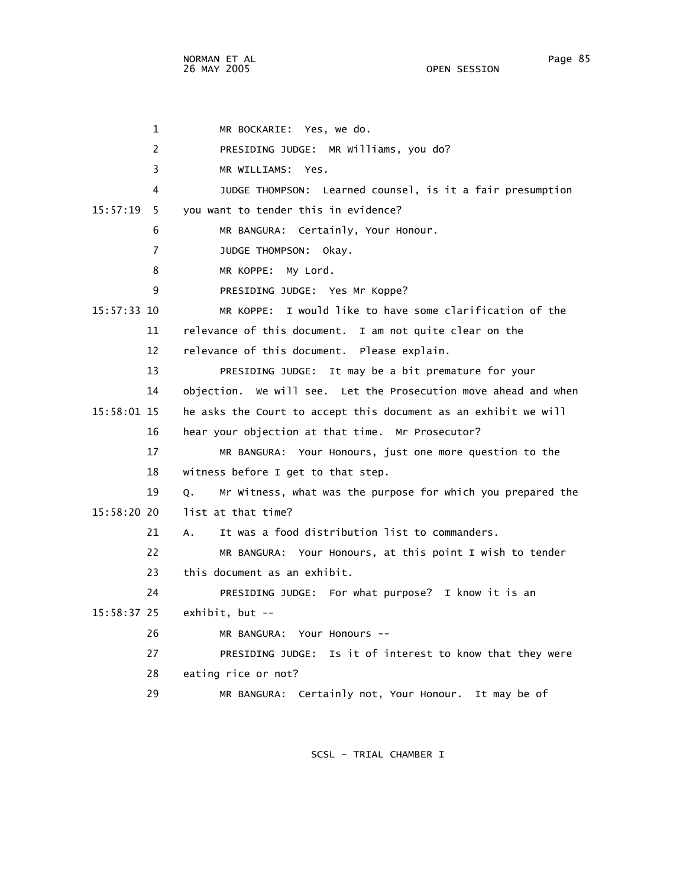1 MR BOCKARIE: Yes, we do. 2 PRESIDING JUDGE: MR Williams, you do? 3 MR WILLIAMS: Yes. 4 JUDGE THOMPSON: Learned counsel, is it a fair presumption 15:57:19 5 you want to tender this in evidence? 6 MR BANGURA: Certainly, Your Honour. 7 JUDGE THOMPSON: Okay. 8 MR KOPPE: My Lord. 9 PRESIDING JUDGE: Yes Mr Koppe? 15:57:33 10 MR KOPPE: I would like to have some clarification of the 11 relevance of this document. I am not quite clear on the 12 relevance of this document. Please explain. 13 PRESIDING JUDGE: It may be a bit premature for your 14 objection. We will see. Let the Prosecution move ahead and when 15:58:01 15 he asks the Court to accept this document as an exhibit we will 16 hear your objection at that time. Mr Prosecutor? 17 MR BANGURA: Your Honours, just one more question to the 18 witness before I get to that step. 19 Q. Mr Witness, what was the purpose for which you prepared the 15:58:20 20 list at that time? 21 A. It was a food distribution list to commanders. 22 MR BANGURA: Your Honours, at this point I wish to tender 23 this document as an exhibit. 24 PRESIDING JUDGE: For what purpose? I know it is an 15:58:37 25 exhibit, but -- 26 MR BANGURA: Your Honours -- 27 PRESIDING JUDGE: Is it of interest to know that they were 28 eating rice or not? 29 MR BANGURA: Certainly not, Your Honour. It may be of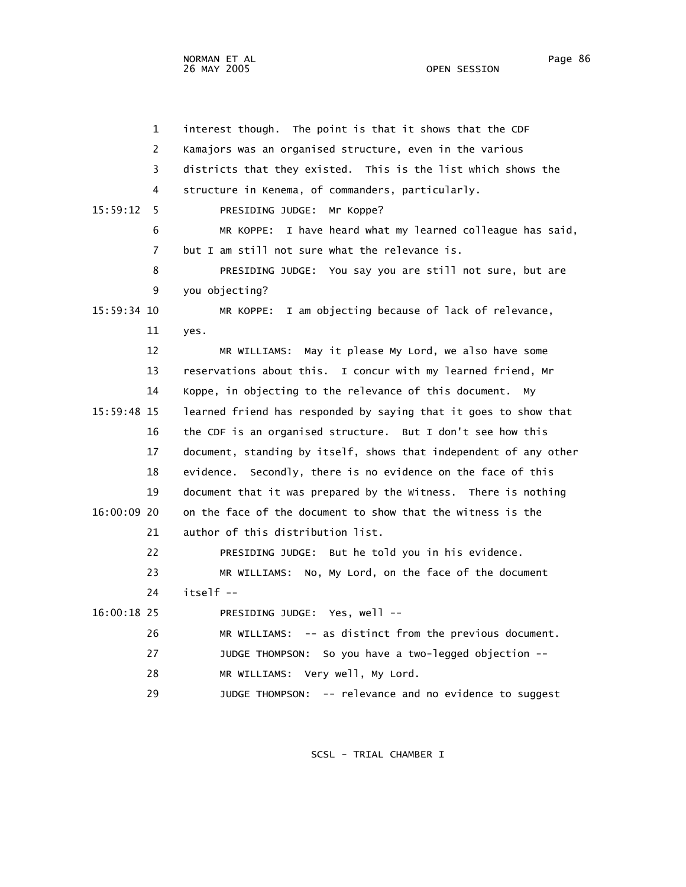OPEN SESSION

 1 interest though. The point is that it shows that the CDF 2 Kamajors was an organised structure, even in the various 3 districts that they existed. This is the list which shows the 4 structure in Kenema, of commanders, particularly. 15:59:12 5 PRESIDING JUDGE: Mr Koppe? 6 MR KOPPE: I have heard what my learned colleague has said, 7 but I am still not sure what the relevance is. 8 PRESIDING JUDGE: You say you are still not sure, but are 9 you objecting? 15:59:34 10 MR KOPPE: I am objecting because of lack of relevance, 11 yes. 12 MR WILLIAMS: May it please My Lord, we also have some 13 reservations about this. I concur with my learned friend, Mr 14 Koppe, in objecting to the relevance of this document. My 15:59:48 15 learned friend has responded by saying that it goes to show that 16 the CDF is an organised structure. But I don't see how this 17 document, standing by itself, shows that independent of any other 18 evidence. Secondly, there is no evidence on the face of this 19 document that it was prepared by the Witness. There is nothing 16:00:09 20 on the face of the document to show that the witness is the 21 author of this distribution list. 22 PRESIDING JUDGE: But he told you in his evidence. 23 MR WILLIAMS: No, My Lord, on the face of the document 24 itself -- 16:00:18 25 PRESIDING JUDGE: Yes, well -- 26 MR WILLIAMS: -- as distinct from the previous document. 27 JUDGE THOMPSON: So you have a two-legged objection -- 28 MR WILLIAMS: Very well, My Lord. 29 JUDGE THOMPSON: -- relevance and no evidence to suggest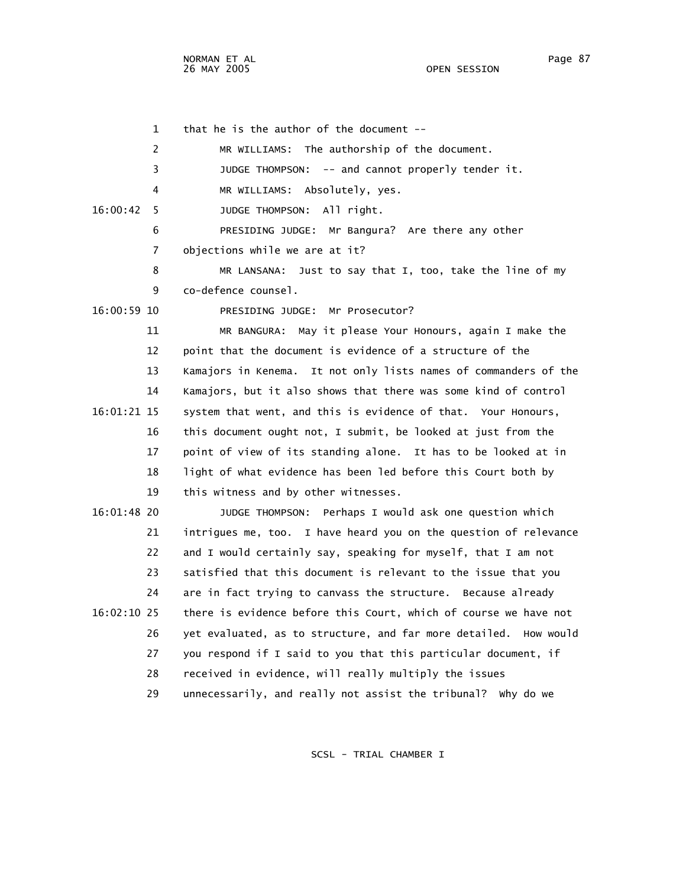OPEN SESSION

 1 that he is the author of the document -- 2 MR WILLIAMS: The authorship of the document. 3 JUDGE THOMPSON: -- and cannot properly tender it. 4 MR WILLIAMS: Absolutely, yes. 16:00:42 5 JUDGE THOMPSON: All right. 6 PRESIDING JUDGE: Mr Bangura? Are there any other 7 objections while we are at it? 8 MR LANSANA: Just to say that I, too, take the line of my 9 co-defence counsel. 16:00:59 10 PRESIDING JUDGE: Mr Prosecutor? 11 MR BANGURA: May it please Your Honours, again I make the 12 point that the document is evidence of a structure of the 13 Kamajors in Kenema. It not only lists names of commanders of the 14 Kamajors, but it also shows that there was some kind of control 16:01:21 15 system that went, and this is evidence of that. Your Honours, 16 this document ought not, I submit, be looked at just from the 17 point of view of its standing alone. It has to be looked at in 18 light of what evidence has been led before this Court both by 19 this witness and by other witnesses. 16:01:48 20 JUDGE THOMPSON: Perhaps I would ask one question which 21 intrigues me, too. I have heard you on the question of relevance 22 and I would certainly say, speaking for myself, that I am not 23 satisfied that this document is relevant to the issue that you 24 are in fact trying to canvass the structure. Because already 16:02:10 25 there is evidence before this Court, which of course we have not 26 yet evaluated, as to structure, and far more detailed. How would 27 you respond if I said to you that this particular document, if 28 received in evidence, will really multiply the issues 29 unnecessarily, and really not assist the tribunal? Why do we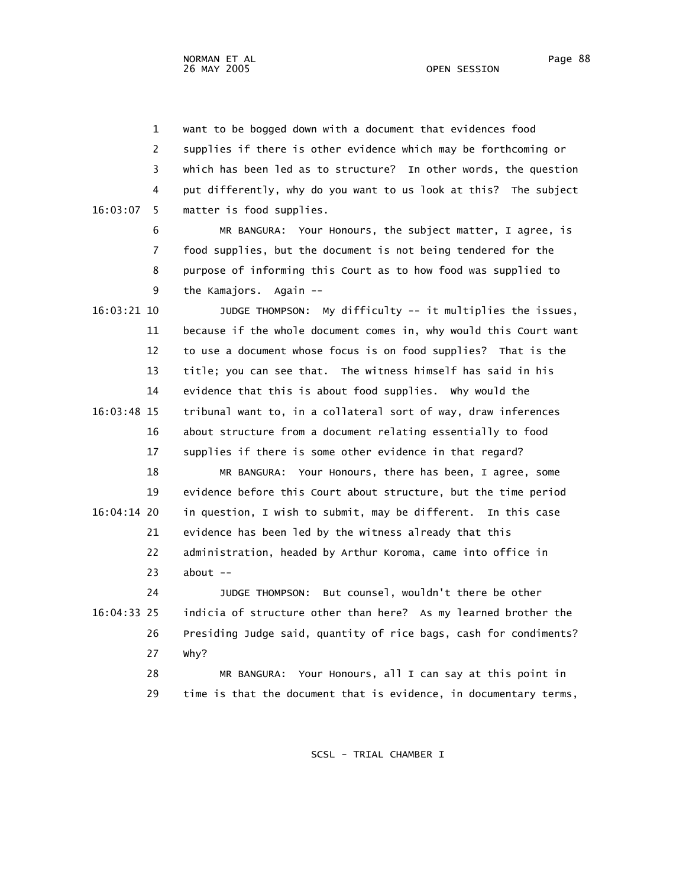1 want to be bogged down with a document that evidences food 2 supplies if there is other evidence which may be forthcoming or 3 which has been led as to structure? In other words, the question 4 put differently, why do you want to us look at this? The subject 16:03:07 5 matter is food supplies. 6 MR BANGURA: Your Honours, the subject matter, I agree, is 7 food supplies, but the document is not being tendered for the 8 purpose of informing this Court as to how food was supplied to 9 the Kamajors. Again -- 16:03:21 10 JUDGE THOMPSON: My difficulty -- it multiplies the issues, 11 because if the whole document comes in, why would this Court want 12 to use a document whose focus is on food supplies? That is the 13 title; you can see that. The witness himself has said in his 14 evidence that this is about food supplies. Why would the 16:03:48 15 tribunal want to, in a collateral sort of way, draw inferences 16 about structure from a document relating essentially to food 17 supplies if there is some other evidence in that regard? 18 MR BANGURA: Your Honours, there has been, I agree, some 19 evidence before this Court about structure, but the time period 16:04:14 20 in question, I wish to submit, may be different. In this case 21 evidence has been led by the witness already that this 22 administration, headed by Arthur Koroma, came into office in 23 about -- 24 JUDGE THOMPSON: But counsel, wouldn't there be other 16:04:33 25 indicia of structure other than here? As my learned brother the 26 Presiding Judge said, quantity of rice bags, cash for condiments? 27 Why? 28 MR BANGURA: Your Honours, all I can say at this point in 29 time is that the document that is evidence, in documentary terms,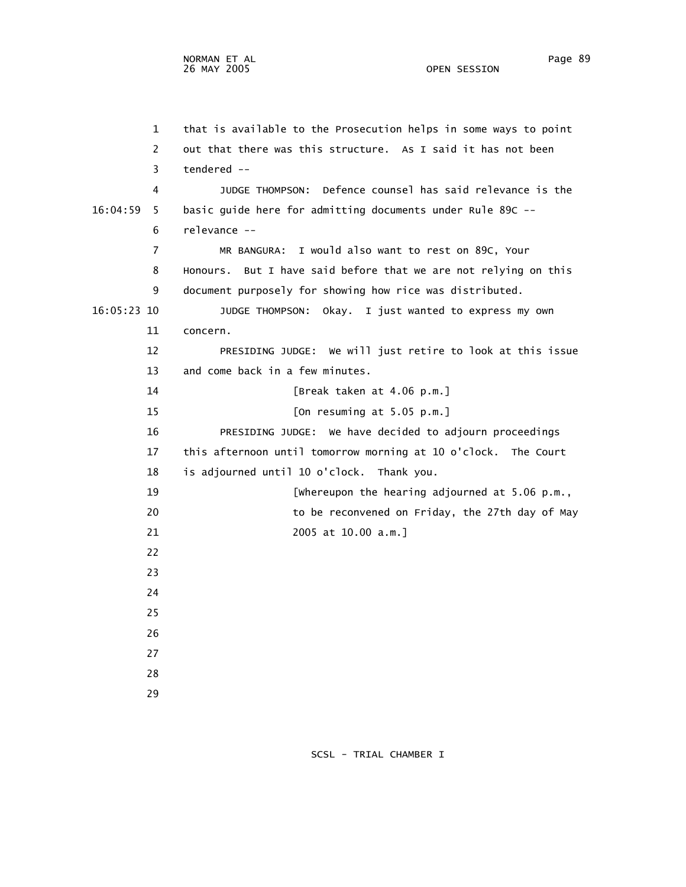1 that is available to the Prosecution helps in some ways to point 2 out that there was this structure. As I said it has not been 3 tendered -- 4 JUDGE THOMPSON: Defence counsel has said relevance is the 16:04:59 5 basic guide here for admitting documents under Rule 89C -- 6 relevance -- 7 MR BANGURA: I would also want to rest on 89C, Your 8 Honours. But I have said before that we are not relying on this 9 document purposely for showing how rice was distributed. 16:05:23 10 JUDGE THOMPSON: Okay. I just wanted to express my own 11 concern. 12 PRESIDING JUDGE: We will just retire to look at this issue 13 and come back in a few minutes. 14 [Break taken at 4.06 p.m.] 15 [On resuming at 5.05 p.m.] 16 PRESIDING JUDGE: We have decided to adjourn proceedings 17 this afternoon until tomorrow morning at 10 o'clock. The Court 18 is adjourned until 10 o'clock. Thank you. 19 [Whereupon the hearing adjourned at 5.06 p.m., 20 to be reconvened on Friday, the 27th day of May 21 2005 at 10.00 a.m.] 22 23 24 25 26 27 28 29